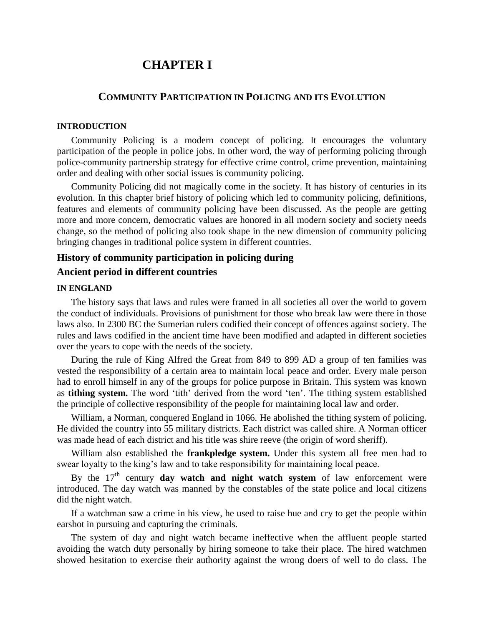# **CHAPTER I**

# **COMMUNITY PARTICIPATION IN POLICING AND ITS EVOLUTION**

### **INTRODUCTION**

Community Policing is a modern concept of policing. It encourages the voluntary participation of the people in police jobs. In other word, the way of performing policing through police-community partnership strategy for effective crime control, crime prevention, maintaining order and dealing with other social issues is community policing.

Community Policing did not magically come in the society. It has history of centuries in its evolution. In this chapter brief history of policing which led to community policing, definitions, features and elements of community policing have been discussed. As the people are getting more and more concern, democratic values are honored in all modern society and society needs change, so the method of policing also took shape in the new dimension of community policing bringing changes in traditional police system in different countries.

# **History of community participation in policing during**

# **Ancient period in different countries**

#### **IN ENGLAND**

The history says that laws and rules were framed in all societies all over the world to govern the conduct of individuals. Provisions of punishment for those who break law were there in those laws also. In 2300 BC the Sumerian rulers codified their concept of offences against society. The rules and laws codified in the ancient time have been modified and adapted in different societies over the years to cope with the needs of the society.

During the rule of King Alfred the Great from 849 to 899 AD a group of ten families was vested the responsibility of a certain area to maintain local peace and order. Every male person had to enroll himself in any of the groups for police purpose in Britain. This system was known as **tithing system.** The word "tith" derived from the word "ten". The tithing system established the principle of collective responsibility of the people for maintaining local law and order.

William, a Norman, conquered England in 1066. He abolished the tithing system of policing. He divided the country into 55 military districts. Each district was called shire. A Norman officer was made head of each district and his title was shire reeve (the origin of word sheriff).

William also established the **frankpledge system.** Under this system all free men had to swear loyalty to the king's law and to take responsibility for maintaining local peace.

By the 17<sup>th</sup> century **day watch and night watch system** of law enforcement were introduced. The day watch was manned by the constables of the state police and local citizens did the night watch.

If a watchman saw a crime in his view, he used to raise hue and cry to get the people within earshot in pursuing and capturing the criminals.

The system of day and night watch became ineffective when the affluent people started avoiding the watch duty personally by hiring someone to take their place. The hired watchmen showed hesitation to exercise their authority against the wrong doers of well to do class. The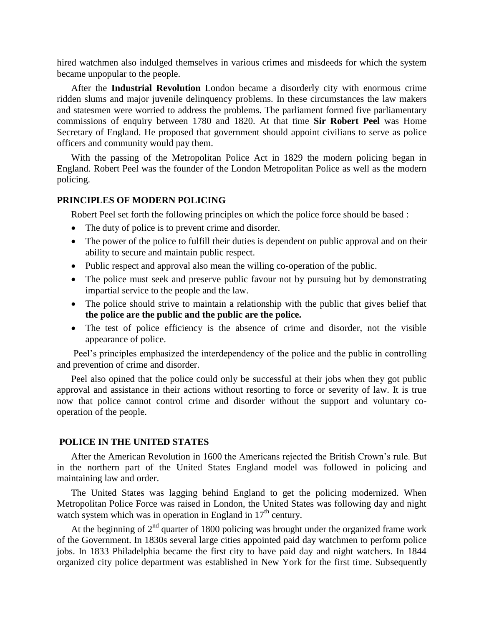hired watchmen also indulged themselves in various crimes and misdeeds for which the system became unpopular to the people.

After the **Industrial Revolution** London became a disorderly city with enormous crime ridden slums and major juvenile delinquency problems. In these circumstances the law makers and statesmen were worried to address the problems. The parliament formed five parliamentary commissions of enquiry between 1780 and 1820. At that time **Sir Robert Peel** was Home Secretary of England. He proposed that government should appoint civilians to serve as police officers and community would pay them.

With the passing of the Metropolitan Police Act in 1829 the modern policing began in England. Robert Peel was the founder of the London Metropolitan Police as well as the modern policing.

# **PRINCIPLES OF MODERN POLICING**

Robert Peel set forth the following principles on which the police force should be based :

- The duty of police is to prevent crime and disorder.
- The power of the police to fulfill their duties is dependent on public approval and on their ability to secure and maintain public respect.
- Public respect and approval also mean the willing co-operation of the public.
- The police must seek and preserve public favour not by pursuing but by demonstrating impartial service to the people and the law.
- The police should strive to maintain a relationship with the public that gives belief that **the police are the public and the public are the police.**
- The test of police efficiency is the absence of crime and disorder, not the visible appearance of police.

Peel"s principles emphasized the interdependency of the police and the public in controlling and prevention of crime and disorder.

Peel also opined that the police could only be successful at their jobs when they got public approval and assistance in their actions without resorting to force or severity of law. It is true now that police cannot control crime and disorder without the support and voluntary cooperation of the people.

#### **POLICE IN THE UNITED STATES**

After the American Revolution in 1600 the Americans rejected the British Crown"s rule. But in the northern part of the United States England model was followed in policing and maintaining law and order.

The United States was lagging behind England to get the policing modernized. When Metropolitan Police Force was raised in London, the United States was following day and night watch system which was in operation in England in  $17<sup>th</sup>$  century.

At the beginning of  $2<sup>nd</sup>$  quarter of 1800 policing was brought under the organized frame work of the Government. In 1830s several large cities appointed paid day watchmen to perform police jobs. In 1833 Philadelphia became the first city to have paid day and night watchers. In 1844 organized city police department was established in New York for the first time. Subsequently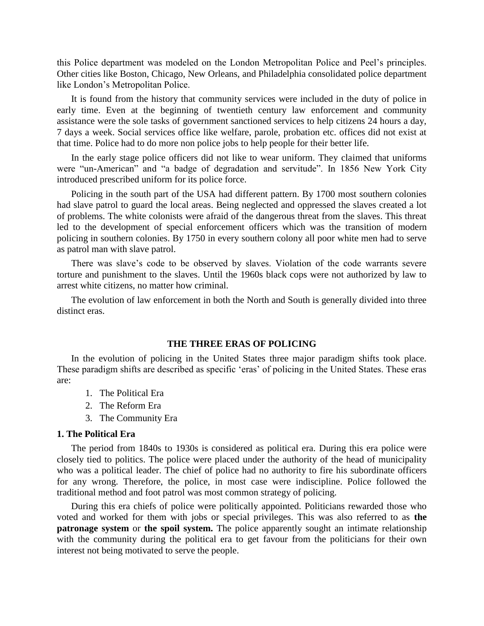this Police department was modeled on the London Metropolitan Police and Peel"s principles. Other cities like Boston, Chicago, New Orleans, and Philadelphia consolidated police department like London"s Metropolitan Police.

It is found from the history that community services were included in the duty of police in early time. Even at the beginning of twentieth century law enforcement and community assistance were the sole tasks of government sanctioned services to help citizens 24 hours a day, 7 days a week. Social services office like welfare, parole, probation etc. offices did not exist at that time. Police had to do more non police jobs to help people for their better life.

In the early stage police officers did not like to wear uniform. They claimed that uniforms were "un-American" and "a badge of degradation and servitude". In 1856 New York City introduced prescribed uniform for its police force.

Policing in the south part of the USA had different pattern. By 1700 most southern colonies had slave patrol to guard the local areas. Being neglected and oppressed the slaves created a lot of problems. The white colonists were afraid of the dangerous threat from the slaves. This threat led to the development of special enforcement officers which was the transition of modern policing in southern colonies. By 1750 in every southern colony all poor white men had to serve as patrol man with slave patrol.

There was slave"s code to be observed by slaves. Violation of the code warrants severe torture and punishment to the slaves. Until the 1960s black cops were not authorized by law to arrest white citizens, no matter how criminal.

The evolution of law enforcement in both the North and South is generally divided into three distinct eras.

#### **THE THREE ERAS OF POLICING**

In the evolution of policing in the United States three major paradigm shifts took place. These paradigm shifts are described as specific 'eras' of policing in the United States. These eras are:

- 1. The Political Era
- 2. The Reform Era
- 3. The Community Era

#### **1. The Political Era**

The period from 1840s to 1930s is considered as political era. During this era police were closely tied to politics. The police were placed under the authority of the head of municipality who was a political leader. The chief of police had no authority to fire his subordinate officers for any wrong. Therefore, the police, in most case were indiscipline. Police followed the traditional method and foot patrol was most common strategy of policing.

During this era chiefs of police were politically appointed. Politicians rewarded those who voted and worked for them with jobs or special privileges. This was also referred to as **the patronage system** or **the spoil system.** The police apparently sought an intimate relationship with the community during the political era to get favour from the politicians for their own interest not being motivated to serve the people.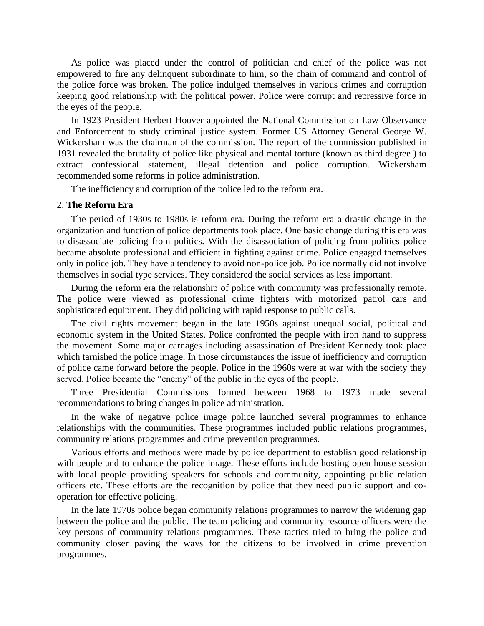As police was placed under the control of politician and chief of the police was not empowered to fire any delinquent subordinate to him, so the chain of command and control of the police force was broken. The police indulged themselves in various crimes and corruption keeping good relationship with the political power. Police were corrupt and repressive force in the eyes of the people.

In 1923 President Herbert Hoover appointed the National Commission on Law Observance and Enforcement to study criminal justice system. Former US Attorney General George W. Wickersham was the chairman of the commission. The report of the commission published in 1931 revealed the brutality of police like physical and mental torture (known as third degree ) to extract confessional statement, illegal detention and police corruption. Wickersham recommended some reforms in police administration.

The inefficiency and corruption of the police led to the reform era.

#### 2. **The Reform Era**

The period of 1930s to 1980s is reform era. During the reform era a drastic change in the organization and function of police departments took place. One basic change during this era was to disassociate policing from politics. With the disassociation of policing from politics police became absolute professional and efficient in fighting against crime. Police engaged themselves only in police job. They have a tendency to avoid non-police job. Police normally did not involve themselves in social type services. They considered the social services as less important.

During the reform era the relationship of police with community was professionally remote. The police were viewed as professional crime fighters with motorized patrol cars and sophisticated equipment. They did policing with rapid response to public calls.

The civil rights movement began in the late 1950s against unequal social, political and economic system in the United States. Police confronted the people with iron hand to suppress the movement. Some major carnages including assassination of President Kennedy took place which tarnished the police image. In those circumstances the issue of inefficiency and corruption of police came forward before the people. Police in the 1960s were at war with the society they served. Police became the "enemy" of the public in the eyes of the people.

Three Presidential Commissions formed between 1968 to 1973 made several recommendations to bring changes in police administration.

In the wake of negative police image police launched several programmes to enhance relationships with the communities. These programmes included public relations programmes, community relations programmes and crime prevention programmes.

Various efforts and methods were made by police department to establish good relationship with people and to enhance the police image. These efforts include hosting open house session with local people providing speakers for schools and community, appointing public relation officers etc. These efforts are the recognition by police that they need public support and cooperation for effective policing.

In the late 1970s police began community relations programmes to narrow the widening gap between the police and the public. The team policing and community resource officers were the key persons of community relations programmes. These tactics tried to bring the police and community closer paving the ways for the citizens to be involved in crime prevention programmes.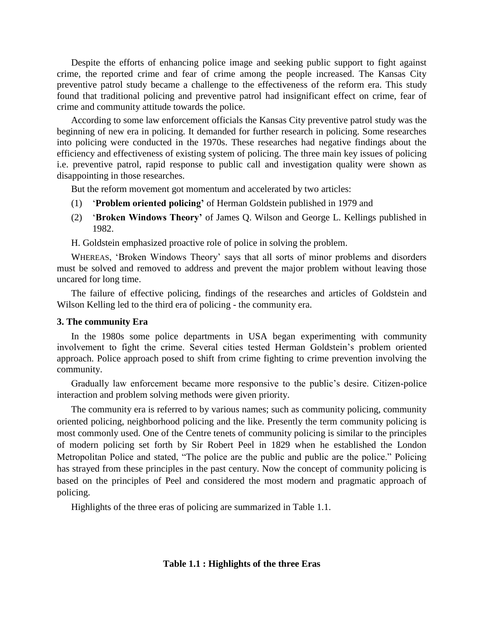Despite the efforts of enhancing police image and seeking public support to fight against crime, the reported crime and fear of crime among the people increased. The Kansas City preventive patrol study became a challenge to the effectiveness of the reform era. This study found that traditional policing and preventive patrol had insignificant effect on crime, fear of crime and community attitude towards the police.

According to some law enforcement officials the Kansas City preventive patrol study was the beginning of new era in policing. It demanded for further research in policing. Some researches into policing were conducted in the 1970s. These researches had negative findings about the efficiency and effectiveness of existing system of policing. The three main key issues of policing i.e. preventive patrol, rapid response to public call and investigation quality were shown as disappointing in those researches.

But the reform movement got momentum and accelerated by two articles:

- (1) "**Problem oriented policing"** of Herman Goldstein published in 1979 and
- (2) "**Broken Windows Theory"** of James Q. Wilson and George L. Kellings published in 1982.

H. Goldstein emphasized proactive role of police in solving the problem.

WHEREAS, "Broken Windows Theory" says that all sorts of minor problems and disorders must be solved and removed to address and prevent the major problem without leaving those uncared for long time.

The failure of effective policing, findings of the researches and articles of Goldstein and Wilson Kelling led to the third era of policing - the community era.

# **3. The community Era**

In the 1980s some police departments in USA began experimenting with community involvement to fight the crime. Several cities tested Herman Goldstein"s problem oriented approach. Police approach posed to shift from crime fighting to crime prevention involving the community.

Gradually law enforcement became more responsive to the public"s desire. Citizen-police interaction and problem solving methods were given priority.

The community era is referred to by various names; such as community policing, community oriented policing, neighborhood policing and the like. Presently the term community policing is most commonly used. One of the Centre tenets of community policing is similar to the principles of modern policing set forth by Sir Robert Peel in 1829 when he established the London Metropolitan Police and stated, "The police are the public and public are the police." Policing has strayed from these principles in the past century. Now the concept of community policing is based on the principles of Peel and considered the most modern and pragmatic approach of policing.

Highlights of the three eras of policing are summarized in Table 1.1.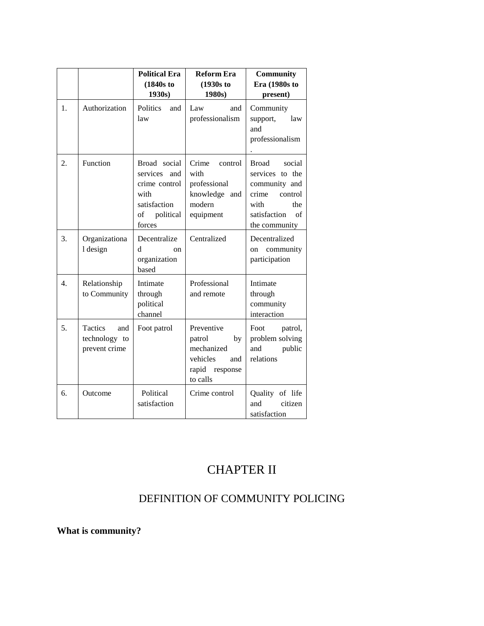|         |                                                  | <b>Political Era</b><br>(1840s)<br>1930s)                                                          | <b>Reform Era</b><br>$(1930s)$ to<br>1980s)                                                  | <b>Community</b><br>Era (1980s to<br>present)                                                                                        |
|---------|--------------------------------------------------|----------------------------------------------------------------------------------------------------|----------------------------------------------------------------------------------------------|--------------------------------------------------------------------------------------------------------------------------------------|
| $1_{-}$ | Authorization                                    | <b>Politics</b><br>and<br>law                                                                      | Law<br>and<br>professionalism                                                                | Community<br>support,<br>law<br>and<br>professionalism                                                                               |
| 2.      | Function                                         | Broad social<br>services<br>and<br>crime control<br>with<br>satisfaction<br>of political<br>forces | Crime<br>control<br>with<br>professional<br>knowledge and<br>modern<br>equipment             | <b>Broad</b><br>social<br>services to the<br>community and<br>crime<br>control<br>with<br>the<br>satisfaction<br>of<br>the community |
| 3.      | Organizationa<br>1 design                        | Decentralize<br>d<br>$_{\rm on}$<br>organization<br>based                                          | Centralized                                                                                  | Decentralized<br>on community<br>participation                                                                                       |
| 4.      | Relationship<br>to Community                     | Intimate<br>through<br>political<br>channel                                                        | Professional<br>and remote                                                                   | Intimate<br>through<br>community<br>interaction                                                                                      |
| 5.      | Tactics<br>and<br>technology to<br>prevent crime | Foot patrol                                                                                        | Preventive<br>patrol<br>by<br>mechanized<br>vehicles<br>and<br>rapid<br>response<br>to calls | Foot<br>patrol,<br>problem solving<br>and<br>public<br>relations                                                                     |
| б.      | Outcome                                          | Political<br>satisfaction                                                                          | Crime control                                                                                | Quality of life<br>and<br>citizen<br>satisfaction                                                                                    |

# CHAPTER II

# DEFINITION OF COMMUNITY POLICING

**What is community?**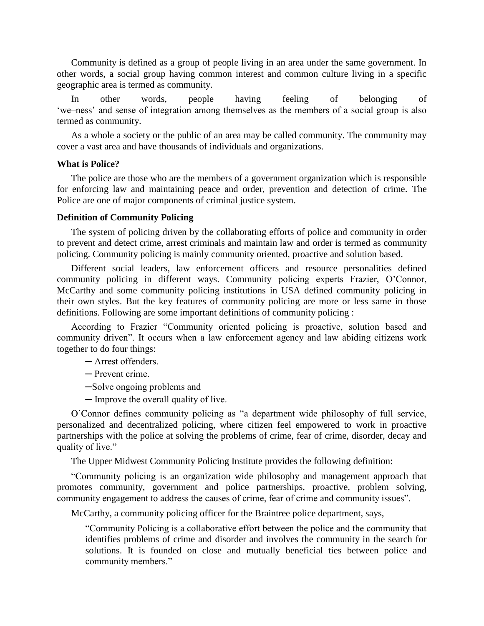Community is defined as a group of people living in an area under the same government. In other words, a social group having common interest and common culture living in a specific geographic area is termed as community.

In other words, people having feeling of belonging of "we–ness" and sense of integration among themselves as the members of a social group is also termed as community.

As a whole a society or the public of an area may be called community. The community may cover a vast area and have thousands of individuals and organizations.

#### **What is Police?**

The police are those who are the members of a government organization which is responsible for enforcing law and maintaining peace and order, prevention and detection of crime. The Police are one of major components of criminal justice system.

## **Definition of Community Policing**

The system of policing driven by the collaborating efforts of police and community in order to prevent and detect crime, arrest criminals and maintain law and order is termed as community policing. Community policing is mainly community oriented, proactive and solution based.

Different social leaders, law enforcement officers and resource personalities defined community policing in different ways. Community policing experts Frazier, O"Connor, McCarthy and some community policing institutions in USA defined community policing in their own styles. But the key features of community policing are more or less same in those definitions. Following are some important definitions of community policing :

According to Frazier "Community oriented policing is proactive, solution based and community driven". It occurs when a law enforcement agency and law abiding citizens work together to do four things:

- ─ Arrest offenders.
- ─ Prevent crime.
- ─Solve ongoing problems and
- ─ Improve the overall quality of live.

O"Connor defines community policing as "a department wide philosophy of full service, personalized and decentralized policing, where citizen feel empowered to work in proactive partnerships with the police at solving the problems of crime, fear of crime, disorder, decay and quality of live."

The Upper Midwest Community Policing Institute provides the following definition:

"Community policing is an organization wide philosophy and management approach that promotes community, government and police partnerships, proactive, problem solving, community engagement to address the causes of crime, fear of crime and community issues".

McCarthy, a community policing officer for the Braintree police department, says,

"Community Policing is a collaborative effort between the police and the community that identifies problems of crime and disorder and involves the community in the search for solutions. It is founded on close and mutually beneficial ties between police and community members."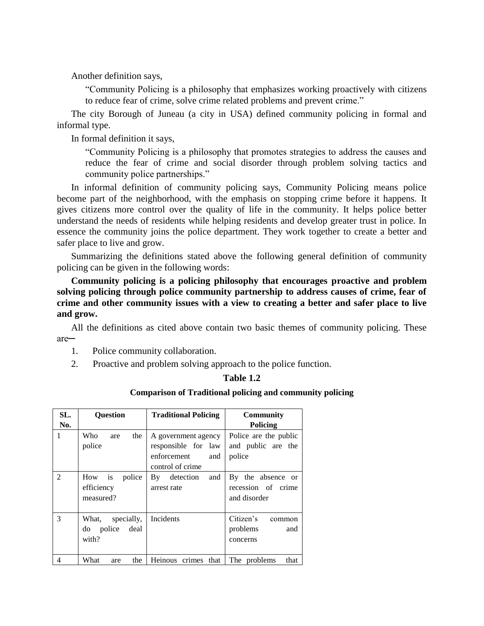Another definition says,

"Community Policing is a philosophy that emphasizes working proactively with citizens to reduce fear of crime, solve crime related problems and prevent crime."

The city Borough of Juneau (a city in USA) defined community policing in formal and informal type.

In formal definition it says,

"Community Policing is a philosophy that promotes strategies to address the causes and reduce the fear of crime and social disorder through problem solving tactics and community police partnerships."

In informal definition of community policing says, Community Policing means police become part of the neighborhood, with the emphasis on stopping crime before it happens. It gives citizens more control over the quality of life in the community. It helps police better understand the needs of residents while helping residents and develop greater trust in police. In essence the community joins the police department. They work together to create a better and safer place to live and grow.

Summarizing the definitions stated above the following general definition of community policing can be given in the following words:

**Community policing is a policing philosophy that encourages proactive and problem solving policing through police community partnership to address causes of crime, fear of crime and other community issues with a view to creating a better and safer place to live and grow.** 

All the definitions as cited above contain two basic themes of community policing. These are─

- 1. Police community collaboration.
- 2. Proactive and problem solving approach to the police function.

# **Table 1.2**

# **Comparison of Traditional policing and community policing**

| SL.<br>No. | <b>Ouestion</b>                                   | <b>Traditional Policing</b>                                                          | <b>Community</b><br><b>Policing</b>                     |  |  |  |
|------------|---------------------------------------------------|--------------------------------------------------------------------------------------|---------------------------------------------------------|--|--|--|
| 1          | Who<br>the<br>are<br>police                       | A government agency<br>responsible for law<br>enforcement<br>and<br>control of crime | Police are the public<br>and public are the<br>police   |  |  |  |
| 2          | is<br>police<br>How<br>efficiency<br>measured?    | By detection<br>and<br>arrest rate                                                   | By the absence or<br>recession of crime<br>and disorder |  |  |  |
| 3          | specially,<br>What,<br>police deal<br>do<br>with? | Incidents                                                                            | Citizen's<br>common<br>problems<br>and<br>concerns      |  |  |  |
| 4          | What<br>the<br>are                                | Heinous crimes that                                                                  | The problems<br>that                                    |  |  |  |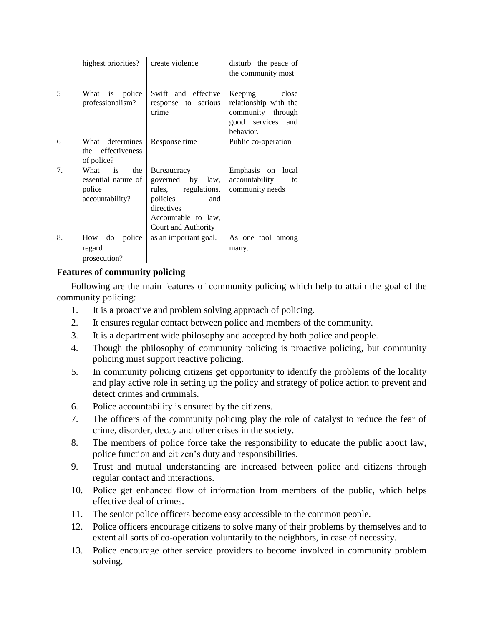|    | highest priorities?                                                              | create violence                                                                                                                              | disturb the peace of<br>the community most                                                          |
|----|----------------------------------------------------------------------------------|----------------------------------------------------------------------------------------------------------------------------------------------|-----------------------------------------------------------------------------------------------------|
| 5  | What<br>police<br>is<br>professionalism?                                         | Swift and effective<br>serious<br>response to<br>crime                                                                                       | Keeping<br>close<br>relationship with the<br>community through<br>good services<br>and<br>behavior. |
| 6  | What determines<br>effectiveness<br>the<br>of police?                            | Response time                                                                                                                                | Public co-operation                                                                                 |
| 7. | $\frac{1}{1}$<br>What<br>the<br>essential nature of<br>police<br>accountability? | <b>Bureaucracy</b><br>governed by law,<br>rules, regulations,<br>policies<br>and<br>directives<br>Accountable to law,<br>Court and Authority | Emphasis on local<br>accountability<br>to<br>community needs                                        |
| 8. | How<br>do<br>police<br>regard<br>prosecution?                                    | as an important goal.                                                                                                                        | As one tool among<br>many.                                                                          |

# **Features of community policing**

Following are the main features of community policing which help to attain the goal of the community policing:

- 1. It is a proactive and problem solving approach of policing.
- 2. It ensures regular contact between police and members of the community.
- 3. It is a department wide philosophy and accepted by both police and people.
- 4. Though the philosophy of community policing is proactive policing, but community policing must support reactive policing.
- 5. In community policing citizens get opportunity to identify the problems of the locality and play active role in setting up the policy and strategy of police action to prevent and detect crimes and criminals.
- 6. Police accountability is ensured by the citizens.
- 7. The officers of the community policing play the role of catalyst to reduce the fear of crime, disorder, decay and other crises in the society.
- 8. The members of police force take the responsibility to educate the public about law, police function and citizen"s duty and responsibilities.
- 9. Trust and mutual understanding are increased between police and citizens through regular contact and interactions.
- 10. Police get enhanced flow of information from members of the public, which helps effective deal of crimes.
- 11. The senior police officers become easy accessible to the common people.
- 12. Police officers encourage citizens to solve many of their problems by themselves and to extent all sorts of co-operation voluntarily to the neighbors, in case of necessity.
- 13. Police encourage other service providers to become involved in community problem solving.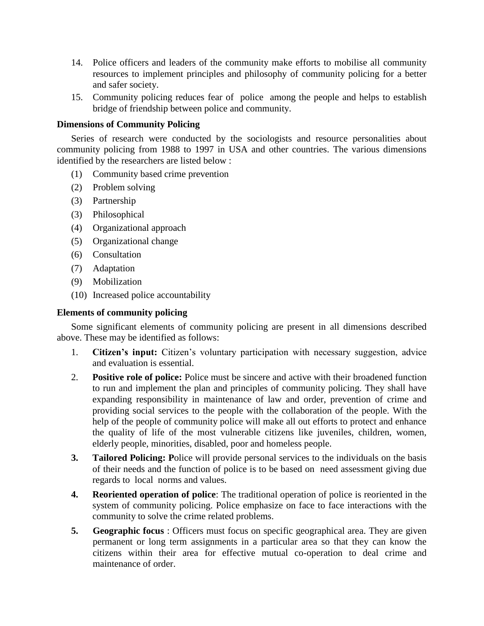- 14. Police officers and leaders of the community make efforts to mobilise all community resources to implement principles and philosophy of community policing for a better and safer society.
- 15. Community policing reduces fear of police among the people and helps to establish bridge of friendship between police and community.

# **Dimensions of Community Policing**

Series of research were conducted by the sociologists and resource personalities about community policing from 1988 to 1997 in USA and other countries. The various dimensions identified by the researchers are listed below :

- (1) Community based crime prevention
- (2) Problem solving
- (3) Partnership
- (3) Philosophical
- (4) Organizational approach
- (5) Organizational change
- (6) Consultation
- (7) Adaptation
- (9) Mobilization
- (10) Increased police accountability

# **Elements of community policing**

Some significant elements of community policing are present in all dimensions described above. These may be identified as follows:

- 1. **Citizen"s input:** Citizen"s voluntary participation with necessary suggestion, advice and evaluation is essential.
- 2. **Positive role of police:** Police must be sincere and active with their broadened function to run and implement the plan and principles of community policing. They shall have expanding responsibility in maintenance of law and order, prevention of crime and providing social services to the people with the collaboration of the people. With the help of the people of community police will make all out efforts to protect and enhance the quality of life of the most vulnerable citizens like juveniles, children, women, elderly people, minorities, disabled, poor and homeless people.
- **3. Tailored Policing: P**olice will provide personal services to the individuals on the basis of their needs and the function of police is to be based on need assessment giving due regards to local norms and values.
- **4. Reoriented operation of police**: The traditional operation of police is reoriented in the system of community policing. Police emphasize on face to face interactions with the community to solve the crime related problems.
- **5. Geographic focus** : Officers must focus on specific geographical area. They are given permanent or long term assignments in a particular area so that they can know the citizens within their area for effective mutual co-operation to deal crime and maintenance of order.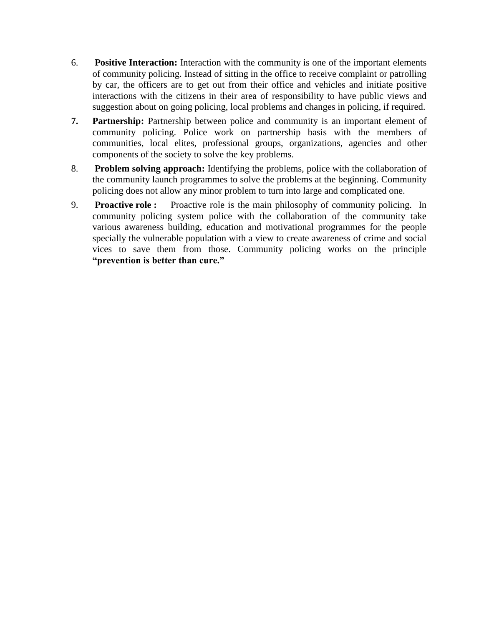- 6. **Positive Interaction:** Interaction with the community is one of the important elements of community policing. Instead of sitting in the office to receive complaint or patrolling by car, the officers are to get out from their office and vehicles and initiate positive interactions with the citizens in their area of responsibility to have public views and suggestion about on going policing, local problems and changes in policing, if required.
- **7. Partnership:** Partnership between police and community is an important element of community policing. Police work on partnership basis with the members of communities, local elites, professional groups, organizations, agencies and other components of the society to solve the key problems.
- 8. **Problem solving approach:** Identifying the problems, police with the collaboration of the community launch programmes to solve the problems at the beginning. Community policing does not allow any minor problem to turn into large and complicated one.
- 9. **Proactive role :** Proactive role is the main philosophy of community policing. In community policing system police with the collaboration of the community take various awareness building, education and motivational programmes for the people specially the vulnerable population with a view to create awareness of crime and social vices to save them from those. Community policing works on the principle **"prevention is better than cure."**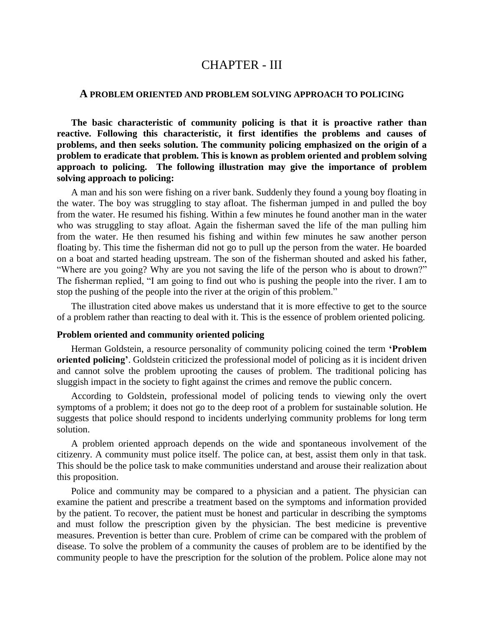# CHAPTER -

#### **A PROBLEM ORIENTED AND PROBLEM SOLVING APPROACH TO POLICING**

**The basic characteristic of community policing is that it is proactive rather than reactive. Following this characteristic, it first identifies the problems and causes of problems, and then seeks solution. The community policing emphasized on the origin of a problem to eradicate that problem. This is known as problem oriented and problem solving approach to policing. The following illustration may give the importance of problem solving approach to policing:** 

A man and his son were fishing on a river bank. Suddenly they found a young boy floating in the water. The boy was struggling to stay afloat. The fisherman jumped in and pulled the boy from the water. He resumed his fishing. Within a few minutes he found another man in the water who was struggling to stay afloat. Again the fisherman saved the life of the man pulling him from the water. He then resumed his fishing and within few minutes he saw another person floating by. This time the fisherman did not go to pull up the person from the water. He boarded on a boat and started heading upstream. The son of the fisherman shouted and asked his father, "Where are you going? Why are you not saving the life of the person who is about to drown?" The fisherman replied, "I am going to find out who is pushing the people into the river. I am to stop the pushing of the people into the river at the origin of this problem."

The illustration cited above makes us understand that it is more effective to get to the source of a problem rather than reacting to deal with it. This is the essence of problem oriented policing.

## **Problem oriented and community oriented policing**

Herman Goldstein, a resource personality of community policing coined the term **"Problem oriented policing"**. Goldstein criticized the professional model of policing as it is incident driven and cannot solve the problem uprooting the causes of problem. The traditional policing has sluggish impact in the society to fight against the crimes and remove the public concern.

According to Goldstein, professional model of policing tends to viewing only the overt symptoms of a problem; it does not go to the deep root of a problem for sustainable solution. He suggests that police should respond to incidents underlying community problems for long term solution.

A problem oriented approach depends on the wide and spontaneous involvement of the citizenry. A community must police itself. The police can, at best, assist them only in that task. This should be the police task to make communities understand and arouse their realization about this proposition.

Police and community may be compared to a physician and a patient. The physician can examine the patient and prescribe a treatment based on the symptoms and information provided by the patient. To recover, the patient must be honest and particular in describing the symptoms and must follow the prescription given by the physician. The best medicine is preventive measures. Prevention is better than cure. Problem of crime can be compared with the problem of disease. To solve the problem of a community the causes of problem are to be identified by the community people to have the prescription for the solution of the problem. Police alone may not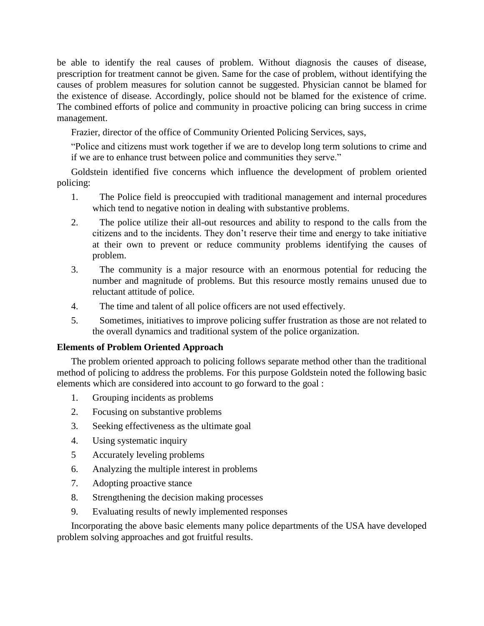be able to identify the real causes of problem. Without diagnosis the causes of disease, prescription for treatment cannot be given. Same for the case of problem, without identifying the causes of problem measures for solution cannot be suggested. Physician cannot be blamed for the existence of disease. Accordingly, police should not be blamed for the existence of crime. The combined efforts of police and community in proactive policing can bring success in crime management.

Frazier, director of the office of Community Oriented Policing Services, says,

"Police and citizens must work together if we are to develop long term solutions to crime and if we are to enhance trust between police and communities they serve."

Goldstein identified five concerns which influence the development of problem oriented policing:

- 1. The Police field is preoccupied with traditional management and internal procedures which tend to negative notion in dealing with substantive problems.
- 2. The police utilize their all-out resources and ability to respond to the calls from the citizens and to the incidents. They don"t reserve their time and energy to take initiative at their own to prevent or reduce community problems identifying the causes of problem.
- 3. The community is a major resource with an enormous potential for reducing the number and magnitude of problems. But this resource mostly remains unused due to reluctant attitude of police.
- 4. The time and talent of all police officers are not used effectively.
- 5. Sometimes, initiatives to improve policing suffer frustration as those are not related to the overall dynamics and traditional system of the police organization.

# **Elements of Problem Oriented Approach**

The problem oriented approach to policing follows separate method other than the traditional method of policing to address the problems. For this purpose Goldstein noted the following basic elements which are considered into account to go forward to the goal :

- 1. Grouping incidents as problems
- 2. Focusing on substantive problems
- 3. Seeking effectiveness as the ultimate goal
- 4. Using systematic inquiry
- 5 Accurately leveling problems
- 6. Analyzing the multiple interest in problems
- 7. Adopting proactive stance
- 8. Strengthening the decision making processes
- 9. Evaluating results of newly implemented responses

Incorporating the above basic elements many police departments of the USA have developed problem solving approaches and got fruitful results.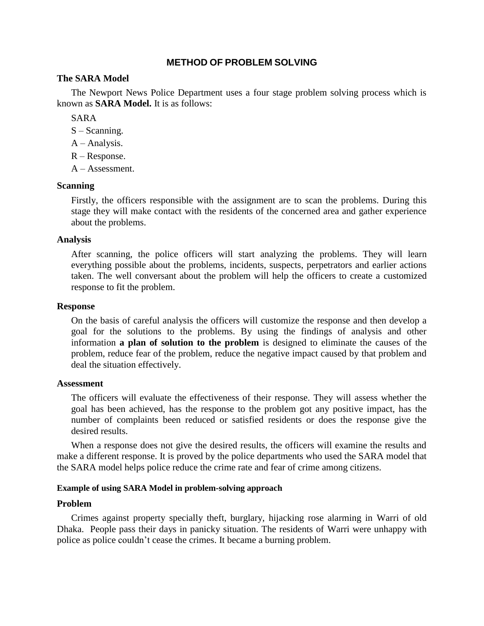# **METHOD OF PROBLEM SOLVING**

# **The SARA Model**

The Newport News Police Department uses a four stage problem solving process which is known as **SARA Model.** It is as follows:

SARA

- S Scanning.
- A Analysis.
- R Response.
- A Assessment.

# **Scanning**

Firstly, the officers responsible with the assignment are to scan the problems. During this stage they will make contact with the residents of the concerned area and gather experience about the problems.

# **Analysis**

After scanning, the police officers will start analyzing the problems. They will learn everything possible about the problems, incidents, suspects, perpetrators and earlier actions taken. The well conversant about the problem will help the officers to create a customized response to fit the problem.

# **Response**

On the basis of careful analysis the officers will customize the response and then develop a goal for the solutions to the problems. By using the findings of analysis and other information **a plan of solution to the problem** is designed to eliminate the causes of the problem, reduce fear of the problem, reduce the negative impact caused by that problem and deal the situation effectively.

# **Assessment**

The officers will evaluate the effectiveness of their response. They will assess whether the goal has been achieved, has the response to the problem got any positive impact, has the number of complaints been reduced or satisfied residents or does the response give the desired results.

When a response does not give the desired results, the officers will examine the results and make a different response. It is proved by the police departments who used the SARA model that the SARA model helps police reduce the crime rate and fear of crime among citizens.

# **Example of using SARA Model in problem-solving approach**

# **Problem**

Crimes against property specially theft, burglary, hijacking rose alarming in Warri of old Dhaka. People pass their days in panicky situation. The residents of Warri were unhappy with police as police couldn"t cease the crimes. It became a burning problem.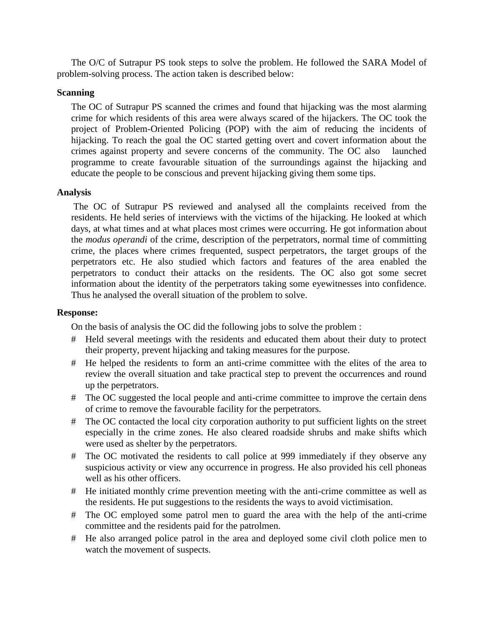The O/C of Sutrapur PS took steps to solve the problem. He followed the SARA Model of problem-solving process. The action taken is described below:

# **Scanning**

The OC of Sutrapur PS scanned the crimes and found that hijacking was the most alarming crime for which residents of this area were always scared of the hijackers. The OC took the project of Problem-Oriented Policing (POP) with the aim of reducing the incidents of hijacking. To reach the goal the OC started getting overt and covert information about the crimes against property and severe concerns of the community. The OC also launched programme to create favourable situation of the surroundings against the hijacking and educate the people to be conscious and prevent hijacking giving them some tips.

# **Analysis**

The OC of Sutrapur PS reviewed and analysed all the complaints received from the residents. He held series of interviews with the victims of the hijacking. He looked at which days, at what times and at what places most crimes were occurring. He got information about the *modus operandi* of the crime, description of the perpetrators, normal time of committing crime, the places where crimes frequented, suspect perpetrators, the target groups of the perpetrators etc. He also studied which factors and features of the area enabled the perpetrators to conduct their attacks on the residents. The OC also got some secret information about the identity of the perpetrators taking some eyewitnesses into confidence. Thus he analysed the overall situation of the problem to solve.

# **Response:**

On the basis of analysis the OC did the following jobs to solve the problem :

- # Held several meetings with the residents and educated them about their duty to protect their property, prevent hijacking and taking measures for the purpose.
- # He helped the residents to form an anti-crime committee with the elites of the area to review the overall situation and take practical step to prevent the occurrences and round up the perpetrators.
- # The OC suggested the local people and anti-crime committee to improve the certain dens of crime to remove the favourable facility for the perpetrators.
- # The OC contacted the local city corporation authority to put sufficient lights on the street especially in the crime zones. He also cleared roadside shrubs and make shifts which were used as shelter by the perpetrators.
- # The OC motivated the residents to call police at 999 immediately if they observe any suspicious activity or view any occurrence in progress. He also provided his cell phoneas well as his other officers.
- # He initiated monthly crime prevention meeting with the anti-crime committee as well as the residents. He put suggestions to the residents the ways to avoid victimisation.
- # The OC employed some patrol men to guard the area with the help of the anti-crime committee and the residents paid for the patrolmen.
- # He also arranged police patrol in the area and deployed some civil cloth police men to watch the movement of suspects.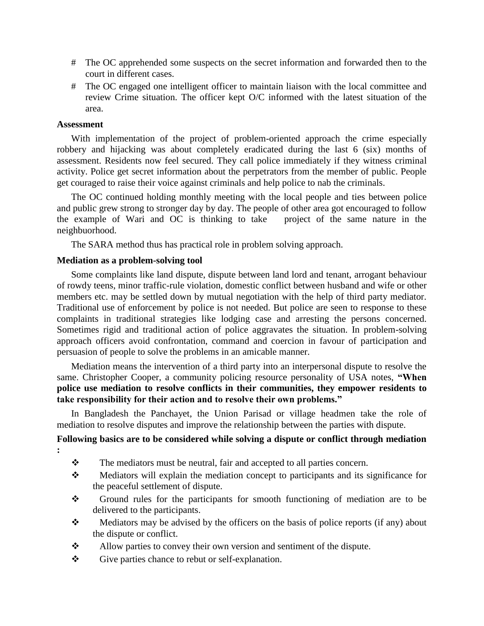- # The OC apprehended some suspects on the secret information and forwarded then to the court in different cases.
- # The OC engaged one intelligent officer to maintain liaison with the local committee and review Crime situation. The officer kept O/C informed with the latest situation of the area.

# **Assessment**

With implementation of the project of problem-oriented approach the crime especially robbery and hijacking was about completely eradicated during the last 6 (six) months of assessment. Residents now feel secured. They call police immediately if they witness criminal activity. Police get secret information about the perpetrators from the member of public. People get couraged to raise their voice against criminals and help police to nab the criminals.

The OC continued holding monthly meeting with the local people and ties between police and public grew strong to stronger day by day. The people of other area got encouraged to follow the example of Wari and OC is thinking to take project of the same nature in the neighbuorhood.

The SARA method thus has practical role in problem solving approach.

# **Mediation as a problem-solving tool**

Some complaints like land dispute, dispute between land lord and tenant, arrogant behaviour of rowdy teens, minor traffic-rule violation, domestic conflict between husband and wife or other members etc. may be settled down by mutual negotiation with the help of third party mediator. Traditional use of enforcement by police is not needed. But police are seen to response to these complaints in traditional strategies like lodging case and arresting the persons concerned. Sometimes rigid and traditional action of police aggravates the situation. In problem-solving approach officers avoid confrontation, command and coercion in favour of participation and persuasion of people to solve the problems in an amicable manner.

Mediation means the intervention of a third party into an interpersonal dispute to resolve the same. Christopher Cooper, a community policing resource personality of USA notes, **"When police use mediation to resolve conflicts in their communities, they empower residents to take responsibility for their action and to resolve their own problems."**

In Bangladesh the Panchayet, the Union Parisad or village headmen take the role of mediation to resolve disputes and improve the relationship between the parties with dispute.

# **Following basics are to be considered while solving a dispute or conflict through mediation :**

- \* The mediators must be neutral, fair and accepted to all parties concern.
- Mediators will explain the mediation concept to participants and its significance for the peaceful settlement of dispute.
- Ground rules for the participants for smooth functioning of mediation are to be delivered to the participants.
- $\mathbf{\hat{\cdot}}$  Mediators may be advised by the officers on the basis of police reports (if any) about the dispute or conflict.
- Allow parties to convey their own version and sentiment of the dispute.
- Give parties chance to rebut or self-explanation.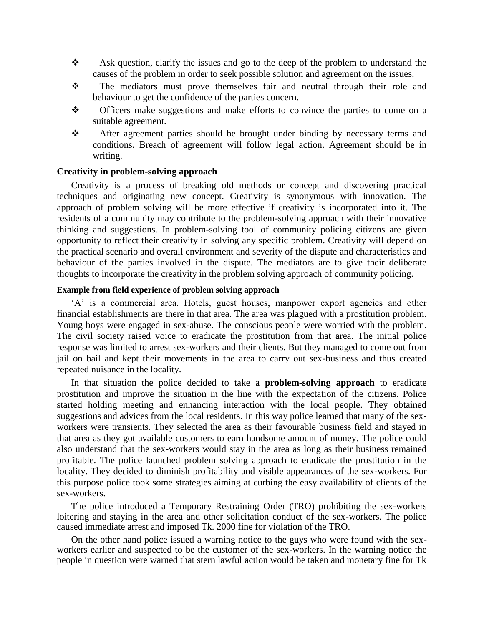- \* Ask question, clarify the issues and go to the deep of the problem to understand the causes of the problem in order to seek possible solution and agreement on the issues.
- The mediators must prove themselves fair and neutral through their role and behaviour to get the confidence of the parties concern.
- Officers make suggestions and make efforts to convince the parties to come on a suitable agreement.
- After agreement parties should be brought under binding by necessary terms and conditions. Breach of agreement will follow legal action. Agreement should be in writing.

# **Creativity in problem-solving approach**

Creativity is a process of breaking old methods or concept and discovering practical techniques and originating new concept. Creativity is synonymous with innovation. The approach of problem solving will be more effective if creativity is incorporated into it. The residents of a community may contribute to the problem-solving approach with their innovative thinking and suggestions. In problem-solving tool of community policing citizens are given opportunity to reflect their creativity in solving any specific problem. Creativity will depend on the practical scenario and overall environment and severity of the dispute and characteristics and behaviour of the parties involved in the dispute. The mediators are to give their deliberate thoughts to incorporate the creativity in the problem solving approach of community policing.

#### **Example from field experience of problem solving approach**

A' is a commercial area. Hotels, guest houses, manpower export agencies and other financial establishments are there in that area. The area was plagued with a prostitution problem. Young boys were engaged in sex-abuse. The conscious people were worried with the problem. The civil society raised voice to eradicate the prostitution from that area. The initial police response was limited to arrest sex-workers and their clients. But they managed to come out from jail on bail and kept their movements in the area to carry out sex-business and thus created repeated nuisance in the locality.

In that situation the police decided to take a **problem-solving approach** to eradicate prostitution and improve the situation in the line with the expectation of the citizens. Police started holding meeting and enhancing interaction with the local people. They obtained suggestions and advices from the local residents. In this way police learned that many of the sexworkers were transients. They selected the area as their favourable business field and stayed in that area as they got available customers to earn handsome amount of money. The police could also understand that the sex-workers would stay in the area as long as their business remained profitable. The police launched problem solving approach to eradicate the prostitution in the locality. They decided to diminish profitability and visible appearances of the sex-workers. For this purpose police took some strategies aiming at curbing the easy availability of clients of the sex-workers.

The police introduced a Temporary Restraining Order (TRO) prohibiting the sex-workers loitering and staying in the area and other solicitation conduct of the sex-workers. The police caused immediate arrest and imposed Tk. 2000 fine for violation of the TRO.

On the other hand police issued a warning notice to the guys who were found with the sexworkers earlier and suspected to be the customer of the sex-workers. In the warning notice the people in question were warned that stern lawful action would be taken and monetary fine for Tk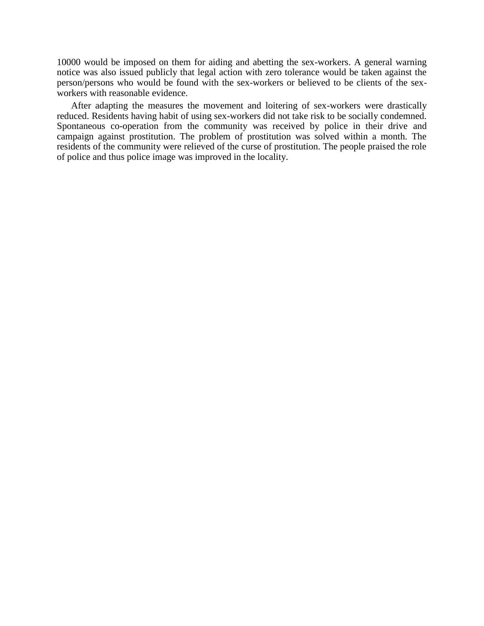10000 would be imposed on them for aiding and abetting the sex-workers. A general warning notice was also issued publicly that legal action with zero tolerance would be taken against the person/persons who would be found with the sex-workers or believed to be clients of the sexworkers with reasonable evidence.

After adapting the measures the movement and loitering of sex-workers were drastically reduced. Residents having habit of using sex-workers did not take risk to be socially condemned. Spontaneous co-operation from the community was received by police in their drive and campaign against prostitution. The problem of prostitution was solved within a month. The residents of the community were relieved of the curse of prostitution. The people praised the role of police and thus police image was improved in the locality.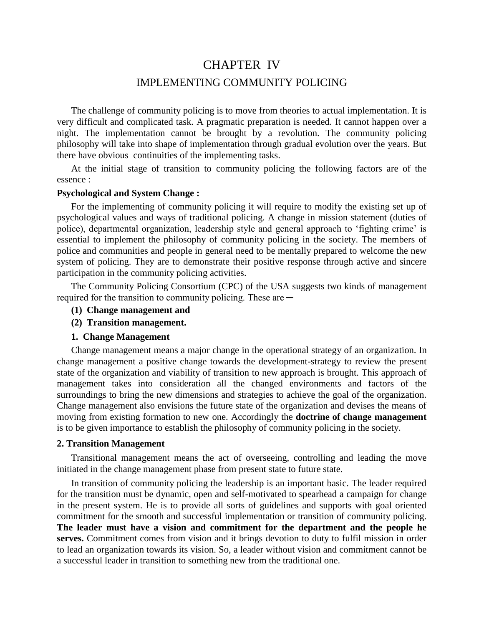# CHAPTER IV

# IMPLEMENTING COMMUNITY POLICING

The challenge of community policing is to move from theories to actual implementation. It is very difficult and complicated task. A pragmatic preparation is needed. It cannot happen over a night. The implementation cannot be brought by a revolution. The community policing philosophy will take into shape of implementation through gradual evolution over the years. But there have obvious continuities of the implementing tasks.

At the initial stage of transition to community policing the following factors are of the essence :

#### **Psychological and System Change :**

For the implementing of community policing it will require to modify the existing set up of psychological values and ways of traditional policing. A change in mission statement (duties of police), departmental organization, leadership style and general approach to "fighting crime" is essential to implement the philosophy of community policing in the society. The members of police and communities and people in general need to be mentally prepared to welcome the new system of policing. They are to demonstrate their positive response through active and sincere participation in the community policing activities.

The Community Policing Consortium (CPC) of the USA suggests two kinds of management required for the transition to community policing. These are  $-$ 

- **(1) Change management and**
- **(2) Transition management.**
- **1. Change Management**

Change management means a major change in the operational strategy of an organization. In change management a positive change towards the development-strategy to review the present state of the organization and viability of transition to new approach is brought. This approach of management takes into consideration all the changed environments and factors of the surroundings to bring the new dimensions and strategies to achieve the goal of the organization. Change management also envisions the future state of the organization and devises the means of moving from existing formation to new one. Accordingly the **doctrine of change management** is to be given importance to establish the philosophy of community policing in the society.

## **2. Transition Management**

Transitional management means the act of overseeing, controlling and leading the move initiated in the change management phase from present state to future state.

In transition of community policing the leadership is an important basic. The leader required for the transition must be dynamic, open and self-motivated to spearhead a campaign for change in the present system. He is to provide all sorts of guidelines and supports with goal oriented commitment for the smooth and successful implementation or transition of community policing. **The leader must have a vision and commitment for the department and the people he serves.** Commitment comes from vision and it brings devotion to duty to fulfil mission in order to lead an organization towards its vision. So, a leader without vision and commitment cannot be a successful leader in transition to something new from the traditional one.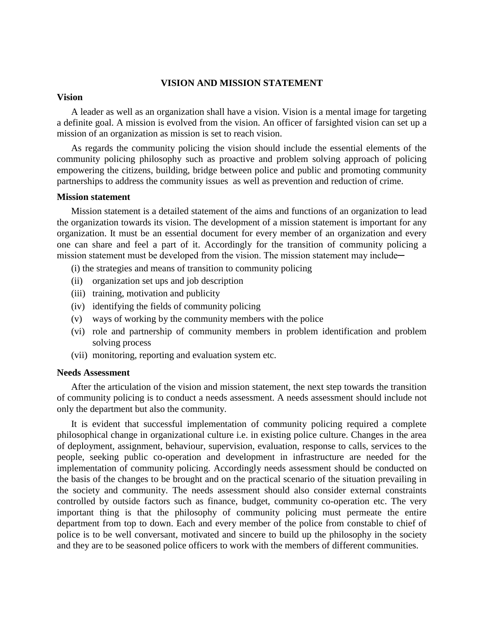#### **VISION AND MISSION STATEMENT**

#### **Vision**

A leader as well as an organization shall have a vision. Vision is a mental image for targeting a definite goal. A mission is evolved from the vision. An officer of farsighted vision can set up a mission of an organization as mission is set to reach vision.

As regards the community policing the vision should include the essential elements of the community policing philosophy such as proactive and problem solving approach of policing empowering the citizens, building, bridge between police and public and promoting community partnerships to address the community issues as well as prevention and reduction of crime.

## **Mission statement**

Mission statement is a detailed statement of the aims and functions of an organization to lead the organization towards its vision. The development of a mission statement is important for any organization. It must be an essential document for every member of an organization and every one can share and feel a part of it. Accordingly for the transition of community policing a mission statement must be developed from the vision. The mission statement may include—

(i) the strategies and means of transition to community policing

- (ii) organization set ups and job description
- (iii) training, motivation and publicity
- (iv) identifying the fields of community policing
- (v) ways of working by the community members with the police
- (vi) role and partnership of community members in problem identification and problem solving process
- (vii) monitoring, reporting and evaluation system etc.

#### **Needs Assessment**

After the articulation of the vision and mission statement, the next step towards the transition of community policing is to conduct a needs assessment. A needs assessment should include not only the department but also the community.

It is evident that successful implementation of community policing required a complete philosophical change in organizational culture i.e. in existing police culture. Changes in the area of deployment, assignment, behaviour, supervision, evaluation, response to calls, services to the people, seeking public co-operation and development in infrastructure are needed for the implementation of community policing. Accordingly needs assessment should be conducted on the basis of the changes to be brought and on the practical scenario of the situation prevailing in the society and community. The needs assessment should also consider external constraints controlled by outside factors such as finance, budget, community co-operation etc. The very important thing is that the philosophy of community policing must permeate the entire department from top to down. Each and every member of the police from constable to chief of police is to be well conversant, motivated and sincere to build up the philosophy in the society and they are to be seasoned police officers to work with the members of different communities.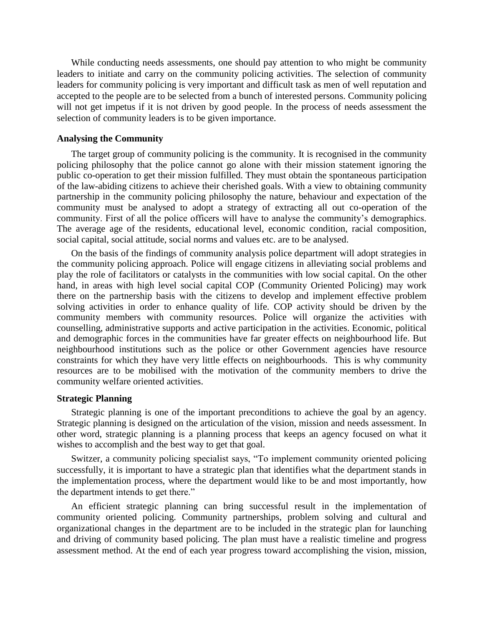While conducting needs assessments, one should pay attention to who might be community leaders to initiate and carry on the community policing activities. The selection of community leaders for community policing is very important and difficult task as men of well reputation and accepted to the people are to be selected from a bunch of interested persons. Community policing will not get impetus if it is not driven by good people. In the process of needs assessment the selection of community leaders is to be given importance.

#### **Analysing the Community**

The target group of community policing is the community. It is recognised in the community policing philosophy that the police cannot go alone with their mission statement ignoring the public co-operation to get their mission fulfilled. They must obtain the spontaneous participation of the law-abiding citizens to achieve their cherished goals. With a view to obtaining community partnership in the community policing philosophy the nature, behaviour and expectation of the community must be analysed to adopt a strategy of extracting all out co-operation of the community. First of all the police officers will have to analyse the community"s demographics. The average age of the residents, educational level, economic condition, racial composition, social capital, social attitude, social norms and values etc. are to be analysed.

On the basis of the findings of community analysis police department will adopt strategies in the community policing approach. Police will engage citizens in alleviating social problems and play the role of facilitators or catalysts in the communities with low social capital. On the other hand, in areas with high level social capital COP (Community Oriented Policing) may work there on the partnership basis with the citizens to develop and implement effective problem solving activities in order to enhance quality of life. COP activity should be driven by the community members with community resources. Police will organize the activities with counselling, administrative supports and active participation in the activities. Economic, political and demographic forces in the communities have far greater effects on neighbourhood life. But neighbourhood institutions such as the police or other Government agencies have resource constraints for which they have very little effects on neighbourhoods. This is why community resources are to be mobilised with the motivation of the community members to drive the community welfare oriented activities.

#### **Strategic Planning**

Strategic planning is one of the important preconditions to achieve the goal by an agency. Strategic planning is designed on the articulation of the vision, mission and needs assessment. In other word, strategic planning is a planning process that keeps an agency focused on what it wishes to accomplish and the best way to get that goal.

Switzer, a community policing specialist says, "To implement community oriented policing successfully, it is important to have a strategic plan that identifies what the department stands in the implementation process, where the department would like to be and most importantly, how the department intends to get there."

An efficient strategic planning can bring successful result in the implementation of community oriented policing. Community partnerships, problem solving and cultural and organizational changes in the department are to be included in the strategic plan for launching and driving of community based policing. The plan must have a realistic timeline and progress assessment method. At the end of each year progress toward accomplishing the vision, mission,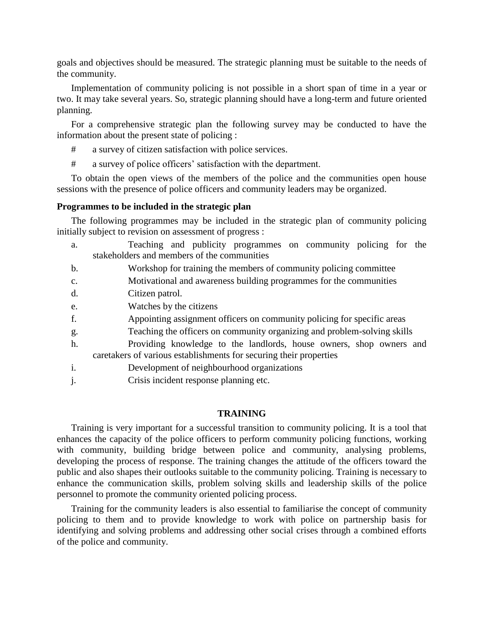goals and objectives should be measured. The strategic planning must be suitable to the needs of the community.

Implementation of community policing is not possible in a short span of time in a year or two. It may take several years. So, strategic planning should have a long-term and future oriented planning.

For a comprehensive strategic plan the following survey may be conducted to have the information about the present state of policing :

- # a survey of citizen satisfaction with police services.
- # a survey of police officers" satisfaction with the department.

To obtain the open views of the members of the police and the communities open house sessions with the presence of police officers and community leaders may be organized.

# **Programmes to be included in the strategic plan**

The following programmes may be included in the strategic plan of community policing initially subject to revision on assessment of progress :

- a. Teaching and publicity programmes on community policing for the stakeholders and members of the communities
- b. Workshop for training the members of community policing committee
- c. Motivational and awareness building programmes for the communities
- d. Citizen patrol.
- e. Watches by the citizens
- f. Appointing assignment officers on community policing for specific areas
- g. Teaching the officers on community organizing and problem-solving skills
- h. Providing knowledge to the landlords, house owners, shop owners and caretakers of various establishments for securing their properties
- i. Development of neighbourhood organizations
- j. Crisis incident response planning etc.

# **TRAINING**

Training is very important for a successful transition to community policing. It is a tool that enhances the capacity of the police officers to perform community policing functions, working with community, building bridge between police and community, analysing problems, developing the process of response. The training changes the attitude of the officers toward the public and also shapes their outlooks suitable to the community policing. Training is necessary to enhance the communication skills, problem solving skills and leadership skills of the police personnel to promote the community oriented policing process.

Training for the community leaders is also essential to familiarise the concept of community policing to them and to provide knowledge to work with police on partnership basis for identifying and solving problems and addressing other social crises through a combined efforts of the police and community.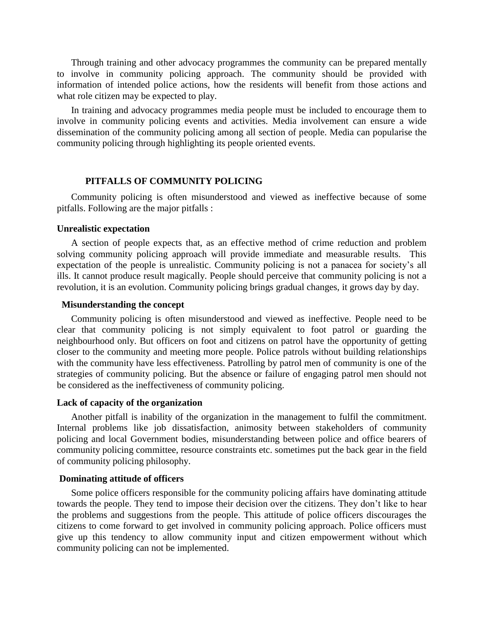Through training and other advocacy programmes the community can be prepared mentally to involve in community policing approach. The community should be provided with information of intended police actions, how the residents will benefit from those actions and what role citizen may be expected to play.

In training and advocacy programmes media people must be included to encourage them to involve in community policing events and activities. Media involvement can ensure a wide dissemination of the community policing among all section of people. Media can popularise the community policing through highlighting its people oriented events.

#### **PITFALLS OF COMMUNITY POLICING**

Community policing is often misunderstood and viewed as ineffective because of some pitfalls. Following are the major pitfalls :

#### **Unrealistic expectation**

A section of people expects that, as an effective method of crime reduction and problem solving community policing approach will provide immediate and measurable results. This expectation of the people is unrealistic. Community policing is not a panacea for society"s all ills. It cannot produce result magically. People should perceive that community policing is not a revolution, it is an evolution. Community policing brings gradual changes, it grows day by day.

#### **Misunderstanding the concept**

Community policing is often misunderstood and viewed as ineffective. People need to be clear that community policing is not simply equivalent to foot patrol or guarding the neighbourhood only. But officers on foot and citizens on patrol have the opportunity of getting closer to the community and meeting more people. Police patrols without building relationships with the community have less effectiveness. Patrolling by patrol men of community is one of the strategies of community policing. But the absence or failure of engaging patrol men should not be considered as the ineffectiveness of community policing.

#### **Lack of capacity of the organization**

Another pitfall is inability of the organization in the management to fulfil the commitment. Internal problems like job dissatisfaction, animosity between stakeholders of community policing and local Government bodies, misunderstanding between police and office bearers of community policing committee, resource constraints etc. sometimes put the back gear in the field of community policing philosophy.

# **Dominating attitude of officers**

Some police officers responsible for the community policing affairs have dominating attitude towards the people. They tend to impose their decision over the citizens. They don"t like to hear the problems and suggestions from the people. This attitude of police officers discourages the citizens to come forward to get involved in community policing approach. Police officers must give up this tendency to allow community input and citizen empowerment without which community policing can not be implemented.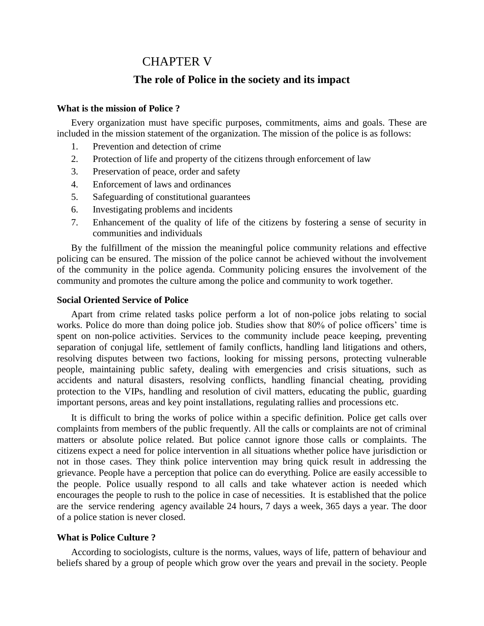# CHAPTER V

# **The role of Police in the society and its impact**

# **What is the mission of Police ?**

Every organization must have specific purposes, commitments, aims and goals. These are included in the mission statement of the organization. The mission of the police is as follows:

- 1. Prevention and detection of crime
- 2. Protection of life and property of the citizens through enforcement of law
- 3. Preservation of peace, order and safety
- 4. Enforcement of laws and ordinances
- 5. Safeguarding of constitutional guarantees
- 6. Investigating problems and incidents
- 7. Enhancement of the quality of life of the citizens by fostering a sense of security in communities and individuals

By the fulfillment of the mission the meaningful police community relations and effective policing can be ensured. The mission of the police cannot be achieved without the involvement of the community in the police agenda. Community policing ensures the involvement of the community and promotes the culture among the police and community to work together.

# **Social Oriented Service of Police**

Apart from crime related tasks police perform a lot of non-police jobs relating to social works. Police do more than doing police job. Studies show that 80% of police officers' time is spent on non-police activities. Services to the community include peace keeping, preventing separation of conjugal life, settlement of family conflicts, handling land litigations and others, resolving disputes between two factions, looking for missing persons, protecting vulnerable people, maintaining public safety, dealing with emergencies and crisis situations, such as accidents and natural disasters, resolving conflicts, handling financial cheating, providing protection to the VIPs, handling and resolution of civil matters, educating the public, guarding important persons, areas and key point installations, regulating rallies and processions etc.

It is difficult to bring the works of police within a specific definition. Police get calls over complaints from members of the public frequently. All the calls or complaints are not of criminal matters or absolute police related. But police cannot ignore those calls or complaints. The citizens expect a need for police intervention in all situations whether police have jurisdiction or not in those cases. They think police intervention may bring quick result in addressing the grievance. People have a perception that police can do everything. Police are easily accessible to the people. Police usually respond to all calls and take whatever action is needed which encourages the people to rush to the police in case of necessities. It is established that the police are the service rendering agency available 24 hours, 7 days a week, 365 days a year. The door of a police station is never closed.

# **What is Police Culture ?**

According to sociologists, culture is the norms, values, ways of life, pattern of behaviour and beliefs shared by a group of people which grow over the years and prevail in the society. People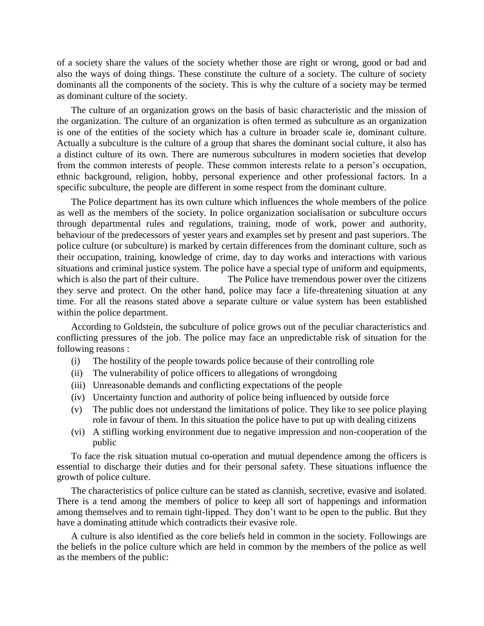of a society share the values of the society whether those are right or wrong, good or bad and also the ways of doing things. These constitute the culture of a society. The culture of society dominants all the components of the society. This is why the culture of a society may be termed as dominant culture of the society.

The culture of an organization grows on the basis of basic characteristic and the mission of the organization. The culture of an organization is often termed as subculture as an organization is one of the entities of the society which has a culture in broader scale ie, dominant culture. Actually a subculture is the culture of a group that shares the dominant social culture, it also has a distinct culture of its own. There are numerous subcultures in modern societies that develop from the common interests of people. These common interests relate to a person"s occupation, ethnic background, religion, hobby, personal experience and other professional factors. In a specific subculture, the people are different in some respect from the dominant culture.

The Police department has its own culture which influences the whole members of the police as well as the members of the society. In police organization socialisation or subculture occurs through departmental rules and regulations, training, mode of work, power and authority, behaviour of the predecessors of yester years and examples set by present and past superiors. The police culture (or subculture) is marked by certain differences from the dominant culture, such as their occupation, training, knowledge of crime, day to day works and interactions with various situations and criminal justice system. The police have a special type of uniform and equipments, which is also the part of their culture. The Police have tremendous power over the citizens they serve and protect. On the other hand, police may face a life-threatening situation at any time. For all the reasons stated above a separate culture or value system has been established within the police department.

According to Goldstein, the subculture of police grows out of the peculiar characteristics and conflicting pressures of the job. The police may face an unpredictable risk of situation for the following reasons :

- (i) The hostility of the people towards police because of their controlling role
- (ii) The vulnerability of police officers to allegations of wrongdoing
- (iii) Unreasonable demands and conflicting expectations of the people
- (iv) Uncertainty function and authority of police being influenced by outside force
- (v) The public does not understand the limitations of police. They like to see police playing role in favour of them. In this situation the police have to put up with dealing citizens
- (vi) A stifling working environment due to negative impression and non-cooperation of the public

To face the risk situation mutual co-operation and mutual dependence among the officers is essential to discharge their duties and for their personal safety. These situations influence the growth of police culture.

The characteristics of police culture can be stated as clannish, secretive, evasive and isolated. There is a tend among the members of police to keep all sort of happenings and information among themselves and to remain tight-lipped. They don't want to be open to the public. But they have a dominating attitude which contradicts their evasive role.

A culture is also identified as the core beliefs held in common in the society. Followings are the beliefs in the police culture which are held in common by the members of the police as well as the members of the public: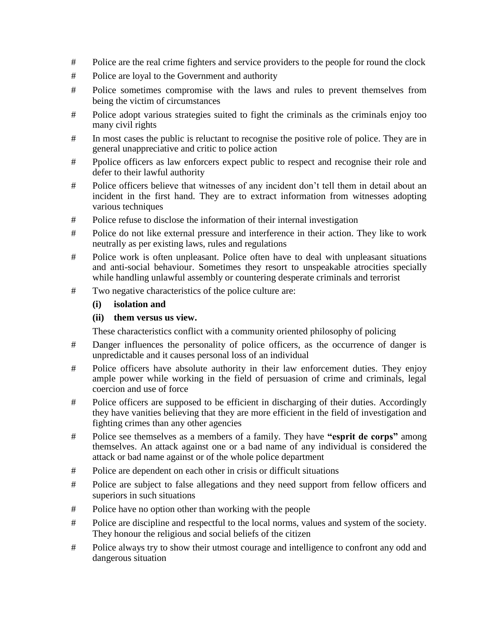- # Police are the real crime fighters and service providers to the people for round the clock
- # Police are loyal to the Government and authority
- # Police sometimes compromise with the laws and rules to prevent themselves from being the victim of circumstances
- # Police adopt various strategies suited to fight the criminals as the criminals enjoy too many civil rights
- # In most cases the public is reluctant to recognise the positive role of police. They are in general unappreciative and critic to police action
- # Ppolice officers as law enforcers expect public to respect and recognise their role and defer to their lawful authority
- # Police officers believe that witnesses of any incident don"t tell them in detail about an incident in the first hand. They are to extract information from witnesses adopting various techniques
- # Police refuse to disclose the information of their internal investigation
- # Police do not like external pressure and interference in their action. They like to work neutrally as per existing laws, rules and regulations
- # Police work is often unpleasant. Police often have to deal with unpleasant situations and anti-social behaviour. Sometimes they resort to unspeakable atrocities specially while handling unlawful assembly or countering desperate criminals and terrorist
- # Two negative characteristics of the police culture are:

# **(i) isolation and**

# **(ii) them versus us view.**

These characteristics conflict with a community oriented philosophy of policing

- # Danger influences the personality of police officers, as the occurrence of danger is unpredictable and it causes personal loss of an individual
- # Police officers have absolute authority in their law enforcement duties. They enjoy ample power while working in the field of persuasion of crime and criminals, legal coercion and use of force
- # Police officers are supposed to be efficient in discharging of their duties. Accordingly they have vanities believing that they are more efficient in the field of investigation and fighting crimes than any other agencies
- # Police see themselves as a members of a family. They have **"esprit de corps"** among themselves. An attack against one or a bad name of any individual is considered the attack or bad name against or of the whole police department
- # Police are dependent on each other in crisis or difficult situations
- # Police are subject to false allegations and they need support from fellow officers and superiors in such situations
- # Police have no option other than working with the people
- # Police are discipline and respectful to the local norms, values and system of the society. They honour the religious and social beliefs of the citizen
- # Police always try to show their utmost courage and intelligence to confront any odd and dangerous situation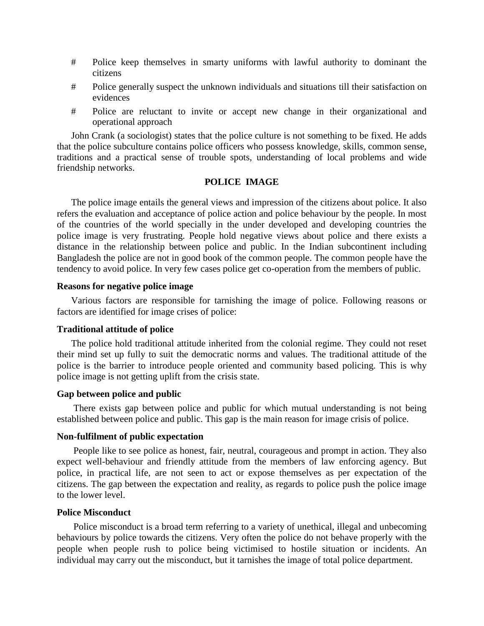- # Police keep themselves in smarty uniforms with lawful authority to dominant the citizens
- # Police generally suspect the unknown individuals and situations till their satisfaction on evidences
- # Police are reluctant to invite or accept new change in their organizational and operational approach

John Crank (a sociologist) states that the police culture is not something to be fixed. He adds that the police subculture contains police officers who possess knowledge, skills, common sense, traditions and a practical sense of trouble spots, understanding of local problems and wide friendship networks.

# **POLICE IMAGE**

The police image entails the general views and impression of the citizens about police. It also refers the evaluation and acceptance of police action and police behaviour by the people. In most of the countries of the world specially in the under developed and developing countries the police image is very frustrating. People hold negative views about police and there exists a distance in the relationship between police and public. In the Indian subcontinent including Bangladesh the police are not in good book of the common people. The common people have the tendency to avoid police. In very few cases police get co-operation from the members of public.

## **Reasons for negative police image**

Various factors are responsible for tarnishing the image of police. Following reasons or factors are identified for image crises of police:

# **Traditional attitude of police**

The police hold traditional attitude inherited from the colonial regime. They could not reset their mind set up fully to suit the democratic norms and values. The traditional attitude of the police is the barrier to introduce people oriented and community based policing. This is why police image is not getting uplift from the crisis state.

#### **Gap between police and public**

There exists gap between police and public for which mutual understanding is not being established between police and public. This gap is the main reason for image crisis of police.

#### **Non-fulfilment of public expectation**

People like to see police as honest, fair, neutral, courageous and prompt in action. They also expect well-behaviour and friendly attitude from the members of law enforcing agency. But police, in practical life, are not seen to act or expose themselves as per expectation of the citizens. The gap between the expectation and reality, as regards to police push the police image to the lower level.

# **Police Misconduct**

Police misconduct is a broad term referring to a variety of unethical, illegal and unbecoming behaviours by police towards the citizens. Very often the police do not behave properly with the people when people rush to police being victimised to hostile situation or incidents. An individual may carry out the misconduct, but it tarnishes the image of total police department.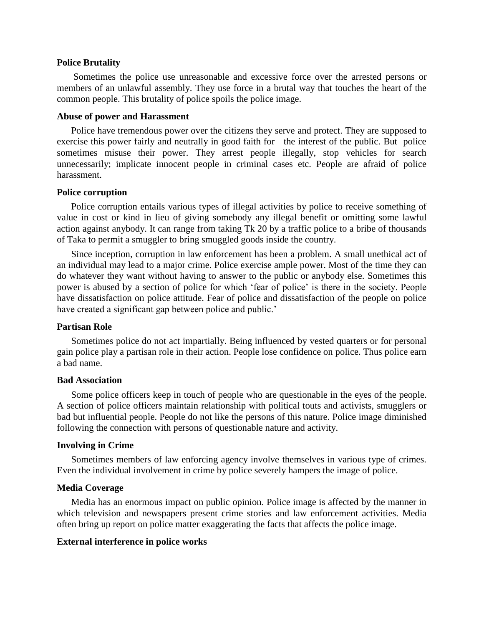#### **Police Brutality**

Sometimes the police use unreasonable and excessive force over the arrested persons or members of an unlawful assembly. They use force in a brutal way that touches the heart of the common people. This brutality of police spoils the police image.

## **Abuse of power and Harassment**

Police have tremendous power over the citizens they serve and protect. They are supposed to exercise this power fairly and neutrally in good faith for the interest of the public. But police sometimes misuse their power. They arrest people illegally, stop vehicles for search unnecessarily; implicate innocent people in criminal cases etc. People are afraid of police harassment.

#### **Police corruption**

Police corruption entails various types of illegal activities by police to receive something of value in cost or kind in lieu of giving somebody any illegal benefit or omitting some lawful action against anybody. It can range from taking Tk 20 by a traffic police to a bribe of thousands of Taka to permit a smuggler to bring smuggled goods inside the country.

Since inception, corruption in law enforcement has been a problem. A small unethical act of an individual may lead to a major crime. Police exercise ample power. Most of the time they can do whatever they want without having to answer to the public or anybody else. Sometimes this power is abused by a section of police for which "fear of police" is there in the society. People have dissatisfaction on police attitude. Fear of police and dissatisfaction of the people on police have created a significant gap between police and public.'

# **Partisan Role**

Sometimes police do not act impartially. Being influenced by vested quarters or for personal gain police play a partisan role in their action. People lose confidence on police. Thus police earn a bad name.

#### **Bad Association**

Some police officers keep in touch of people who are questionable in the eyes of the people. A section of police officers maintain relationship with political touts and activists, smugglers or bad but influential people. People do not like the persons of this nature. Police image diminished following the connection with persons of questionable nature and activity.

# **Involving in Crime**

Sometimes members of law enforcing agency involve themselves in various type of crimes. Even the individual involvement in crime by police severely hampers the image of police.

# **Media Coverage**

Media has an enormous impact on public opinion. Police image is affected by the manner in which television and newspapers present crime stories and law enforcement activities. Media often bring up report on police matter exaggerating the facts that affects the police image.

# **External interference in police works**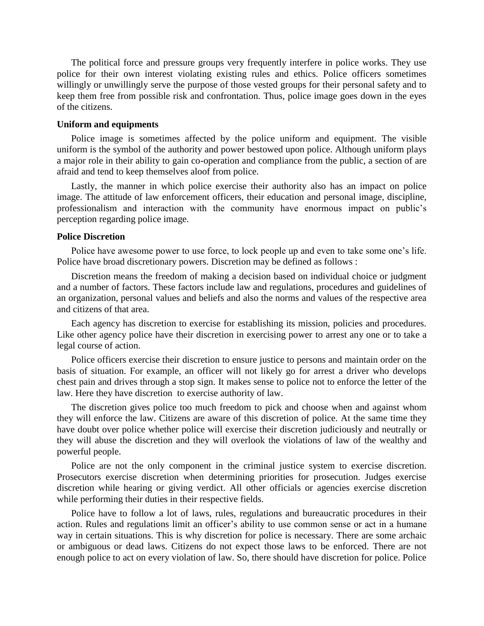The political force and pressure groups very frequently interfere in police works. They use police for their own interest violating existing rules and ethics. Police officers sometimes willingly or unwillingly serve the purpose of those vested groups for their personal safety and to keep them free from possible risk and confrontation. Thus, police image goes down in the eyes of the citizens.

#### **Uniform and equipments**

Police image is sometimes affected by the police uniform and equipment. The visible uniform is the symbol of the authority and power bestowed upon police. Although uniform plays a major role in their ability to gain co-operation and compliance from the public, a section of are afraid and tend to keep themselves aloof from police.

Lastly, the manner in which police exercise their authority also has an impact on police image. The attitude of law enforcement officers, their education and personal image, discipline, professionalism and interaction with the community have enormous impact on public"s perception regarding police image.

## **Police Discretion**

Police have awesome power to use force, to lock people up and even to take some one's life. Police have broad discretionary powers. Discretion may be defined as follows :

Discretion means the freedom of making a decision based on individual choice or judgment and a number of factors. These factors include law and regulations, procedures and guidelines of an organization, personal values and beliefs and also the norms and values of the respective area and citizens of that area.

Each agency has discretion to exercise for establishing its mission, policies and procedures. Like other agency police have their discretion in exercising power to arrest any one or to take a legal course of action.

Police officers exercise their discretion to ensure justice to persons and maintain order on the basis of situation. For example, an officer will not likely go for arrest a driver who develops chest pain and drives through a stop sign. It makes sense to police not to enforce the letter of the law. Here they have discretion to exercise authority of law.

The discretion gives police too much freedom to pick and choose when and against whom they will enforce the law. Citizens are aware of this discretion of police. At the same time they have doubt over police whether police will exercise their discretion judiciously and neutrally or they will abuse the discretion and they will overlook the violations of law of the wealthy and powerful people.

Police are not the only component in the criminal justice system to exercise discretion. Prosecutors exercise discretion when determining priorities for prosecution. Judges exercise discretion while hearing or giving verdict. All other officials or agencies exercise discretion while performing their duties in their respective fields.

Police have to follow a lot of laws, rules, regulations and bureaucratic procedures in their action. Rules and regulations limit an officer"s ability to use common sense or act in a humane way in certain situations. This is why discretion for police is necessary. There are some archaic or ambiguous or dead laws. Citizens do not expect those laws to be enforced. There are not enough police to act on every violation of law. So, there should have discretion for police. Police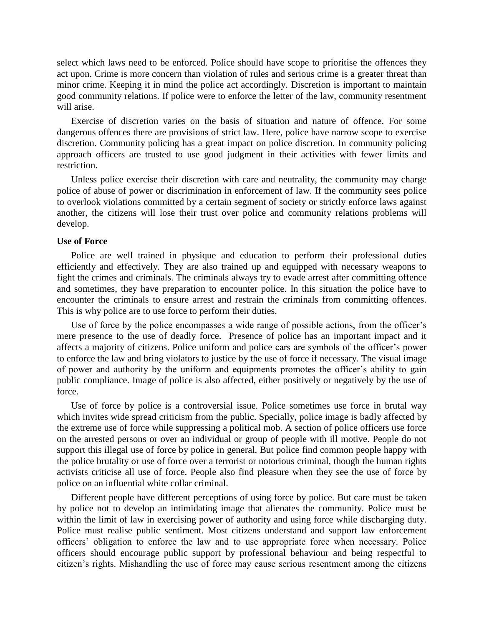select which laws need to be enforced. Police should have scope to prioritise the offences they act upon. Crime is more concern than violation of rules and serious crime is a greater threat than minor crime. Keeping it in mind the police act accordingly. Discretion is important to maintain good community relations. If police were to enforce the letter of the law, community resentment will arise.

Exercise of discretion varies on the basis of situation and nature of offence. For some dangerous offences there are provisions of strict law. Here, police have narrow scope to exercise discretion. Community policing has a great impact on police discretion. In community policing approach officers are trusted to use good judgment in their activities with fewer limits and restriction.

Unless police exercise their discretion with care and neutrality, the community may charge police of abuse of power or discrimination in enforcement of law. If the community sees police to overlook violations committed by a certain segment of society or strictly enforce laws against another, the citizens will lose their trust over police and community relations problems will develop.

#### **Use of Force**

Police are well trained in physique and education to perform their professional duties efficiently and effectively. They are also trained up and equipped with necessary weapons to fight the crimes and criminals. The criminals always try to evade arrest after committing offence and sometimes, they have preparation to encounter police. In this situation the police have to encounter the criminals to ensure arrest and restrain the criminals from committing offences. This is why police are to use force to perform their duties.

Use of force by the police encompasses a wide range of possible actions, from the officer's mere presence to the use of deadly force. Presence of police has an important impact and it affects a majority of citizens. Police uniform and police cars are symbols of the officer"s power to enforce the law and bring violators to justice by the use of force if necessary. The visual image of power and authority by the uniform and equipments promotes the officer"s ability to gain public compliance. Image of police is also affected, either positively or negatively by the use of force.

Use of force by police is a controversial issue. Police sometimes use force in brutal way which invites wide spread criticism from the public. Specially, police image is badly affected by the extreme use of force while suppressing a political mob. A section of police officers use force on the arrested persons or over an individual or group of people with ill motive. People do not support this illegal use of force by police in general. But police find common people happy with the police brutality or use of force over a terrorist or notorious criminal, though the human rights activists criticise all use of force. People also find pleasure when they see the use of force by police on an influential white collar criminal.

Different people have different perceptions of using force by police. But care must be taken by police not to develop an intimidating image that alienates the community. Police must be within the limit of law in exercising power of authority and using force while discharging duty. Police must realise public sentiment. Most citizens understand and support law enforcement officers" obligation to enforce the law and to use appropriate force when necessary. Police officers should encourage public support by professional behaviour and being respectful to citizen"s rights. Mishandling the use of force may cause serious resentment among the citizens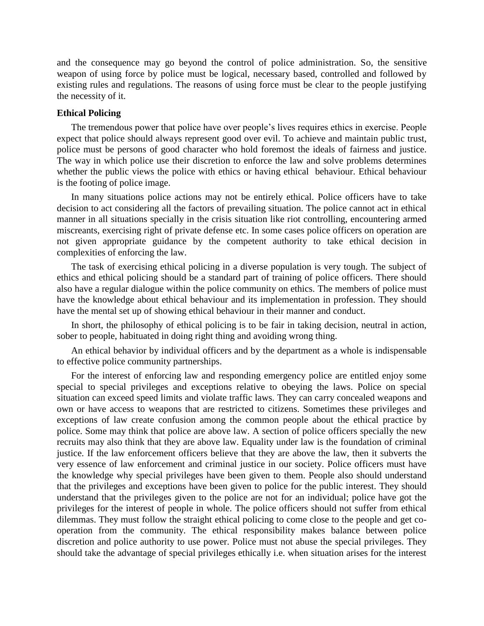and the consequence may go beyond the control of police administration. So, the sensitive weapon of using force by police must be logical, necessary based, controlled and followed by existing rules and regulations. The reasons of using force must be clear to the people justifying the necessity of it.

# **Ethical Policing**

The tremendous power that police have over people's lives requires ethics in exercise. People expect that police should always represent good over evil. To achieve and maintain public trust, police must be persons of good character who hold foremost the ideals of fairness and justice. The way in which police use their discretion to enforce the law and solve problems determines whether the public views the police with ethics or having ethical behaviour. Ethical behaviour is the footing of police image.

In many situations police actions may not be entirely ethical. Police officers have to take decision to act considering all the factors of prevailing situation. The police cannot act in ethical manner in all situations specially in the crisis situation like riot controlling, encountering armed miscreants, exercising right of private defense etc. In some cases police officers on operation are not given appropriate guidance by the competent authority to take ethical decision in complexities of enforcing the law.

The task of exercising ethical policing in a diverse population is very tough. The subject of ethics and ethical policing should be a standard part of training of police officers. There should also have a regular dialogue within the police community on ethics. The members of police must have the knowledge about ethical behaviour and its implementation in profession. They should have the mental set up of showing ethical behaviour in their manner and conduct.

In short, the philosophy of ethical policing is to be fair in taking decision, neutral in action, sober to people, habituated in doing right thing and avoiding wrong thing.

An ethical behavior by individual officers and by the department as a whole is indispensable to effective police community partnerships.

For the interest of enforcing law and responding emergency police are entitled enjoy some special to special privileges and exceptions relative to obeying the laws. Police on special situation can exceed speed limits and violate traffic laws. They can carry concealed weapons and own or have access to weapons that are restricted to citizens. Sometimes these privileges and exceptions of law create confusion among the common people about the ethical practice by police. Some may think that police are above law. A section of police officers specially the new recruits may also think that they are above law. Equality under law is the foundation of criminal justice. If the law enforcement officers believe that they are above the law, then it subverts the very essence of law enforcement and criminal justice in our society. Police officers must have the knowledge why special privileges have been given to them. People also should understand that the privileges and exceptions have been given to police for the public interest. They should understand that the privileges given to the police are not for an individual; police have got the privileges for the interest of people in whole. The police officers should not suffer from ethical dilemmas. They must follow the straight ethical policing to come close to the people and get cooperation from the community. The ethical responsibility makes balance between police discretion and police authority to use power. Police must not abuse the special privileges. They should take the advantage of special privileges ethically i.e. when situation arises for the interest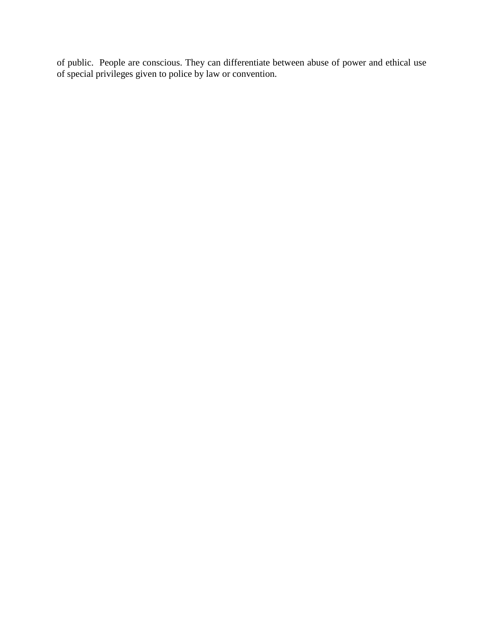of public. People are conscious. They can differentiate between abuse of power and ethical use of special privileges given to police by law or convention.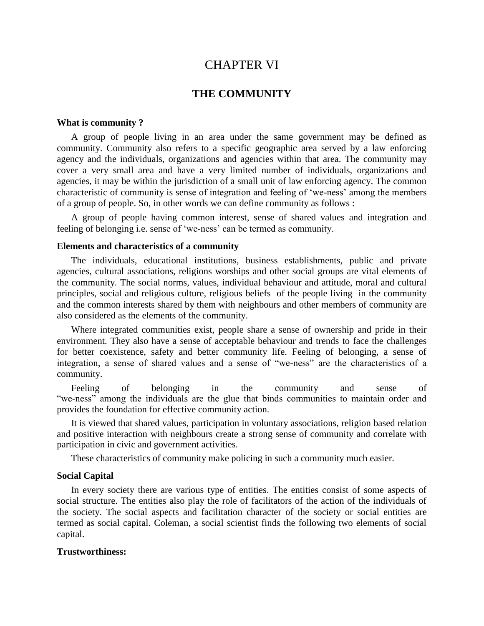# CHAPTER VI

# **THE COMMUNITY**

#### **What is community ?**

A group of people living in an area under the same government may be defined as community. Community also refers to a specific geographic area served by a law enforcing agency and the individuals, organizations and agencies within that area. The community may cover a very small area and have a very limited number of individuals, organizations and agencies, it may be within the jurisdiction of a small unit of law enforcing agency. The common characteristic of community is sense of integration and feeling of "we-ness" among the members of a group of people. So, in other words we can define community as follows :

A group of people having common interest, sense of shared values and integration and feeling of belonging i.e. sense of "we-ness" can be termed as community.

#### **Elements and characteristics of a community**

The individuals, educational institutions, business establishments, public and private agencies, cultural associations, religions worships and other social groups are vital elements of the community. The social norms, values, individual behaviour and attitude, moral and cultural principles, social and religious culture, religious beliefs of the people living in the community and the common interests shared by them with neighbours and other members of community are also considered as the elements of the community.

Where integrated communities exist, people share a sense of ownership and pride in their environment. They also have a sense of acceptable behaviour and trends to face the challenges for better coexistence, safety and better community life. Feeling of belonging, a sense of integration, a sense of shared values and a sense of "we-ness" are the characteristics of a community.

Feeling of belonging in the community and sense of "we-ness" among the individuals are the glue that binds communities to maintain order and provides the foundation for effective community action.

It is viewed that shared values, participation in voluntary associations, religion based relation and positive interaction with neighbours create a strong sense of community and correlate with participation in civic and government activities.

These characteristics of community make policing in such a community much easier.

#### **Social Capital**

In every society there are various type of entities. The entities consist of some aspects of social structure. The entities also play the role of facilitators of the action of the individuals of the society. The social aspects and facilitation character of the society or social entities are termed as social capital. Coleman, a social scientist finds the following two elements of social capital.

# **Trustworthiness:**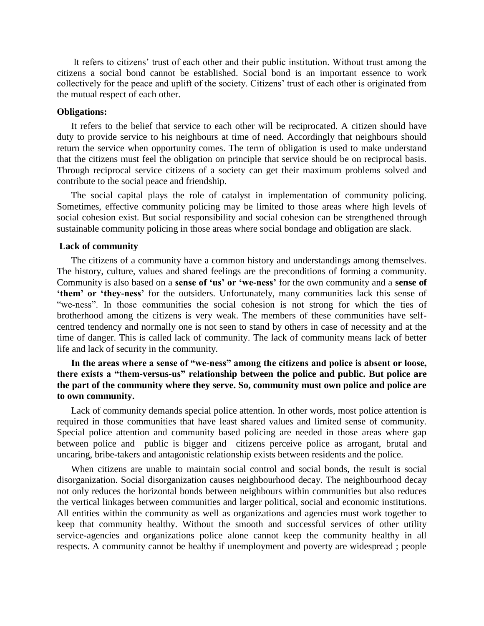It refers to citizens" trust of each other and their public institution. Without trust among the citizens a social bond cannot be established. Social bond is an important essence to work collectively for the peace and uplift of the society. Citizens" trust of each other is originated from the mutual respect of each other.

#### **Obligations:**

It refers to the belief that service to each other will be reciprocated. A citizen should have duty to provide service to his neighbours at time of need. Accordingly that neighbours should return the service when opportunity comes. The term of obligation is used to make understand that the citizens must feel the obligation on principle that service should be on reciprocal basis. Through reciprocal service citizens of a society can get their maximum problems solved and contribute to the social peace and friendship.

The social capital plays the role of catalyst in implementation of community policing. Sometimes, effective community policing may be limited to those areas where high levels of social cohesion exist. But social responsibility and social cohesion can be strengthened through sustainable community policing in those areas where social bondage and obligation are slack.

#### **Lack of community**

The citizens of a community have a common history and understandings among themselves. The history, culture, values and shared feelings are the preconditions of forming a community. Community is also based on a **sense of "us" or "we-ness"** for the own community and a **sense of "them" or "they-ness"** for the outsiders. Unfortunately, many communities lack this sense of "we-ness". In those communities the social cohesion is not strong for which the ties of brotherhood among the citizens is very weak. The members of these communities have selfcentred tendency and normally one is not seen to stand by others in case of necessity and at the time of danger. This is called lack of community. The lack of community means lack of better life and lack of security in the community.

# **In the areas where a sense of "we-ness" among the citizens and police is absent or loose, there exists a "them-versus-us" relationship between the police and public. But police are the part of the community where they serve. So, community must own police and police are to own community.**

Lack of community demands special police attention. In other words, most police attention is required in those communities that have least shared values and limited sense of community. Special police attention and community based policing are needed in those areas where gap between police and public is bigger and citizens perceive police as arrogant, brutal and uncaring, bribe-takers and antagonistic relationship exists between residents and the police.

When citizens are unable to maintain social control and social bonds, the result is social disorganization. Social disorganization causes neighbourhood decay. The neighbourhood decay not only reduces the horizontal bonds between neighbours within communities but also reduces the vertical linkages between communities and larger political, social and economic institutions. All entities within the community as well as organizations and agencies must work together to keep that community healthy. Without the smooth and successful services of other utility service-agencies and organizations police alone cannot keep the community healthy in all respects. A community cannot be healthy if unemployment and poverty are widespread ; people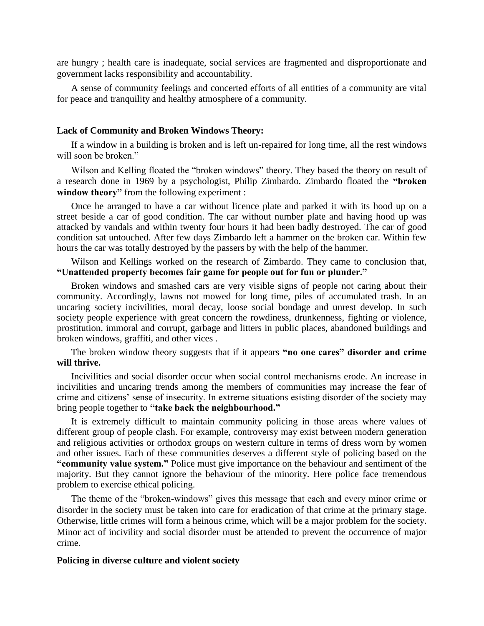are hungry ; health care is inadequate, social services are fragmented and disproportionate and government lacks responsibility and accountability.

A sense of community feelings and concerted efforts of all entities of a community are vital for peace and tranquility and healthy atmosphere of a community.

#### **Lack of Community and Broken Windows Theory:**

If a window in a building is broken and is left un-repaired for long time, all the rest windows will soon be broken."

Wilson and Kelling floated the "broken windows" theory. They based the theory on result of a research done in 1969 by a psychologist, Philip Zimbardo. Zimbardo floated the **"broken window theory"** from the following experiment :

Once he arranged to have a car without licence plate and parked it with its hood up on a street beside a car of good condition. The car without number plate and having hood up was attacked by vandals and within twenty four hours it had been badly destroyed. The car of good condition sat untouched. After few days Zimbardo left a hammer on the broken car. Within few hours the car was totally destroyed by the passers by with the help of the hammer.

Wilson and Kellings worked on the research of Zimbardo. They came to conclusion that, **"Unattended property becomes fair game for people out for fun or plunder."**

Broken windows and smashed cars are very visible signs of people not caring about their community. Accordingly, lawns not mowed for long time, piles of accumulated trash. In an uncaring society incivilities, moral decay, loose social bondage and unrest develop. In such society people experience with great concern the rowdiness, drunkenness, fighting or violence, prostitution, immoral and corrupt, garbage and litters in public places, abandoned buildings and broken windows, graffiti, and other vices .

The broken window theory suggests that if it appears **"no one cares" disorder and crime will thrive.**

Incivilities and social disorder occur when social control mechanisms erode. An increase in incivilities and uncaring trends among the members of communities may increase the fear of crime and citizens" sense of insecurity. In extreme situations esisting disorder of the society may bring people together to **"take back the neighbourhood."**

It is extremely difficult to maintain community policing in those areas where values of different group of people clash. For example, controversy may exist between modern generation and religious activities or orthodox groups on western culture in terms of dress worn by women and other issues. Each of these communities deserves a different style of policing based on the **"community value system."** Police must give importance on the behaviour and sentiment of the majority. But they cannot ignore the behaviour of the minority. Here police face tremendous problem to exercise ethical policing.

The theme of the "broken-windows" gives this message that each and every minor crime or disorder in the society must be taken into care for eradication of that crime at the primary stage. Otherwise, little crimes will form a heinous crime, which will be a major problem for the society. Minor act of incivility and social disorder must be attended to prevent the occurrence of major crime.

#### **Policing in diverse culture and violent society**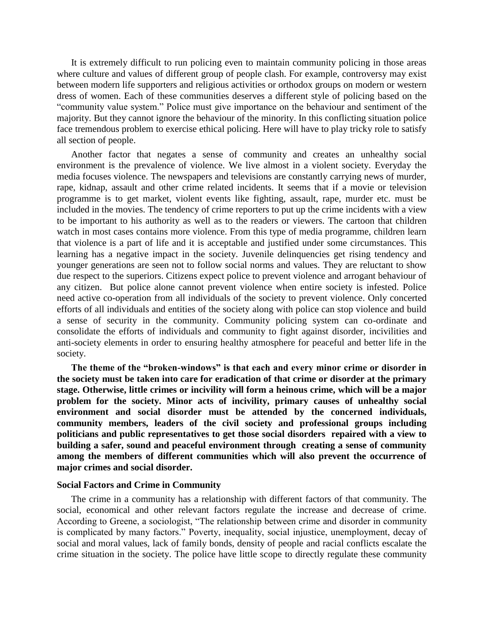It is extremely difficult to run policing even to maintain community policing in those areas where culture and values of different group of people clash. For example, controversy may exist between modern life supporters and religious activities or orthodox groups on modern or western dress of women. Each of these communities deserves a different style of policing based on the "community value system." Police must give importance on the behaviour and sentiment of the majority. But they cannot ignore the behaviour of the minority. In this conflicting situation police face tremendous problem to exercise ethical policing. Here will have to play tricky role to satisfy all section of people.

Another factor that negates a sense of community and creates an unhealthy social environment is the prevalence of violence. We live almost in a violent society. Everyday the media focuses violence. The newspapers and televisions are constantly carrying news of murder, rape, kidnap, assault and other crime related incidents. It seems that if a movie or television programme is to get market, violent events like fighting, assault, rape, murder etc. must be included in the movies. The tendency of crime reporters to put up the crime incidents with a view to be important to his authority as well as to the readers or viewers. The cartoon that children watch in most cases contains more violence. From this type of media programme, children learn that violence is a part of life and it is acceptable and justified under some circumstances. This learning has a negative impact in the society. Juvenile delinquencies get rising tendency and younger generations are seen not to follow social norms and values. They are reluctant to show due respect to the superiors. Citizens expect police to prevent violence and arrogant behaviour of any citizen. But police alone cannot prevent violence when entire society is infested. Police need active co-operation from all individuals of the society to prevent violence. Only concerted efforts of all individuals and entities of the society along with police can stop violence and build a sense of security in the community. Community policing system can co-ordinate and consolidate the efforts of individuals and community to fight against disorder, incivilities and anti-society elements in order to ensuring healthy atmosphere for peaceful and better life in the society.

**The theme of the "broken-windows" is that each and every minor crime or disorder in the society must be taken into care for eradication of that crime or disorder at the primary stage. Otherwise, little crimes or incivility will form a heinous crime, which will be a major problem for the society. Minor acts of incivility, primary causes of unhealthy social environment and social disorder must be attended by the concerned individuals, community members, leaders of the civil society and professional groups including politicians and public representatives to get those social disorders repaired with a view to building a safer, sound and peaceful environment through creating a sense of community among the members of different communities which will also prevent the occurrence of major crimes and social disorder.** 

#### **Social Factors and Crime in Community**

The crime in a community has a relationship with different factors of that community. The social, economical and other relevant factors regulate the increase and decrease of crime. According to Greene, a sociologist, "The relationship between crime and disorder in community is complicated by many factors." Poverty, inequality, social injustice, unemployment, decay of social and moral values, lack of family bonds, density of people and racial conflicts escalate the crime situation in the society. The police have little scope to directly regulate these community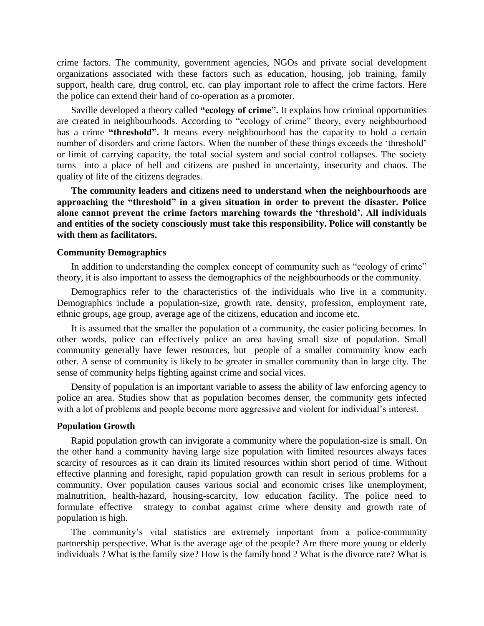crime factors. The community, government agencies, NGOs and private social development organizations associated with these factors such as education, housing, job training, family support, health care, drug control, etc. can play important role to affect the crime factors. Here the police can extend their hand of co-operation as a promoter.

Saville developed a theory called **"ecology of crime".** It explains how criminal opportunities are created in neighbourhoods. According to "ecology of crime" theory, every neighbourhood has a crime **"threshold".** It means every neighbourhood has the capacity to hold a certain number of disorders and crime factors. When the number of these things exceeds the "threshold" or limit of carrying capacity, the total social system and social control collapses. The society turns into a place of hell and citizens are pushed in uncertainty, insecurity and chaos. The quality of life of the citizens degrades.

**The community leaders and citizens need to understand when the neighbourhoods are approaching the "threshold" in a given situation in order to prevent the disaster. Police alone cannot prevent the crime factors marching towards the "threshold". All individuals and entities of the society consciously must take this responsibility. Police will constantly be with them as facilitators.**

# **Community Demographics**

In addition to understanding the complex concept of community such as "ecology of crime" theory, it is also important to assess the demographics of the neighbourhoods or the community.

Demographics refer to the characteristics of the individuals who live in a community. Demographics include a population-size, growth rate, density, profession, employment rate, ethnic groups, age group, average age of the citizens, education and income etc.

It is assumed that the smaller the population of a community, the easier policing becomes. In other words, police can effectively police an area having small size of population. Small community generally have fewer resources, but people of a smaller community know each other. A sense of community is likely to be greater in smaller community than in large city. The sense of community helps fighting against crime and social vices.

Density of population is an important variable to assess the ability of law enforcing agency to police an area. Studies show that as population becomes denser, the community gets infected with a lot of problems and people become more aggressive and violent for individual's interest.

#### **Population Growth**

Rapid population growth can invigorate a community where the population-size is small. On the other hand a community having large size population with limited resources always faces scarcity of resources as it can drain its limited resources within short period of time. Without effective planning and foresight, rapid population growth can result in serious problems for a community. Over population causes various social and economic crises like unemployment, malnutrition, health-hazard, housing-scarcity, low education facility. The police need to formulate effective strategy to combat against crime where density and growth rate of population is high.

The community's vital statistics are extremely important from a police-community partnership perspective. What is the average age of the people? Are there more young or elderly individuals ? What is the family size? How is the family bond ? What is the divorce rate? What is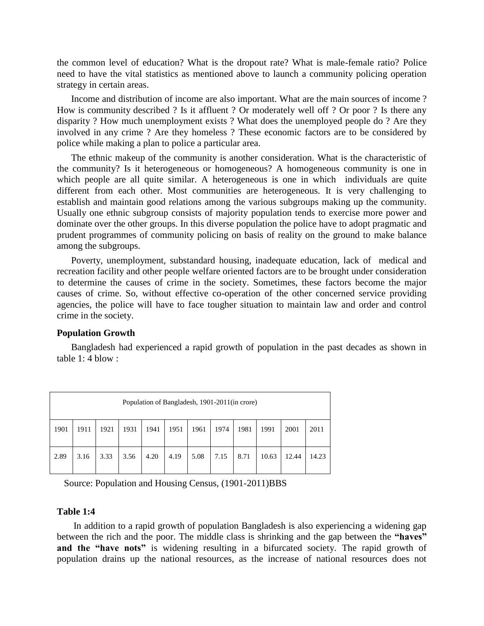the common level of education? What is the dropout rate? What is male-female ratio? Police need to have the vital statistics as mentioned above to launch a community policing operation strategy in certain areas.

Income and distribution of income are also important. What are the main sources of income ? How is community described ? Is it affluent ? Or moderately well off ? Or poor ? Is there any disparity ? How much unemployment exists ? What does the unemployed people do ? Are they involved in any crime ? Are they homeless ? These economic factors are to be considered by police while making a plan to police a particular area.

The ethnic makeup of the community is another consideration. What is the characteristic of the community? Is it heterogeneous or homogeneous? A homogeneous community is one in which people are all quite similar. A heterogeneous is one in which individuals are quite different from each other. Most communities are heterogeneous. It is very challenging to establish and maintain good relations among the various subgroups making up the community. Usually one ethnic subgroup consists of majority population tends to exercise more power and dominate over the other groups. In this diverse population the police have to adopt pragmatic and prudent programmes of community policing on basis of reality on the ground to make balance among the subgroups.

Poverty, unemployment, substandard housing, inadequate education, lack of medical and recreation facility and other people welfare oriented factors are to be brought under consideration to determine the causes of crime in the society. Sometimes, these factors become the major causes of crime. So, without effective co-operation of the other concerned service providing agencies, the police will have to face tougher situation to maintain law and order and control crime in the society.

# **Population Growth**

Bangladesh had experienced a rapid growth of population in the past decades as shown in table 1: 4 blow :

| Population of Bangladesh, 1901-2011(in crore) |      |      |      |      |      |      |      |      |       |       |       |
|-----------------------------------------------|------|------|------|------|------|------|------|------|-------|-------|-------|
| 1901                                          | 1911 | 1921 | 1931 | 1941 | 1951 | 1961 | 1974 | 1981 | 1991  | 2001  | 2011  |
| 2.89                                          | 3.16 | 3.33 | 3.56 | 4.20 | 4.19 | 5.08 | 7.15 | 8.71 | 10.63 | 12.44 | 14.23 |

Source: Population and Housing Census, (1901-2011)BBS

#### **Table 1:4**

In addition to a rapid growth of population Bangladesh is also experiencing a widening gap between the rich and the poor. The middle class is shrinking and the gap between the **"haves"**  and the "have nots" is widening resulting in a bifurcated society. The rapid growth of population drains up the national resources, as the increase of national resources does not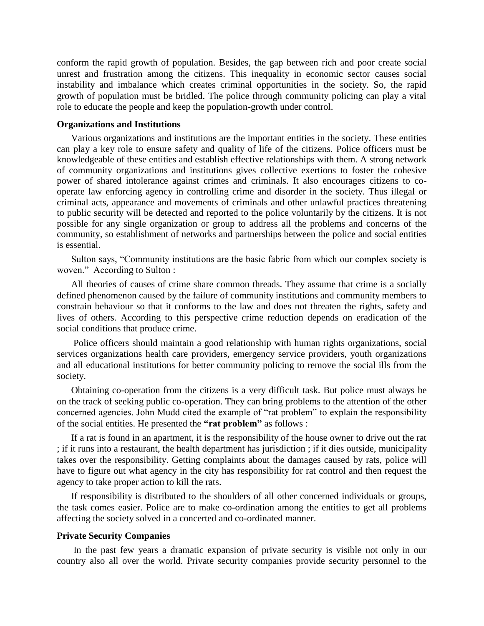conform the rapid growth of population. Besides, the gap between rich and poor create social unrest and frustration among the citizens. This inequality in economic sector causes social instability and imbalance which creates criminal opportunities in the society. So, the rapid growth of population must be bridled. The police through community policing can play a vital role to educate the people and keep the population-growth under control.

#### **Organizations and Institutions**

Various organizations and institutions are the important entities in the society. These entities can play a key role to ensure safety and quality of life of the citizens. Police officers must be knowledgeable of these entities and establish effective relationships with them. A strong network of community organizations and institutions gives collective exertions to foster the cohesive power of shared intolerance against crimes and criminals. It also encourages citizens to cooperate law enforcing agency in controlling crime and disorder in the society. Thus illegal or criminal acts, appearance and movements of criminals and other unlawful practices threatening to public security will be detected and reported to the police voluntarily by the citizens. It is not possible for any single organization or group to address all the problems and concerns of the community, so establishment of networks and partnerships between the police and social entities is essential.

Sulton says, "Community institutions are the basic fabric from which our complex society is woven." According to Sulton :

All theories of causes of crime share common threads. They assume that crime is a socially defined phenomenon caused by the failure of community institutions and community members to constrain behaviour so that it conforms to the law and does not threaten the rights, safety and lives of others. According to this perspective crime reduction depends on eradication of the social conditions that produce crime.

Police officers should maintain a good relationship with human rights organizations, social services organizations health care providers, emergency service providers, youth organizations and all educational institutions for better community policing to remove the social ills from the society.

Obtaining co-operation from the citizens is a very difficult task. But police must always be on the track of seeking public co-operation. They can bring problems to the attention of the other concerned agencies. John Mudd cited the example of "rat problem" to explain the responsibility of the social entities. He presented the **"rat problem"** as follows :

If a rat is found in an apartment, it is the responsibility of the house owner to drive out the rat ; if it runs into a restaurant, the health department has jurisdiction ; if it dies outside, municipality takes over the responsibility. Getting complaints about the damages caused by rats, police will have to figure out what agency in the city has responsibility for rat control and then request the agency to take proper action to kill the rats.

If responsibility is distributed to the shoulders of all other concerned individuals or groups, the task comes easier. Police are to make co-ordination among the entities to get all problems affecting the society solved in a concerted and co-ordinated manner.

#### **Private Security Companies**

In the past few years a dramatic expansion of private security is visible not only in our country also all over the world. Private security companies provide security personnel to the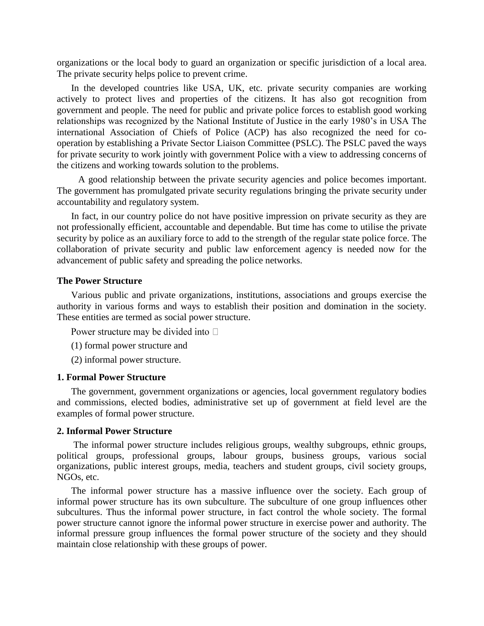organizations or the local body to guard an organization or specific jurisdiction of a local area. The private security helps police to prevent crime.

In the developed countries like USA, UK, etc. private security companies are working actively to protect lives and properties of the citizens. It has also got recognition from government and people. The need for public and private police forces to establish good working relationships was recognized by the National Institute of Justice in the early 1980"s in USA The international Association of Chiefs of Police (ACP) has also recognized the need for cooperation by establishing a Private Sector Liaison Committee (PSLC). The PSLC paved the ways for private security to work jointly with government Police with a view to addressing concerns of the citizens and working towards solution to the problems.

 A good relationship between the private security agencies and police becomes important. The government has promulgated private security regulations bringing the private security under accountability and regulatory system.

In fact, in our country police do not have positive impression on private security as they are not professionally efficient, accountable and dependable. But time has come to utilise the private security by police as an auxiliary force to add to the strength of the regular state police force. The collaboration of private security and public law enforcement agency is needed now for the advancement of public safety and spreading the police networks.

# **The Power Structure**

Various public and private organizations, institutions, associations and groups exercise the authority in various forms and ways to establish their position and domination in the society. These entities are termed as social power structure.

Power structure may be divided into  $\square$ 

(1) formal power structure and

(2) informal power structure.

#### **1. Formal Power Structure**

The government, government organizations or agencies, local government regulatory bodies and commissions, elected bodies, administrative set up of government at field level are the examples of formal power structure.

# **2. Informal Power Structure**

The informal power structure includes religious groups, wealthy subgroups, ethnic groups, political groups, professional groups, labour groups, business groups, various social organizations, public interest groups, media, teachers and student groups, civil society groups, NGOs, etc.

The informal power structure has a massive influence over the society. Each group of informal power structure has its own subculture. The subculture of one group influences other subcultures. Thus the informal power structure, in fact control the whole society. The formal power structure cannot ignore the informal power structure in exercise power and authority. The informal pressure group influences the formal power structure of the society and they should maintain close relationship with these groups of power.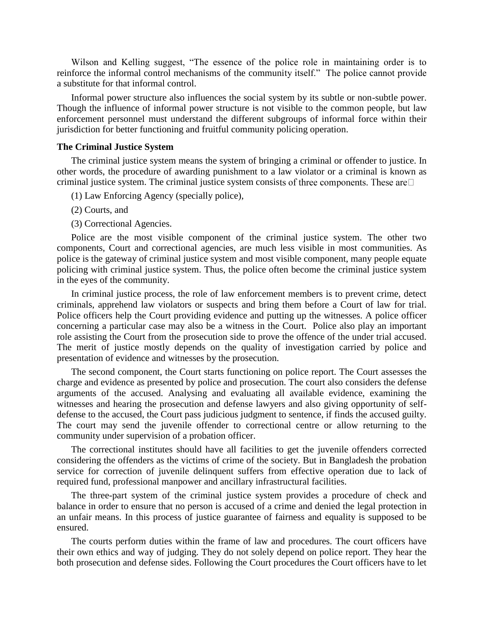Wilson and Kelling suggest, "The essence of the police role in maintaining order is to reinforce the informal control mechanisms of the community itself." The police cannot provide a substitute for that informal control.

Informal power structure also influences the social system by its subtle or non-subtle power. Though the influence of informal power structure is not visible to the common people, but law enforcement personnel must understand the different subgroups of informal force within their jurisdiction for better functioning and fruitful community policing operation.

# **The Criminal Justice System**

The criminal justice system means the system of bringing a criminal or offender to justice. In other words, the procedure of awarding punishment to a law violator or a criminal is known as criminal justice system. The criminal justice system consists of three components. These are  $\Box$ 

- (1) Law Enforcing Agency (specially police),
- (2) Courts, and
- (3) Correctional Agencies.

Police are the most visible component of the criminal justice system. The other two components, Court and correctional agencies, are much less visible in most communities. As police is the gateway of criminal justice system and most visible component, many people equate policing with criminal justice system. Thus, the police often become the criminal justice system in the eyes of the community.

In criminal justice process, the role of law enforcement members is to prevent crime, detect criminals, apprehend law violators or suspects and bring them before a Court of law for trial. Police officers help the Court providing evidence and putting up the witnesses. A police officer concerning a particular case may also be a witness in the Court. Police also play an important role assisting the Court from the prosecution side to prove the offence of the under trial accused. The merit of justice mostly depends on the quality of investigation carried by police and presentation of evidence and witnesses by the prosecution.

The second component, the Court starts functioning on police report. The Court assesses the charge and evidence as presented by police and prosecution. The court also considers the defense arguments of the accused. Analysing and evaluating all available evidence, examining the witnesses and hearing the prosecution and defense lawyers and also giving opportunity of selfdefense to the accused, the Court pass judicious judgment to sentence, if finds the accused guilty. The court may send the juvenile offender to correctional centre or allow returning to the community under supervision of a probation officer.

The correctional institutes should have all facilities to get the juvenile offenders corrected considering the offenders as the victims of crime of the society. But in Bangladesh the probation service for correction of juvenile delinquent suffers from effective operation due to lack of required fund, professional manpower and ancillary infrastructural facilities.

The three-part system of the criminal justice system provides a procedure of check and balance in order to ensure that no person is accused of a crime and denied the legal protection in an unfair means. In this process of justice guarantee of fairness and equality is supposed to be ensured.

The courts perform duties within the frame of law and procedures. The court officers have their own ethics and way of judging. They do not solely depend on police report. They hear the both prosecution and defense sides. Following the Court procedures the Court officers have to let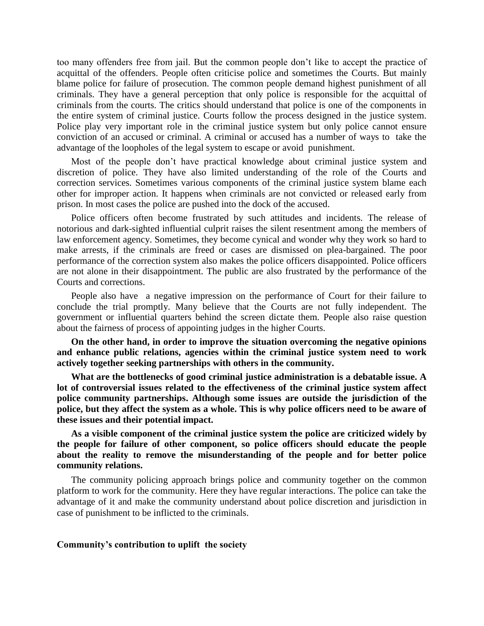too many offenders free from jail. But the common people don"t like to accept the practice of acquittal of the offenders. People often criticise police and sometimes the Courts. But mainly blame police for failure of prosecution. The common people demand highest punishment of all criminals. They have a general perception that only police is responsible for the acquittal of criminals from the courts. The critics should understand that police is one of the components in the entire system of criminal justice. Courts follow the process designed in the justice system. Police play very important role in the criminal justice system but only police cannot ensure conviction of an accused or criminal. A criminal or accused has a number of ways to take the advantage of the loopholes of the legal system to escape or avoid punishment.

Most of the people don"t have practical knowledge about criminal justice system and discretion of police. They have also limited understanding of the role of the Courts and correction services. Sometimes various components of the criminal justice system blame each other for improper action. It happens when criminals are not convicted or released early from prison. In most cases the police are pushed into the dock of the accused.

Police officers often become frustrated by such attitudes and incidents. The release of notorious and dark-sighted influential culprit raises the silent resentment among the members of law enforcement agency. Sometimes, they become cynical and wonder why they work so hard to make arrests, if the criminals are freed or cases are dismissed on plea-bargained. The poor performance of the correction system also makes the police officers disappointed. Police officers are not alone in their disappointment. The public are also frustrated by the performance of the Courts and corrections.

People also have a negative impression on the performance of Court for their failure to conclude the trial promptly. Many believe that the Courts are not fully independent. The government or influential quarters behind the screen dictate them. People also raise question about the fairness of process of appointing judges in the higher Courts.

**On the other hand, in order to improve the situation overcoming the negative opinions and enhance public relations, agencies within the criminal justice system need to work actively together seeking partnerships with others in the community.** 

**What are the bottlenecks of good criminal justice administration is a debatable issue. A lot of controversial issues related to the effectiveness of the criminal justice system affect police community partnerships. Although some issues are outside the jurisdiction of the police, but they affect the system as a whole. This is why police officers need to be aware of these issues and their potential impact.** 

**As a visible component of the criminal justice system the police are criticized widely by the people for failure of other component, so police officers should educate the people about the reality to remove the misunderstanding of the people and for better police community relations.** 

The community policing approach brings police and community together on the common platform to work for the community. Here they have regular interactions. The police can take the advantage of it and make the community understand about police discretion and jurisdiction in case of punishment to be inflicted to the criminals.

# **Community"s contribution to uplift the society**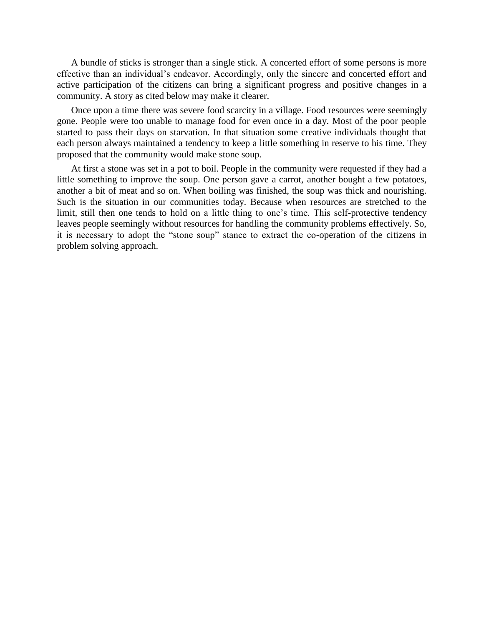A bundle of sticks is stronger than a single stick. A concerted effort of some persons is more effective than an individual"s endeavor. Accordingly, only the sincere and concerted effort and active participation of the citizens can bring a significant progress and positive changes in a community. A story as cited below may make it clearer.

Once upon a time there was severe food scarcity in a village. Food resources were seemingly gone. People were too unable to manage food for even once in a day. Most of the poor people started to pass their days on starvation. In that situation some creative individuals thought that each person always maintained a tendency to keep a little something in reserve to his time. They proposed that the community would make stone soup.

At first a stone was set in a pot to boil. People in the community were requested if they had a little something to improve the soup. One person gave a carrot, another bought a few potatoes, another a bit of meat and so on. When boiling was finished, the soup was thick and nourishing. Such is the situation in our communities today. Because when resources are stretched to the limit, still then one tends to hold on a little thing to one"s time. This self-protective tendency leaves people seemingly without resources for handling the community problems effectively. So, it is necessary to adopt the "stone soup" stance to extract the co-operation of the citizens in problem solving approach.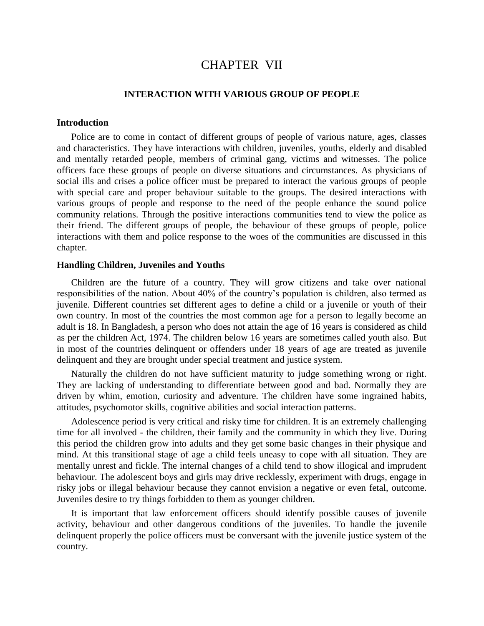# CHAPTER VII

### **INTERACTION WITH VARIOUS GROUP OF PEOPLE**

### **Introduction**

Police are to come in contact of different groups of people of various nature, ages, classes and characteristics. They have interactions with children, juveniles, youths, elderly and disabled and mentally retarded people, members of criminal gang, victims and witnesses. The police officers face these groups of people on diverse situations and circumstances. As physicians of social ills and crises a police officer must be prepared to interact the various groups of people with special care and proper behaviour suitable to the groups. The desired interactions with various groups of people and response to the need of the people enhance the sound police community relations. Through the positive interactions communities tend to view the police as their friend. The different groups of people, the behaviour of these groups of people, police interactions with them and police response to the woes of the communities are discussed in this chapter.

#### **Handling Children, Juveniles and Youths**

Children are the future of a country. They will grow citizens and take over national responsibilities of the nation. About 40% of the country"s population is children, also termed as juvenile. Different countries set different ages to define a child or a juvenile or youth of their own country. In most of the countries the most common age for a person to legally become an adult is 18. In Bangladesh, a person who does not attain the age of 16 years is considered as child as per the children Act, 1974. The children below 16 years are sometimes called youth also. But in most of the countries delinquent or offenders under 18 years of age are treated as juvenile delinquent and they are brought under special treatment and justice system.

Naturally the children do not have sufficient maturity to judge something wrong or right. They are lacking of understanding to differentiate between good and bad. Normally they are driven by whim, emotion, curiosity and adventure. The children have some ingrained habits, attitudes, psychomotor skills, cognitive abilities and social interaction patterns.

Adolescence period is very critical and risky time for children. It is an extremely challenging time for all involved - the children, their family and the community in which they live. During this period the children grow into adults and they get some basic changes in their physique and mind. At this transitional stage of age a child feels uneasy to cope with all situation. They are mentally unrest and fickle. The internal changes of a child tend to show illogical and imprudent behaviour. The adolescent boys and girls may drive recklessly, experiment with drugs, engage in risky jobs or illegal behaviour because they cannot envision a negative or even fetal, outcome. Juveniles desire to try things forbidden to them as younger children.

It is important that law enforcement officers should identify possible causes of juvenile activity, behaviour and other dangerous conditions of the juveniles. To handle the juvenile delinquent properly the police officers must be conversant with the juvenile justice system of the country.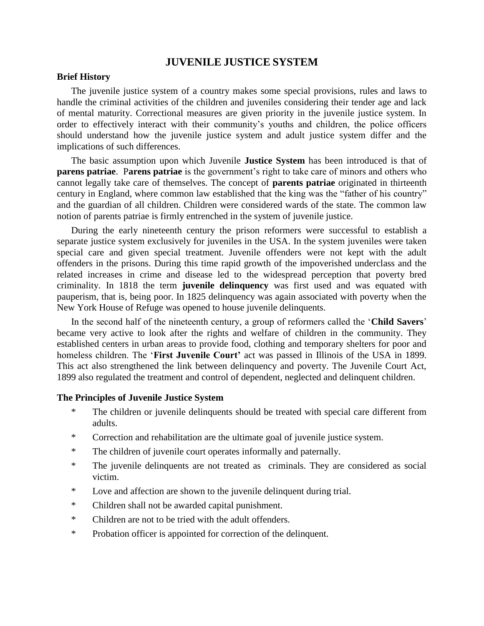# **JUVENILE JUSTICE SYSTEM**

# **Brief History**

The juvenile justice system of a country makes some special provisions, rules and laws to handle the criminal activities of the children and juveniles considering their tender age and lack of mental maturity. Correctional measures are given priority in the juvenile justice system. In order to effectively interact with their community"s youths and children, the police officers should understand how the juvenile justice system and adult justice system differ and the implications of such differences.

The basic assumption upon which Juvenile **Justice System** has been introduced is that of **parens patriae.** Parens patriae is the government's right to take care of minors and others who cannot legally take care of themselves. The concept of **parents patriae** originated in thirteenth century in England, where common law established that the king was the "father of his country" and the guardian of all children. Children were considered wards of the state. The common law notion of parents patriae is firmly entrenched in the system of juvenile justice.

During the early nineteenth century the prison reformers were successful to establish a separate justice system exclusively for juveniles in the USA. In the system juveniles were taken special care and given special treatment. Juvenile offenders were not kept with the adult offenders in the prisons. During this time rapid growth of the impoverished underclass and the related increases in crime and disease led to the widespread perception that poverty bred criminality. In 1818 the term **juvenile delinquency** was first used and was equated with pauperism, that is, being poor. In 1825 delinquency was again associated with poverty when the New York House of Refuge was opened to house juvenile delinquents.

In the second half of the nineteenth century, a group of reformers called the "**Child Savers**" became very active to look after the rights and welfare of children in the community. They established centers in urban areas to provide food, clothing and temporary shelters for poor and homeless children. The "**First Juvenile Court"** act was passed in Illinois of the USA in 1899. This act also strengthened the link between delinquency and poverty. The Juvenile Court Act, 1899 also regulated the treatment and control of dependent, neglected and delinquent children.

# **The Principles of Juvenile Justice System**

- \* The children or juvenile delinquents should be treated with special care different from adults.
- \* Correction and rehabilitation are the ultimate goal of juvenile justice system.
- \* The children of juvenile court operates informally and paternally.
- \* The juvenile delinquents are not treated as criminals. They are considered as social victim.
- \* Love and affection are shown to the juvenile delinquent during trial.
- \* Children shall not be awarded capital punishment.
- \* Children are not to be tried with the adult offenders.
- \* Probation officer is appointed for correction of the delinquent.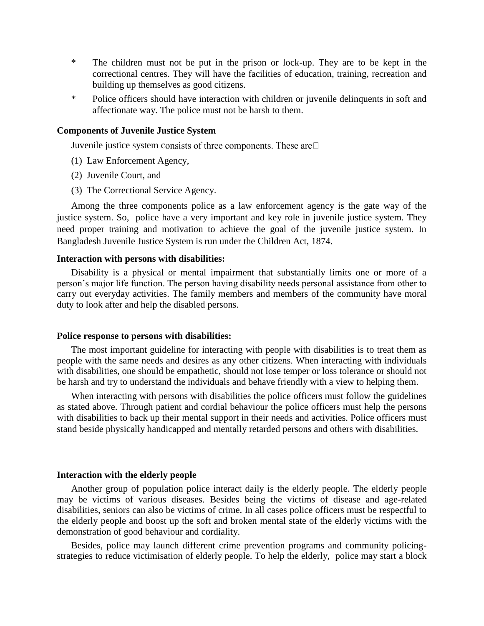- \* The children must not be put in the prison or lock-up. They are to be kept in the correctional centres. They will have the facilities of education, training, recreation and building up themselves as good citizens.
- \* Police officers should have interaction with children or juvenile delinquents in soft and affectionate way. The police must not be harsh to them.

# **Components of Juvenile Justice System**

Juvenile justice system consists of three components. These are  $\square$ 

- (1) Law Enforcement Agency,
- (2) Juvenile Court, and
- (3) The Correctional Service Agency.

Among the three components police as a law enforcement agency is the gate way of the justice system. So, police have a very important and key role in juvenile justice system. They need proper training and motivation to achieve the goal of the juvenile justice system. In Bangladesh Juvenile Justice System is run under the Children Act, 1874.

# **Interaction with persons with disabilities:**

Disability is a physical or mental impairment that substantially limits one or more of a person"s major life function. The person having disability needs personal assistance from other to carry out everyday activities. The family members and members of the community have moral duty to look after and help the disabled persons.

#### **Police response to persons with disabilities:**

The most important guideline for interacting with people with disabilities is to treat them as people with the same needs and desires as any other citizens. When interacting with individuals with disabilities, one should be empathetic, should not lose temper or loss tolerance or should not be harsh and try to understand the individuals and behave friendly with a view to helping them.

When interacting with persons with disabilities the police officers must follow the guidelines as stated above. Through patient and cordial behaviour the police officers must help the persons with disabilities to back up their mental support in their needs and activities. Police officers must stand beside physically handicapped and mentally retarded persons and others with disabilities.

# **Interaction with the elderly people**

Another group of population police interact daily is the elderly people. The elderly people may be victims of various diseases. Besides being the victims of disease and age-related disabilities, seniors can also be victims of crime. In all cases police officers must be respectful to the elderly people and boost up the soft and broken mental state of the elderly victims with the demonstration of good behaviour and cordiality.

Besides, police may launch different crime prevention programs and community policingstrategies to reduce victimisation of elderly people. To help the elderly, police may start a block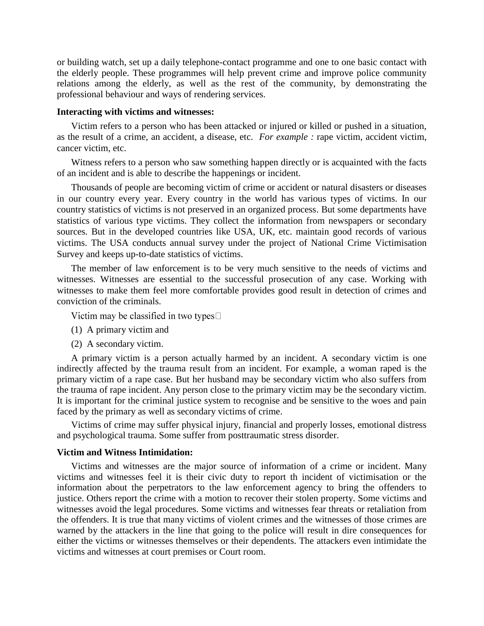or building watch, set up a daily telephone-contact programme and one to one basic contact with the elderly people. These programmes will help prevent crime and improve police community relations among the elderly, as well as the rest of the community, by demonstrating the professional behaviour and ways of rendering services.

#### **Interacting with victims and witnesses:**

Victim refers to a person who has been attacked or injured or killed or pushed in a situation, as the result of a crime, an accident, a disease, etc. *For example :* rape victim, accident victim, cancer victim, etc.

Witness refers to a person who saw something happen directly or is acquainted with the facts of an incident and is able to describe the happenings or incident.

Thousands of people are becoming victim of crime or accident or natural disasters or diseases in our country every year. Every country in the world has various types of victims. In our country statistics of victims is not preserved in an organized process. But some departments have statistics of various type victims. They collect the information from newspapers or secondary sources. But in the developed countries like USA, UK, etc. maintain good records of various victims. The USA conducts annual survey under the project of National Crime Victimisation Survey and keeps up-to-date statistics of victims.

The member of law enforcement is to be very much sensitive to the needs of victims and witnesses. Witnesses are essential to the successful prosecution of any case. Working with witnesses to make them feel more comfortable provides good result in detection of crimes and conviction of the criminals.

Victim may be classified in two types  $\square$ 

- (1) A primary victim and
- (2) A secondary victim.

A primary victim is a person actually harmed by an incident. A secondary victim is one indirectly affected by the trauma result from an incident. For example, a woman raped is the primary victim of a rape case. But her husband may be secondary victim who also suffers from the trauma of rape incident. Any person close to the primary victim may be the secondary victim. It is important for the criminal justice system to recognise and be sensitive to the woes and pain faced by the primary as well as secondary victims of crime.

Victims of crime may suffer physical injury, financial and properly losses, emotional distress and psychological trauma. Some suffer from posttraumatic stress disorder.

# **Victim and Witness Intimidation:**

Victims and witnesses are the major source of information of a crime or incident. Many victims and witnesses feel it is their civic duty to report th incident of victimisation or the information about the perpetrators to the law enforcement agency to bring the offenders to justice. Others report the crime with a motion to recover their stolen property. Some victims and witnesses avoid the legal procedures. Some victims and witnesses fear threats or retaliation from the offenders. It is true that many victims of violent crimes and the witnesses of those crimes are warned by the attackers in the line that going to the police will result in dire consequences for either the victims or witnesses themselves or their dependents. The attackers even intimidate the victims and witnesses at court premises or Court room.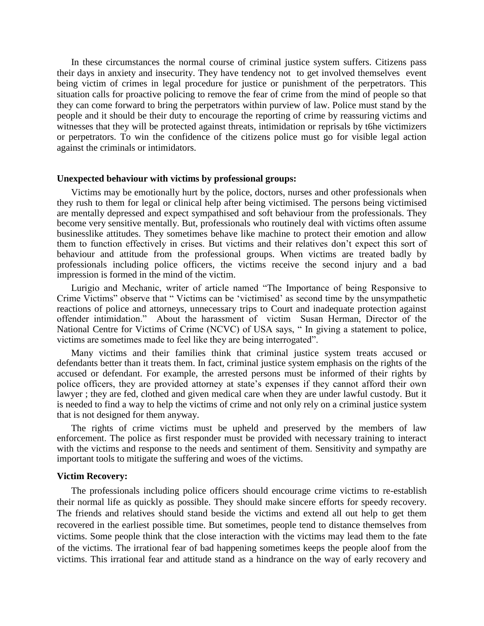In these circumstances the normal course of criminal justice system suffers. Citizens pass their days in anxiety and insecurity. They have tendency not to get involved themselves event being victim of crimes in legal procedure for justice or punishment of the perpetrators. This situation calls for proactive policing to remove the fear of crime from the mind of people so that they can come forward to bring the perpetrators within purview of law. Police must stand by the people and it should be their duty to encourage the reporting of crime by reassuring victims and witnesses that they will be protected against threats, intimidation or reprisals by t6he victimizers or perpetrators. To win the confidence of the citizens police must go for visible legal action against the criminals or intimidators.

#### **Unexpected behaviour with victims by professional groups:**

Victims may be emotionally hurt by the police, doctors, nurses and other professionals when they rush to them for legal or clinical help after being victimised. The persons being victimised are mentally depressed and expect sympathised and soft behaviour from the professionals. They become very sensitive mentally. But, professionals who routinely deal with victims often assume businesslike attitudes. They sometimes behave like machine to protect their emotion and allow them to function effectively in crises. But victims and their relatives don"t expect this sort of behaviour and attitude from the professional groups. When victims are treated badly by professionals including police officers, the victims receive the second injury and a bad impression is formed in the mind of the victim.

Lurigio and Mechanic, writer of article named "The Importance of being Responsive to Crime Victims" observe that " Victims can be "victimised" as second time by the unsympathetic reactions of police and attorneys, unnecessary trips to Court and inadequate protection against offender intimidation." About the harassment of victim Susan Herman, Director of the National Centre for Victims of Crime (NCVC) of USA says, " In giving a statement to police, victims are sometimes made to feel like they are being interrogated".

Many victims and their families think that criminal justice system treats accused or defendants better than it treats them. In fact, criminal justice system emphasis on the rights of the accused or defendant. For example, the arrested persons must be informed of their rights by police officers, they are provided attorney at state"s expenses if they cannot afford their own lawyer ; they are fed, clothed and given medical care when they are under lawful custody. But it is needed to find a way to help the victims of crime and not only rely on a criminal justice system that is not designed for them anyway.

The rights of crime victims must be upheld and preserved by the members of law enforcement. The police as first responder must be provided with necessary training to interact with the victims and response to the needs and sentiment of them. Sensitivity and sympathy are important tools to mitigate the suffering and woes of the victims.

# **Victim Recovery:**

The professionals including police officers should encourage crime victims to re-establish their normal life as quickly as possible. They should make sincere efforts for speedy recovery. The friends and relatives should stand beside the victims and extend all out help to get them recovered in the earliest possible time. But sometimes, people tend to distance themselves from victims. Some people think that the close interaction with the victims may lead them to the fate of the victims. The irrational fear of bad happening sometimes keeps the people aloof from the victims. This irrational fear and attitude stand as a hindrance on the way of early recovery and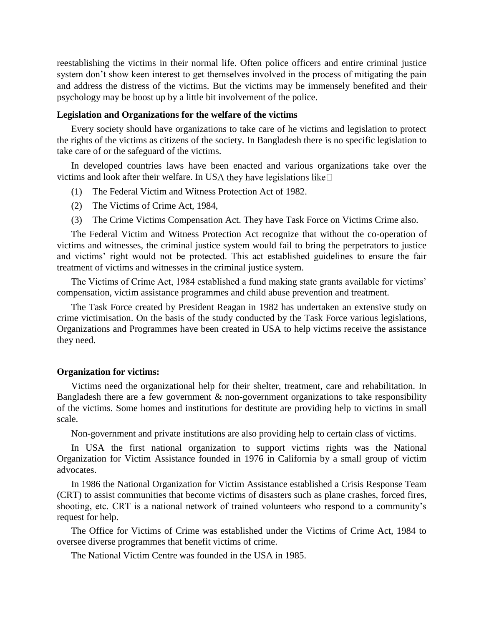reestablishing the victims in their normal life. Often police officers and entire criminal justice system don't show keen interest to get themselves involved in the process of mitigating the pain and address the distress of the victims. But the victims may be immensely benefited and their psychology may be boost up by a little bit involvement of the police.

# **Legislation and Organizations for the welfare of the victims**

Every society should have organizations to take care of he victims and legislation to protect the rights of the victims as citizens of the society. In Bangladesh there is no specific legislation to take care of or the safeguard of the victims.

In developed countries laws have been enacted and various organizations take over the victims and look after their welfare. In USA they have legislations like  $\square$ 

- (1) The Federal Victim and Witness Protection Act of 1982.
- (2) The Victims of Crime Act, 1984,
- (3) The Crime Victims Compensation Act. They have Task Force on Victims Crime also.

The Federal Victim and Witness Protection Act recognize that without the co-operation of victims and witnesses, the criminal justice system would fail to bring the perpetrators to justice and victims' right would not be protected. This act established guidelines to ensure the fair treatment of victims and witnesses in the criminal justice system.

The Victims of Crime Act, 1984 established a fund making state grants available for victims' compensation, victim assistance programmes and child abuse prevention and treatment.

The Task Force created by President Reagan in 1982 has undertaken an extensive study on crime victimisation. On the basis of the study conducted by the Task Force various legislations, Organizations and Programmes have been created in USA to help victims receive the assistance they need.

#### **Organization for victims:**

Victims need the organizational help for their shelter, treatment, care and rehabilitation. In Bangladesh there are a few government  $\&$  non-government organizations to take responsibility of the victims. Some homes and institutions for destitute are providing help to victims in small scale.

Non-government and private institutions are also providing help to certain class of victims.

In USA the first national organization to support victims rights was the National Organization for Victim Assistance founded in 1976 in California by a small group of victim advocates.

In 1986 the National Organization for Victim Assistance established a Crisis Response Team (CRT) to assist communities that become victims of disasters such as plane crashes, forced fires, shooting, etc. CRT is a national network of trained volunteers who respond to a community"s request for help.

The Office for Victims of Crime was established under the Victims of Crime Act, 1984 to oversee diverse programmes that benefit victims of crime.

The National Victim Centre was founded in the USA in 1985.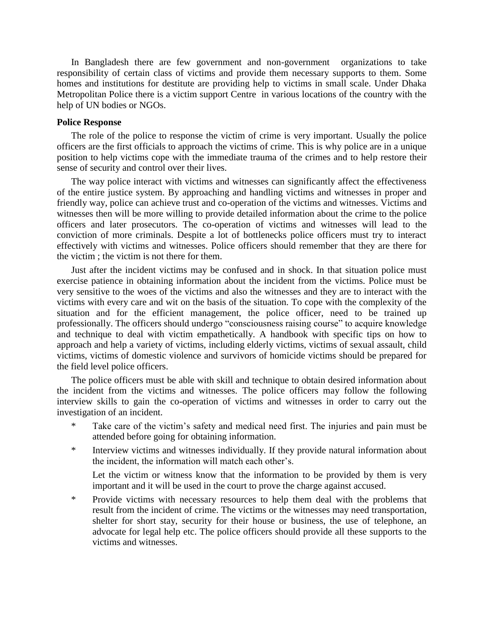In Bangladesh there are few government and non-government organizations to take responsibility of certain class of victims and provide them necessary supports to them. Some homes and institutions for destitute are providing help to victims in small scale. Under Dhaka Metropolitan Police there is a victim support Centre in various locations of the country with the help of UN bodies or NGOs.

# **Police Response**

The role of the police to response the victim of crime is very important. Usually the police officers are the first officials to approach the victims of crime. This is why police are in a unique position to help victims cope with the immediate trauma of the crimes and to help restore their sense of security and control over their lives.

The way police interact with victims and witnesses can significantly affect the effectiveness of the entire justice system. By approaching and handling victims and witnesses in proper and friendly way, police can achieve trust and co-operation of the victims and witnesses. Victims and witnesses then will be more willing to provide detailed information about the crime to the police officers and later prosecutors. The co-operation of victims and witnesses will lead to the conviction of more criminals. Despite a lot of bottlenecks police officers must try to interact effectively with victims and witnesses. Police officers should remember that they are there for the victim ; the victim is not there for them.

Just after the incident victims may be confused and in shock. In that situation police must exercise patience in obtaining information about the incident from the victims. Police must be very sensitive to the woes of the victims and also the witnesses and they are to interact with the victims with every care and wit on the basis of the situation. To cope with the complexity of the situation and for the efficient management, the police officer, need to be trained up professionally. The officers should undergo "consciousness raising course" to acquire knowledge and technique to deal with victim empathetically. A handbook with specific tips on how to approach and help a variety of victims, including elderly victims, victims of sexual assault, child victims, victims of domestic violence and survivors of homicide victims should be prepared for the field level police officers.

The police officers must be able with skill and technique to obtain desired information about the incident from the victims and witnesses. The police officers may follow the following interview skills to gain the co-operation of victims and witnesses in order to carry out the investigation of an incident.

- Take care of the victim's safety and medical need first. The injuries and pain must be attended before going for obtaining information.
- \* Interview victims and witnesses individually. If they provide natural information about the incident, the information will match each other's.

Let the victim or witness know that the information to be provided by them is very important and it will be used in the court to prove the charge against accused.

\* Provide victims with necessary resources to help them deal with the problems that result from the incident of crime. The victims or the witnesses may need transportation, shelter for short stay, security for their house or business, the use of telephone, an advocate for legal help etc. The police officers should provide all these supports to the victims and witnesses.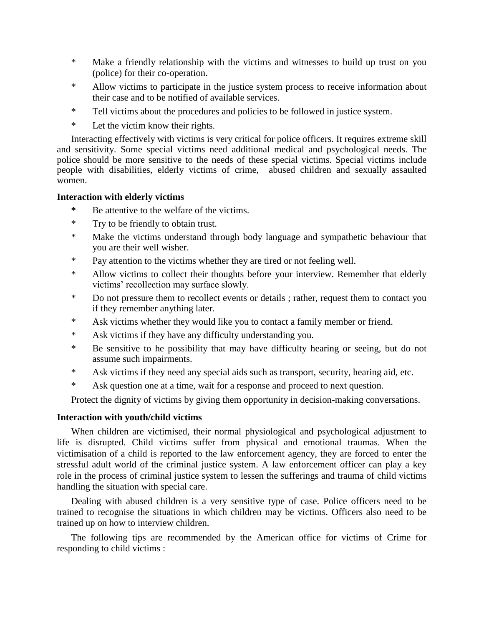- \* Make a friendly relationship with the victims and witnesses to build up trust on you (police) for their co-operation.
- \* Allow victims to participate in the justice system process to receive information about their case and to be notified of available services.
- \* Tell victims about the procedures and policies to be followed in justice system.
- \* Let the victim know their rights.

Interacting effectively with victims is very critical for police officers. It requires extreme skill and sensitivity. Some special victims need additional medical and psychological needs. The police should be more sensitive to the needs of these special victims. Special victims include people with disabilities, elderly victims of crime, abused children and sexually assaulted women.

# **Interaction with elderly victims**

- **\*** Be attentive to the welfare of the victims.
- \* Try to be friendly to obtain trust.
- \* Make the victims understand through body language and sympathetic behaviour that you are their well wisher.
- \* Pay attention to the victims whether they are tired or not feeling well.
- \* Allow victims to collect their thoughts before your interview. Remember that elderly victims" recollection may surface slowly.
- \* Do not pressure them to recollect events or details ; rather, request them to contact you if they remember anything later.
- \* Ask victims whether they would like you to contact a family member or friend.
- \* Ask victims if they have any difficulty understanding you.
- \* Be sensitive to he possibility that may have difficulty hearing or seeing, but do not assume such impairments.
- \* Ask victims if they need any special aids such as transport, security, hearing aid, etc.
- \* Ask question one at a time, wait for a response and proceed to next question.

Protect the dignity of victims by giving them opportunity in decision-making conversations.

# **Interaction with youth/child victims**

When children are victimised, their normal physiological and psychological adjustment to life is disrupted. Child victims suffer from physical and emotional traumas. When the victimisation of a child is reported to the law enforcement agency, they are forced to enter the stressful adult world of the criminal justice system. A law enforcement officer can play a key role in the process of criminal justice system to lessen the sufferings and trauma of child victims handling the situation with special care.

Dealing with abused children is a very sensitive type of case. Police officers need to be trained to recognise the situations in which children may be victims. Officers also need to be trained up on how to interview children.

The following tips are recommended by the American office for victims of Crime for responding to child victims :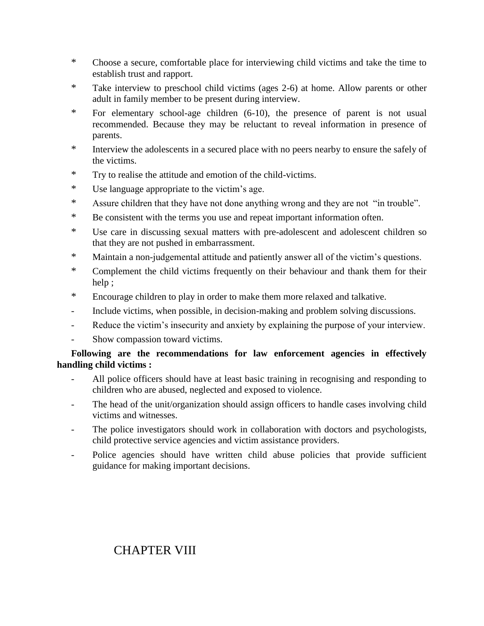- \* Choose a secure, comfortable place for interviewing child victims and take the time to establish trust and rapport.
- \* Take interview to preschool child victims (ages 2-6) at home. Allow parents or other adult in family member to be present during interview.
- \* For elementary school-age children (6-10), the presence of parent is not usual recommended. Because they may be reluctant to reveal information in presence of parents.
- \* Interview the adolescents in a secured place with no peers nearby to ensure the safely of the victims.
- \* Try to realise the attitude and emotion of the child-victims.
- \* Use language appropriate to the victim"s age.
- \* Assure children that they have not done anything wrong and they are not "in trouble".
- \* Be consistent with the terms you use and repeat important information often.
- \* Use care in discussing sexual matters with pre-adolescent and adolescent children so that they are not pushed in embarrassment.
- \* Maintain a non-judgemental attitude and patiently answer all of the victim"s questions.
- \* Complement the child victims frequently on their behaviour and thank them for their help ;
- \* Encourage children to play in order to make them more relaxed and talkative.
- Include victims, when possible, in decision-making and problem solving discussions.
- Reduce the victim's insecurity and anxiety by explaining the purpose of your interview.
- Show compassion toward victims.

# **Following are the recommendations for law enforcement agencies in effectively handling child victims :**

- All police officers should have at least basic training in recognising and responding to children who are abused, neglected and exposed to violence.
- The head of the unit/organization should assign officers to handle cases involving child victims and witnesses.
- The police investigators should work in collaboration with doctors and psychologists, child protective service agencies and victim assistance providers.
- Police agencies should have written child abuse policies that provide sufficient guidance for making important decisions.

# CHAPTER VIII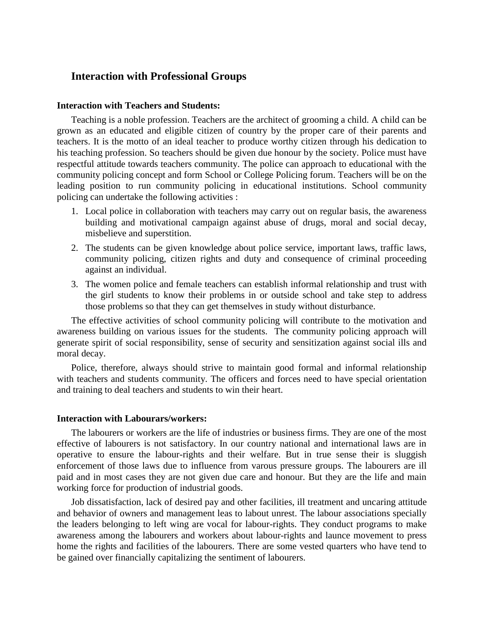# **Interaction with Professional Groups**

# **Interaction with Teachers and Students:**

Teaching is a noble profession. Teachers are the architect of grooming a child. A child can be grown as an educated and eligible citizen of country by the proper care of their parents and teachers. It is the motto of an ideal teacher to produce worthy citizen through his dedication to his teaching profession. So teachers should be given due honour by the society. Police must have respectful attitude towards teachers community. The police can approach to educational with the community policing concept and form School or College Policing forum. Teachers will be on the leading position to run community policing in educational institutions. School community policing can undertake the following activities :

- 1. Local police in collaboration with teachers may carry out on regular basis, the awareness building and motivational campaign against abuse of drugs, moral and social decay, misbelieve and superstition.
- 2. The students can be given knowledge about police service, important laws, traffic laws, community policing, citizen rights and duty and consequence of criminal proceeding against an individual.
- 3. The women police and female teachers can establish informal relationship and trust with the girl students to know their problems in or outside school and take step to address those problems so that they can get themselves in study without disturbance.

The effective activities of school community policing will contribute to the motivation and awareness building on various issues for the students. The community policing approach will generate spirit of social responsibility, sense of security and sensitization against social ills and moral decay.

Police, therefore, always should strive to maintain good formal and informal relationship with teachers and students community. The officers and forces need to have special orientation and training to deal teachers and students to win their heart.

#### **Interaction with Labourars/workers:**

The labourers or workers are the life of industries or business firms. They are one of the most effective of labourers is not satisfactory. In our country national and international laws are in operative to ensure the labour-rights and their welfare. But in true sense their is sluggish enforcement of those laws due to influence from varous pressure groups. The labourers are ill paid and in most cases they are not given due care and honour. But they are the life and main working force for production of industrial goods.

Job dissatisfaction, lack of desired pay and other facilities, ill treatment and uncaring attitude and behavior of owners and management leas to labout unrest. The labour associations specially the leaders belonging to left wing are vocal for labour-rights. They conduct programs to make awareness among the labourers and workers about labour-rights and launce movement to press home the rights and facilities of the labourers. There are some vested quarters who have tend to be gained over financially capitalizing the sentiment of labourers.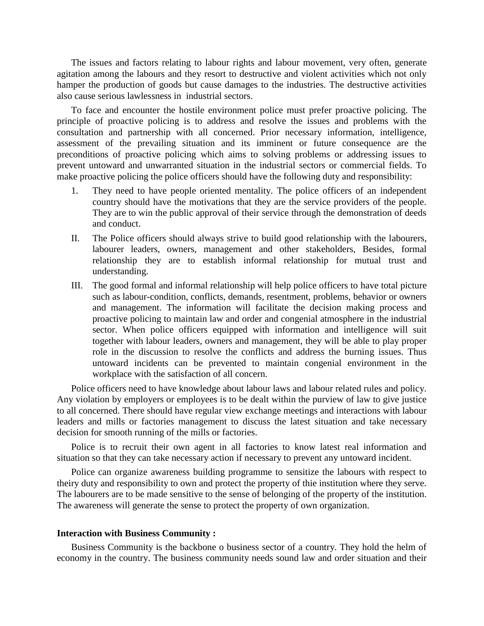The issues and factors relating to labour rights and labour movement, very often, generate agitation among the labours and they resort to destructive and violent activities which not only hamper the production of goods but cause damages to the industries. The destructive activities also cause serious lawlessness in industrial sectors.

To face and encounter the hostile environment police must prefer proactive policing. The principle of proactive policing is to address and resolve the issues and problems with the consultation and partnership with all concerned. Prior necessary information, intelligence, assessment of the prevailing situation and its imminent or future consequence are the preconditions of proactive policing which aims to solving problems or addressing issues to prevent untoward and unwarranted situation in the industrial sectors or commercial fields. To make proactive policing the police officers should have the following duty and responsibility:

- 1. They need to have people oriented mentality. The police officers of an independent country should have the motivations that they are the service providers of the people. They are to win the public approval of their service through the demonstration of deeds and conduct.
- II. The Police officers should always strive to build good relationship with the labourers, labourer leaders, owners, management and other stakeholders, Besides, formal relationship they are to establish informal relationship for mutual trust and understanding.
- III. The good formal and informal relationship will help police officers to have total picture such as labour-condition, conflicts, demands, resentment, problems, behavior or owners and management. The information will facilitate the decision making process and proactive policing to maintain law and order and congenial atmosphere in the industrial sector. When police officers equipped with information and intelligence will suit together with labour leaders, owners and management, they will be able to play proper role in the discussion to resolve the conflicts and address the burning issues. Thus untoward incidents can be prevented to maintain congenial environment in the workplace with the satisfaction of all concern.

Police officers need to have knowledge about labour laws and labour related rules and policy. Any violation by employers or employees is to be dealt within the purview of law to give justice to all concerned. There should have regular view exchange meetings and interactions with labour leaders and mills or factories management to discuss the latest situation and take necessary decision for smooth running of the mills or factories.

Police is to recruit their own agent in all factories to know latest real information and situation so that they can take necessary action if necessary to prevent any untoward incident.

Police can organize awareness building programme to sensitize the labours with respect to theiry duty and responsibility to own and protect the property of thie institution where they serve. The labourers are to be made sensitive to the sense of belonging of the property of the institution. The awareness will generate the sense to protect the property of own organization.

# **Interaction with Business Community :**

Business Community is the backbone o business sector of a country. They hold the helm of economy in the country. The business community needs sound law and order situation and their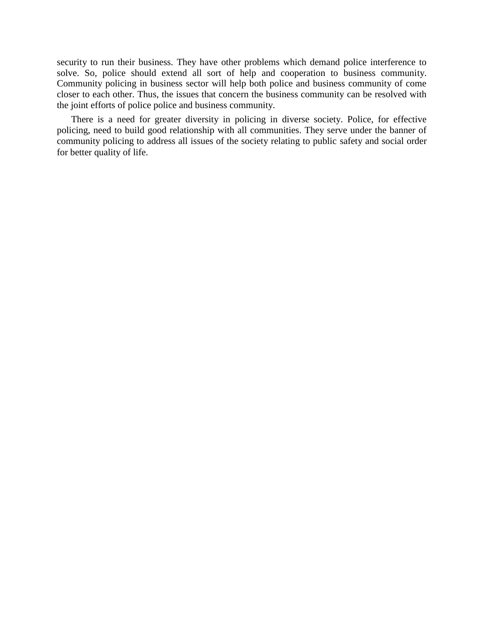security to run their business. They have other problems which demand police interference to solve. So, police should extend all sort of help and cooperation to business community. Community policing in business sector will help both police and business community of come closer to each other. Thus, the issues that concern the business community can be resolved with the joint efforts of police police and business community.

There is a need for greater diversity in policing in diverse society. Police, for effective policing, need to build good relationship with all communities. They serve under the banner of community policing to address all issues of the society relating to public safety and social order for better quality of life.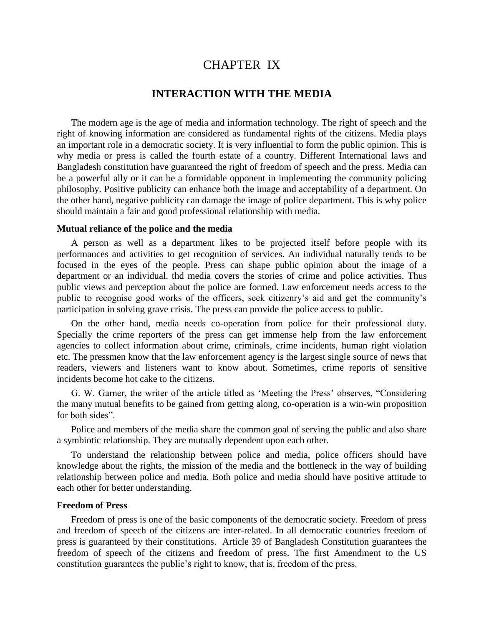# CHAPTER IX

# **INTERACTION WITH THE MEDIA**

The modern age is the age of media and information technology. The right of speech and the right of knowing information are considered as fundamental rights of the citizens. Media plays an important role in a democratic society. It is very influential to form the public opinion. This is why media or press is called the fourth estate of a country. Different International laws and Bangladesh constitution have guaranteed the right of freedom of speech and the press. Media can be a powerful ally or it can be a formidable opponent in implementing the community policing philosophy. Positive publicity can enhance both the image and acceptability of a department. On the other hand, negative publicity can damage the image of police department. This is why police should maintain a fair and good professional relationship with media.

## **Mutual reliance of the police and the media**

A person as well as a department likes to be projected itself before people with its performances and activities to get recognition of services. An individual naturally tends to be focused in the eyes of the people. Press can shape public opinion about the image of a department or an individual. thd media covers the stories of crime and police activities. Thus public views and perception about the police are formed. Law enforcement needs access to the public to recognise good works of the officers, seek citizenry's aid and get the community's participation in solving grave crisis. The press can provide the police access to public.

On the other hand, media needs co-operation from police for their professional duty. Specially the crime reporters of the press can get immense help from the law enforcement agencies to collect information about crime, criminals, crime incidents, human right violation etc. The pressmen know that the law enforcement agency is the largest single source of news that readers, viewers and listeners want to know about. Sometimes, crime reports of sensitive incidents become hot cake to the citizens.

G. W. Garner, the writer of the article titled as "Meeting the Press" observes, "Considering the many mutual benefits to be gained from getting along, co-operation is a win-win proposition for both sides".

Police and members of the media share the common goal of serving the public and also share a symbiotic relationship. They are mutually dependent upon each other.

To understand the relationship between police and media, police officers should have knowledge about the rights, the mission of the media and the bottleneck in the way of building relationship between police and media. Both police and media should have positive attitude to each other for better understanding.

#### **Freedom of Press**

Freedom of press is one of the basic components of the democratic society. Freedom of press and freedom of speech of the citizens are inter-related. In all democratic countries freedom of press is guaranteed by their constitutions. Article 39 of Bangladesh Constitution guarantees the freedom of speech of the citizens and freedom of press. The first Amendment to the US constitution guarantees the public"s right to know, that is, freedom of the press.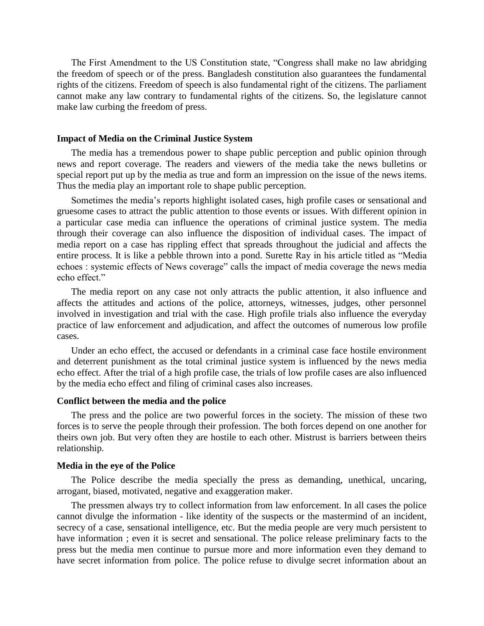The First Amendment to the US Constitution state, "Congress shall make no law abridging the freedom of speech or of the press. Bangladesh constitution also guarantees the fundamental rights of the citizens. Freedom of speech is also fundamental right of the citizens. The parliament cannot make any law contrary to fundamental rights of the citizens. So, the legislature cannot make law curbing the freedom of press.

# **Impact of Media on the Criminal Justice System**

The media has a tremendous power to shape public perception and public opinion through news and report coverage. The readers and viewers of the media take the news bulletins or special report put up by the media as true and form an impression on the issue of the news items. Thus the media play an important role to shape public perception.

Sometimes the media's reports highlight isolated cases, high profile cases or sensational and gruesome cases to attract the public attention to those events or issues. With different opinion in a particular case media can influence the operations of criminal justice system. The media through their coverage can also influence the disposition of individual cases. The impact of media report on a case has rippling effect that spreads throughout the judicial and affects the entire process. It is like a pebble thrown into a pond. Surette Ray in his article titled as "Media echoes : systemic effects of News coverage" calls the impact of media coverage the news media echo effect."

The media report on any case not only attracts the public attention, it also influence and affects the attitudes and actions of the police, attorneys, witnesses, judges, other personnel involved in investigation and trial with the case. High profile trials also influence the everyday practice of law enforcement and adjudication, and affect the outcomes of numerous low profile cases.

Under an echo effect, the accused or defendants in a criminal case face hostile environment and deterrent punishment as the total criminal justice system is influenced by the news media echo effect. After the trial of a high profile case, the trials of low profile cases are also influenced by the media echo effect and filing of criminal cases also increases.

### **Conflict between the media and the police**

The press and the police are two powerful forces in the society. The mission of these two forces is to serve the people through their profession. The both forces depend on one another for theirs own job. But very often they are hostile to each other. Mistrust is barriers between theirs relationship.

#### **Media in the eye of the Police**

The Police describe the media specially the press as demanding, unethical, uncaring, arrogant, biased, motivated, negative and exaggeration maker.

The pressmen always try to collect information from law enforcement. In all cases the police cannot divulge the information - like identity of the suspects or the mastermind of an incident, secrecy of a case, sensational intelligence, etc. But the media people are very much persistent to have information ; even it is secret and sensational. The police release preliminary facts to the press but the media men continue to pursue more and more information even they demand to have secret information from police. The police refuse to divulge secret information about an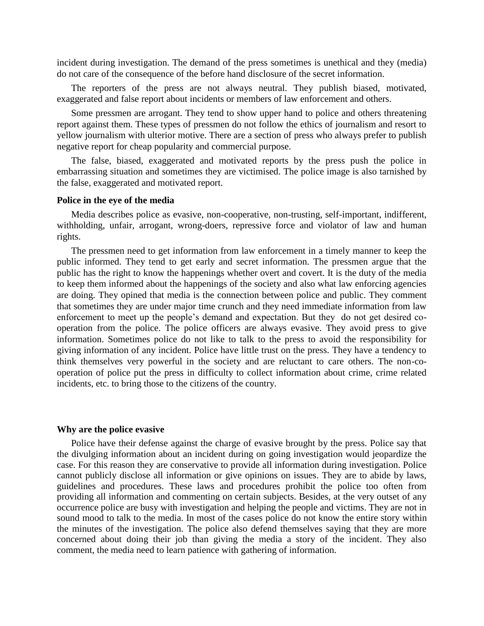incident during investigation. The demand of the press sometimes is unethical and they (media) do not care of the consequence of the before hand disclosure of the secret information.

The reporters of the press are not always neutral. They publish biased, motivated, exaggerated and false report about incidents or members of law enforcement and others.

Some pressmen are arrogant. They tend to show upper hand to police and others threatening report against them. These types of pressmen do not follow the ethics of journalism and resort to yellow journalism with ulterior motive. There are a section of press who always prefer to publish negative report for cheap popularity and commercial purpose.

The false, biased, exaggerated and motivated reports by the press push the police in embarrassing situation and sometimes they are victimised. The police image is also tarnished by the false, exaggerated and motivated report.

# **Police in the eye of the media**

Media describes police as evasive, non-cooperative, non-trusting, self-important, indifferent, withholding, unfair, arrogant, wrong-doers, repressive force and violator of law and human rights.

The pressmen need to get information from law enforcement in a timely manner to keep the public informed. They tend to get early and secret information. The pressmen argue that the public has the right to know the happenings whether overt and covert. It is the duty of the media to keep them informed about the happenings of the society and also what law enforcing agencies are doing. They opined that media is the connection between police and public. They comment that sometimes they are under major time crunch and they need immediate information from law enforcement to meet up the people"s demand and expectation. But they do not get desired cooperation from the police. The police officers are always evasive. They avoid press to give information. Sometimes police do not like to talk to the press to avoid the responsibility for giving information of any incident. Police have little trust on the press. They have a tendency to think themselves very powerful in the society and are reluctant to care others. The non-cooperation of police put the press in difficulty to collect information about crime, crime related incidents, etc. to bring those to the citizens of the country.

#### **Why are the police evasive**

Police have their defense against the charge of evasive brought by the press. Police say that the divulging information about an incident during on going investigation would jeopardize the case. For this reason they are conservative to provide all information during investigation. Police cannot publicly disclose all information or give opinions on issues. They are to abide by laws, guidelines and procedures. These laws and procedures prohibit the police too often from providing all information and commenting on certain subjects. Besides, at the very outset of any occurrence police are busy with investigation and helping the people and victims. They are not in sound mood to talk to the media. In most of the cases police do not know the entire story within the minutes of the investigation. The police also defend themselves saying that they are more concerned about doing their job than giving the media a story of the incident. They also comment, the media need to learn patience with gathering of information.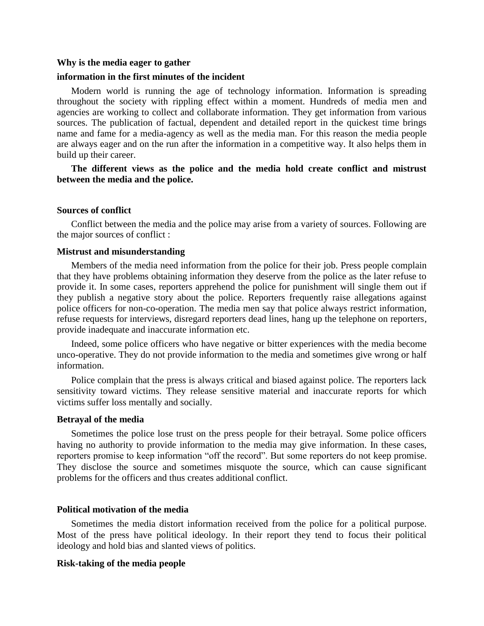#### **Why is the media eager to gather**

#### **information in the first minutes of the incident**

Modern world is running the age of technology information. Information is spreading throughout the society with rippling effect within a moment. Hundreds of media men and agencies are working to collect and collaborate information. They get information from various sources. The publication of factual, dependent and detailed report in the quickest time brings name and fame for a media-agency as well as the media man. For this reason the media people are always eager and on the run after the information in a competitive way. It also helps them in build up their career.

# **The different views as the police and the media hold create conflict and mistrust between the media and the police.**

#### **Sources of conflict**

Conflict between the media and the police may arise from a variety of sources. Following are the major sources of conflict :

# **Mistrust and misunderstanding**

Members of the media need information from the police for their job. Press people complain that they have problems obtaining information they deserve from the police as the later refuse to provide it. In some cases, reporters apprehend the police for punishment will single them out if they publish a negative story about the police. Reporters frequently raise allegations against police officers for non-co-operation. The media men say that police always restrict information, refuse requests for interviews, disregard reporters dead lines, hang up the telephone on reporters, provide inadequate and inaccurate information etc.

Indeed, some police officers who have negative or bitter experiences with the media become unco-operative. They do not provide information to the media and sometimes give wrong or half information.

Police complain that the press is always critical and biased against police. The reporters lack sensitivity toward victims. They release sensitive material and inaccurate reports for which victims suffer loss mentally and socially.

#### **Betrayal of the media**

Sometimes the police lose trust on the press people for their betrayal. Some police officers having no authority to provide information to the media may give information. In these cases, reporters promise to keep information "off the record". But some reporters do not keep promise. They disclose the source and sometimes misquote the source, which can cause significant problems for the officers and thus creates additional conflict.

### **Political motivation of the media**

Sometimes the media distort information received from the police for a political purpose. Most of the press have political ideology. In their report they tend to focus their political ideology and hold bias and slanted views of politics.

#### **Risk-taking of the media people**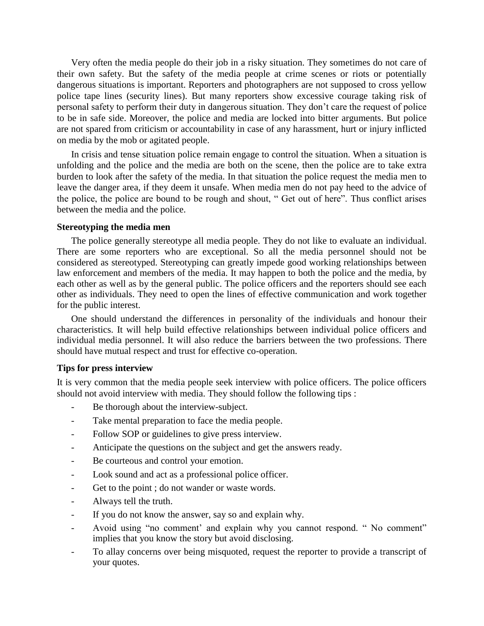Very often the media people do their job in a risky situation. They sometimes do not care of their own safety. But the safety of the media people at crime scenes or riots or potentially dangerous situations is important. Reporters and photographers are not supposed to cross yellow police tape lines (security lines). But many reporters show excessive courage taking risk of personal safety to perform their duty in dangerous situation. They don"t care the request of police to be in safe side. Moreover, the police and media are locked into bitter arguments. But police are not spared from criticism or accountability in case of any harassment, hurt or injury inflicted on media by the mob or agitated people.

In crisis and tense situation police remain engage to control the situation. When a situation is unfolding and the police and the media are both on the scene, then the police are to take extra burden to look after the safety of the media. In that situation the police request the media men to leave the danger area, if they deem it unsafe. When media men do not pay heed to the advice of the police, the police are bound to be rough and shout, " Get out of here". Thus conflict arises between the media and the police.

# **Stereotyping the media men**

The police generally stereotype all media people. They do not like to evaluate an individual. There are some reporters who are exceptional. So all the media personnel should not be considered as stereotyped. Stereotyping can greatly impede good working relationships between law enforcement and members of the media. It may happen to both the police and the media, by each other as well as by the general public. The police officers and the reporters should see each other as individuals. They need to open the lines of effective communication and work together for the public interest.

One should understand the differences in personality of the individuals and honour their characteristics. It will help build effective relationships between individual police officers and individual media personnel. It will also reduce the barriers between the two professions. There should have mutual respect and trust for effective co-operation.

# **Tips for press interview**

It is very common that the media people seek interview with police officers. The police officers should not avoid interview with media. They should follow the following tips :

- Be thorough about the interview-subject.
- Take mental preparation to face the media people.
- Follow SOP or guidelines to give press interview.
- Anticipate the questions on the subject and get the answers ready.
- Be courteous and control your emotion.
- Look sound and act as a professional police officer.
- Get to the point ; do not wander or waste words.
- Always tell the truth.
- If you do not know the answer, say so and explain why.
- Avoid using "no comment" and explain why you cannot respond. " No comment" implies that you know the story but avoid disclosing.
- To allay concerns over being misquoted, request the reporter to provide a transcript of your quotes.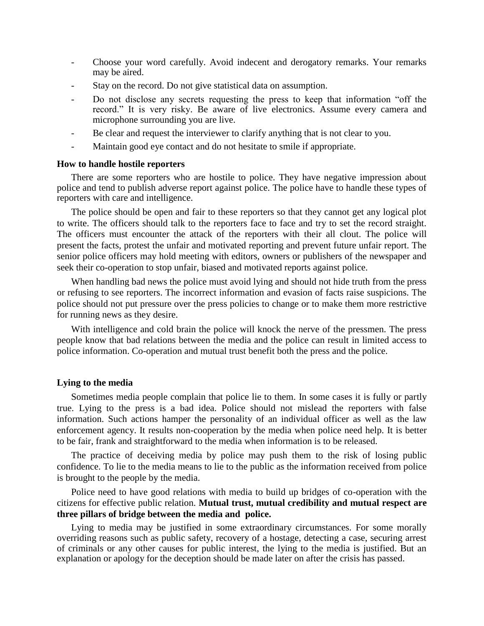- Choose your word carefully. Avoid indecent and derogatory remarks. Your remarks may be aired.
- Stay on the record. Do not give statistical data on assumption.
- Do not disclose any secrets requesting the press to keep that information "off the record." It is very risky. Be aware of live electronics. Assume every camera and microphone surrounding you are live.
- Be clear and request the interviewer to clarify anything that is not clear to you.
- Maintain good eye contact and do not hesitate to smile if appropriate.

#### **How to handle hostile reporters**

There are some reporters who are hostile to police. They have negative impression about police and tend to publish adverse report against police. The police have to handle these types of reporters with care and intelligence.

The police should be open and fair to these reporters so that they cannot get any logical plot to write. The officers should talk to the reporters face to face and try to set the record straight. The officers must encounter the attack of the reporters with their all clout. The police will present the facts, protest the unfair and motivated reporting and prevent future unfair report. The senior police officers may hold meeting with editors, owners or publishers of the newspaper and seek their co-operation to stop unfair, biased and motivated reports against police.

When handling bad news the police must avoid lying and should not hide truth from the press or refusing to see reporters. The incorrect information and evasion of facts raise suspicions. The police should not put pressure over the press policies to change or to make them more restrictive for running news as they desire.

With intelligence and cold brain the police will knock the nerve of the pressmen. The press people know that bad relations between the media and the police can result in limited access to police information. Co-operation and mutual trust benefit both the press and the police.

# **Lying to the media**

Sometimes media people complain that police lie to them. In some cases it is fully or partly true. Lying to the press is a bad idea. Police should not mislead the reporters with false information. Such actions hamper the personality of an individual officer as well as the law enforcement agency. It results non-cooperation by the media when police need help. It is better to be fair, frank and straightforward to the media when information is to be released.

The practice of deceiving media by police may push them to the risk of losing public confidence. To lie to the media means to lie to the public as the information received from police is brought to the people by the media.

Police need to have good relations with media to build up bridges of co-operation with the citizens for effective public relation. **Mutual trust, mutual credibility and mutual respect are three pillars of bridge between the media and police.**

Lying to media may be justified in some extraordinary circumstances. For some morally overriding reasons such as public safety, recovery of a hostage, detecting a case, securing arrest of criminals or any other causes for public interest, the lying to the media is justified. But an explanation or apology for the deception should be made later on after the crisis has passed.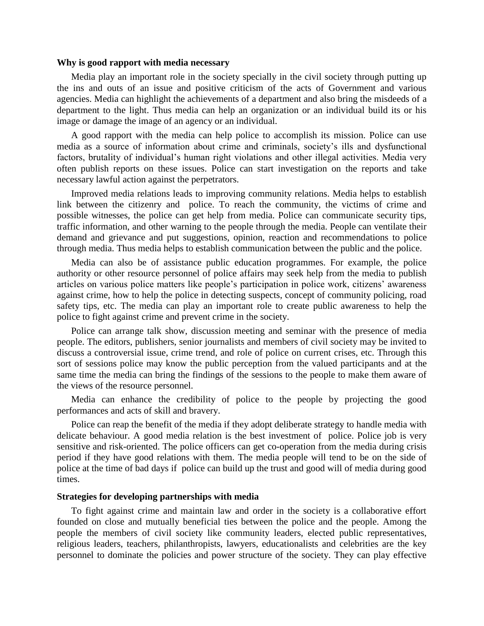#### **Why is good rapport with media necessary**

Media play an important role in the society specially in the civil society through putting up the ins and outs of an issue and positive criticism of the acts of Government and various agencies. Media can highlight the achievements of a department and also bring the misdeeds of a department to the light. Thus media can help an organization or an individual build its or his image or damage the image of an agency or an individual.

A good rapport with the media can help police to accomplish its mission. Police can use media as a source of information about crime and criminals, society"s ills and dysfunctional factors, brutality of individual's human right violations and other illegal activities. Media very often publish reports on these issues. Police can start investigation on the reports and take necessary lawful action against the perpetrators.

Improved media relations leads to improving community relations. Media helps to establish link between the citizenry and police. To reach the community, the victims of crime and possible witnesses, the police can get help from media. Police can communicate security tips, traffic information, and other warning to the people through the media. People can ventilate their demand and grievance and put suggestions, opinion, reaction and recommendations to police through media. Thus media helps to establish communication between the public and the police.

Media can also be of assistance public education programmes. For example, the police authority or other resource personnel of police affairs may seek help from the media to publish articles on various police matters like people"s participation in police work, citizens" awareness against crime, how to help the police in detecting suspects, concept of community policing, road safety tips, etc. The media can play an important role to create public awareness to help the police to fight against crime and prevent crime in the society.

Police can arrange talk show, discussion meeting and seminar with the presence of media people. The editors, publishers, senior journalists and members of civil society may be invited to discuss a controversial issue, crime trend, and role of police on current crises, etc. Through this sort of sessions police may know the public perception from the valued participants and at the same time the media can bring the findings of the sessions to the people to make them aware of the views of the resource personnel.

Media can enhance the credibility of police to the people by projecting the good performances and acts of skill and bravery.

Police can reap the benefit of the media if they adopt deliberate strategy to handle media with delicate behaviour. A good media relation is the best investment of police. Police job is very sensitive and risk-oriented. The police officers can get co-operation from the media during crisis period if they have good relations with them. The media people will tend to be on the side of police at the time of bad days if police can build up the trust and good will of media during good times.

# **Strategies for developing partnerships with media**

To fight against crime and maintain law and order in the society is a collaborative effort founded on close and mutually beneficial ties between the police and the people. Among the people the members of civil society like community leaders, elected public representatives, religious leaders, teachers, philanthropists, lawyers, educationalists and celebrities are the key personnel to dominate the policies and power structure of the society. They can play effective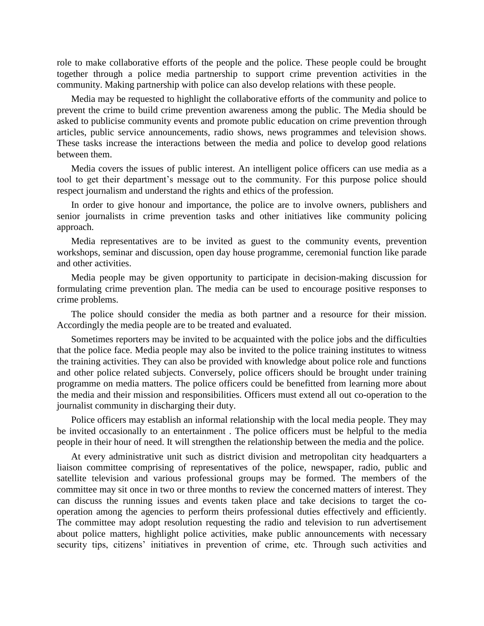role to make collaborative efforts of the people and the police. These people could be brought together through a police media partnership to support crime prevention activities in the community. Making partnership with police can also develop relations with these people.

Media may be requested to highlight the collaborative efforts of the community and police to prevent the crime to build crime prevention awareness among the public. The Media should be asked to publicise community events and promote public education on crime prevention through articles, public service announcements, radio shows, news programmes and television shows. These tasks increase the interactions between the media and police to develop good relations between them.

Media covers the issues of public interest. An intelligent police officers can use media as a tool to get their department's message out to the community. For this purpose police should respect journalism and understand the rights and ethics of the profession.

In order to give honour and importance, the police are to involve owners, publishers and senior journalists in crime prevention tasks and other initiatives like community policing approach.

Media representatives are to be invited as guest to the community events, prevention workshops, seminar and discussion, open day house programme, ceremonial function like parade and other activities.

Media people may be given opportunity to participate in decision-making discussion for formulating crime prevention plan. The media can be used to encourage positive responses to crime problems.

The police should consider the media as both partner and a resource for their mission. Accordingly the media people are to be treated and evaluated.

Sometimes reporters may be invited to be acquainted with the police jobs and the difficulties that the police face. Media people may also be invited to the police training institutes to witness the training activities. They can also be provided with knowledge about police role and functions and other police related subjects. Conversely, police officers should be brought under training programme on media matters. The police officers could be benefitted from learning more about the media and their mission and responsibilities. Officers must extend all out co-operation to the journalist community in discharging their duty.

Police officers may establish an informal relationship with the local media people. They may be invited occasionally to an entertainment . The police officers must be helpful to the media people in their hour of need. It will strengthen the relationship between the media and the police.

At every administrative unit such as district division and metropolitan city headquarters a liaison committee comprising of representatives of the police, newspaper, radio, public and satellite television and various professional groups may be formed. The members of the committee may sit once in two or three months to review the concerned matters of interest. They can discuss the running issues and events taken place and take decisions to target the cooperation among the agencies to perform theirs professional duties effectively and efficiently. The committee may adopt resolution requesting the radio and television to run advertisement about police matters, highlight police activities, make public announcements with necessary security tips, citizens' initiatives in prevention of crime, etc. Through such activities and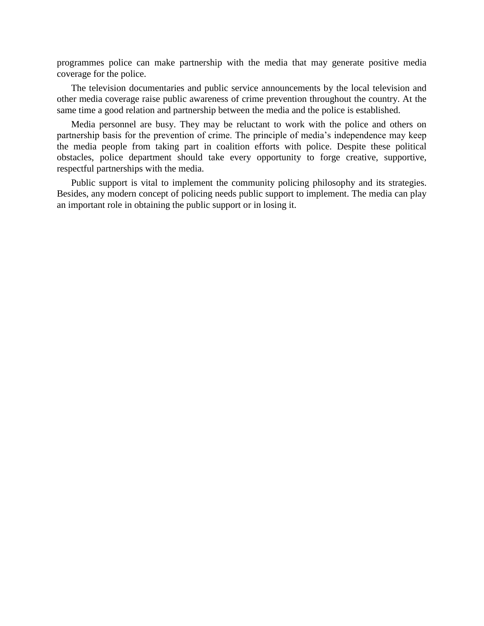programmes police can make partnership with the media that may generate positive media coverage for the police.

The television documentaries and public service announcements by the local television and other media coverage raise public awareness of crime prevention throughout the country. At the same time a good relation and partnership between the media and the police is established.

Media personnel are busy. They may be reluctant to work with the police and others on partnership basis for the prevention of crime. The principle of media"s independence may keep the media people from taking part in coalition efforts with police. Despite these political obstacles, police department should take every opportunity to forge creative, supportive, respectful partnerships with the media.

Public support is vital to implement the community policing philosophy and its strategies. Besides, any modern concept of policing needs public support to implement. The media can play an important role in obtaining the public support or in losing it.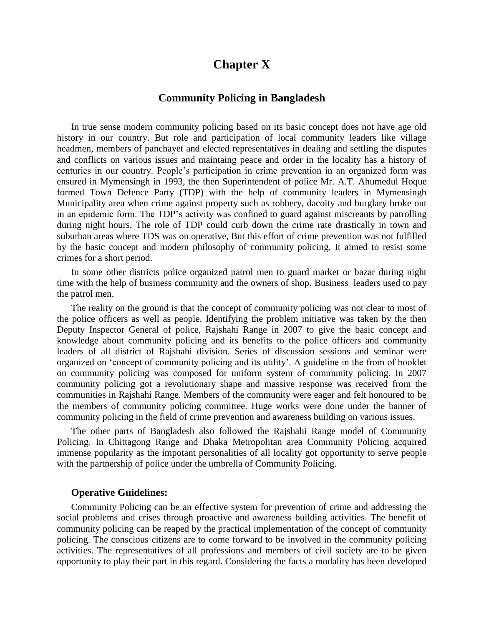# **Chapter X**

# **Community Policing in Bangladesh**

In true sense modern community policing based on its basic concept does not have age old history in our country. But role and participation of local community leaders like village headmen, members of panchayet and elected representatives in dealing and settling the disputes and conflicts on various issues and maintaing peace and order in the locality has a history of centuries in our country. People"s participation in crime prevention in an organized form was ensured in Mymensingh in 1993, the then Superintendent of police Mr. A.T. Ahumedul Hoque formed Town Defence Party (TDP) with the help of community leaders in Mymensingh Municipality area when crime against property such as robbery, dacoity and burglary broke out in an epidemic form. The TDP"s activity was confined to guard against miscreants by patrolling during night hours. The role of TDP could curb down the crime rate drastically in town and suburban areas where TDS was on operative, But this effort of crime prevention was not fulfilled by the basic concept and modern philosophy of community policing, It aimed to resist some crimes for a short period.

In some other districts police organized patrol men to guard market or bazar during night time with the help of business community and the owners of shop. Business leaders used to pay the patrol men.

The reality on the ground is that the concept of community policing was not clear to most of the police officers as well as people. Identifying the problem initiative was taken by the then Deputy Inspector General of police, Rajshahi Range in 2007 to give the basic concept and knowledge about community policing and its benefits to the police officers and community leaders of all district of Rajshahi division. Series of discussion sessions and seminar were organized on "concept of community policing and its utility". A guideline in the from of booklet on community policing was composed for uniform system of community policing. In 2007 community policing got a revolutionary shape and massive response was received from the communities in Rajshahi Range. Members of the community were eager and felt honoured to be the members of community policing committee. Huge works were done under the banner of community policing in the field of crime prevention and awareness building on various issues.

The other parts of Bangladesh also followed the Rajshahi Range model of Community Policing. In Chittagong Range and Dhaka Metropolitan area Community Policing acquired immense popularity as the impotant personalities of all locality got opportunity to serve people with the partnership of police under the umbrella of Community Policing.

# **Operative Guidelines:**

Community Policing can be an effective system for prevention of crime and addressing the social problems and crises through proactive and awareness building activities. The benefit of community policing can be reaped by the practical implementation of the concept of community policing. The conscious citizens are to come forward to be involved in the community policing activities. The representatives of all professions and members of civil society are to be given opportunity to play their part in this regard. Considering the facts a modality has been developed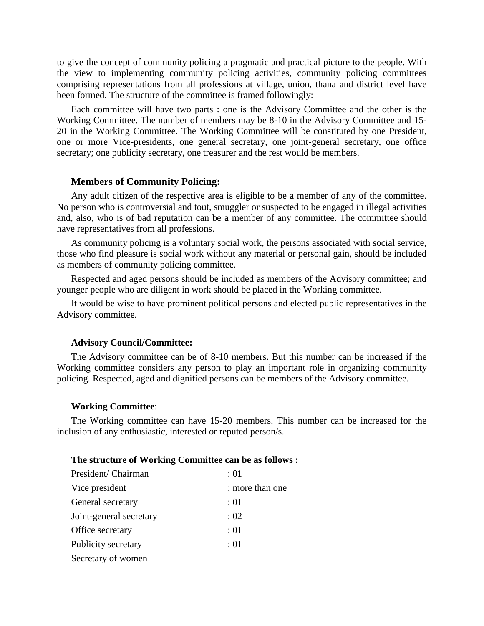to give the concept of community policing a pragmatic and practical picture to the people. With the view to implementing community policing activities, community policing committees comprising representations from all professions at village, union, thana and district level have been formed. The structure of the committee is framed followingly:

Each committee will have two parts : one is the Advisory Committee and the other is the Working Committee. The number of members may be 8-10 in the Advisory Committee and 15- 20 in the Working Committee. The Working Committee will be constituted by one President, one or more Vice-presidents, one general secretary, one joint-general secretary, one office secretary; one publicity secretary, one treasurer and the rest would be members.

# **Members of Community Policing:**

Any adult citizen of the respective area is eligible to be a member of any of the committee. No person who is controversial and tout, smuggler or suspected to be engaged in illegal activities and, also, who is of bad reputation can be a member of any committee. The committee should have representatives from all professions.

As community policing is a voluntary social work, the persons associated with social service, those who find pleasure is social work without any material or personal gain, should be included as members of community policing committee.

Respected and aged persons should be included as members of the Advisory committee; and younger people who are diligent in work should be placed in the Working committee.

It would be wise to have prominent political persons and elected public representatives in the Advisory committee.

### **Advisory Council/Committee:**

The Advisory committee can be of 8-10 members. But this number can be increased if the Working committee considers any person to play an important role in organizing community policing. Respected, aged and dignified persons can be members of the Advisory committee.

#### **Working Committee**:

The Working committee can have 15-20 members. This number can be increased for the inclusion of any enthusiastic, interested or reputed person/s.

#### **The structure of Working Committee can be as follows :**

| President/Chairman      | :01             |
|-------------------------|-----------------|
| Vice president          | : more than one |
| General secretary       | :01             |
| Joint-general secretary | : 02            |
| Office secretary        | :01             |
| Publicity secretary     | :01             |
| Secretary of women      |                 |
|                         |                 |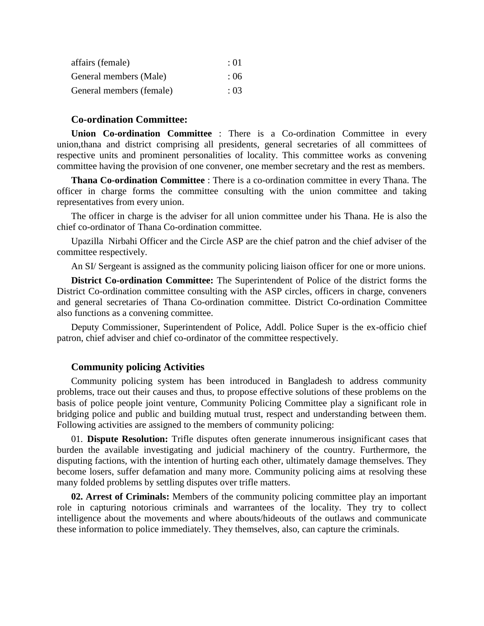| affairs (female)         | : 01 |
|--------------------------|------|
| General members (Male)   | :06  |
| General members (female) | : 03 |

# **Co-ordination Committee:**

**Union Co-ordination Committee** : There is a Co-ordination Committee in every union,thana and district comprising all presidents, general secretaries of all committees of respective units and prominent personalities of locality. This committee works as convening committee having the provision of one convener, one member secretary and the rest as members.

**Thana Co-ordination Committee** : There is a co-ordination committee in every Thana. The officer in charge forms the committee consulting with the union committee and taking representatives from every union.

The officer in charge is the adviser for all union committee under his Thana. He is also the chief co-ordinator of Thana Co-ordination committee.

Upazilla Nirbahi Officer and the Circle ASP are the chief patron and the chief adviser of the committee respectively.

An SI/ Sergeant is assigned as the community policing liaison officer for one or more unions.

**District Co-ordination Committee:** The Superintendent of Police of the district forms the District Co-ordination committee consulting with the ASP circles, officers in charge, conveners and general secretaries of Thana Co-ordination committee. District Co-ordination Committee also functions as a convening committee.

Deputy Commissioner, Superintendent of Police, Addl. Police Super is the ex-officio chief patron, chief adviser and chief co-ordinator of the committee respectively.

# **Community policing Activities**

Community policing system has been introduced in Bangladesh to address community problems, trace out their causes and thus, to propose effective solutions of these problems on the basis of police people joint venture, Community Policing Committee play a significant role in bridging police and public and building mutual trust, respect and understanding between them. Following activities are assigned to the members of community policing:

01. **Dispute Resolution:** Trifle disputes often generate innumerous insignificant cases that burden the available investigating and judicial machinery of the country. Furthermore, the disputing factions, with the intention of hurting each other, ultimately damage themselves. They become losers, suffer defamation and many more. Community policing aims at resolving these many folded problems by settling disputes over trifle matters.

**02. Arrest of Criminals:** Members of the community policing committee play an important role in capturing notorious criminals and warrantees of the locality. They try to collect intelligence about the movements and where abouts/hideouts of the outlaws and communicate these information to police immediately. They themselves, also, can capture the criminals.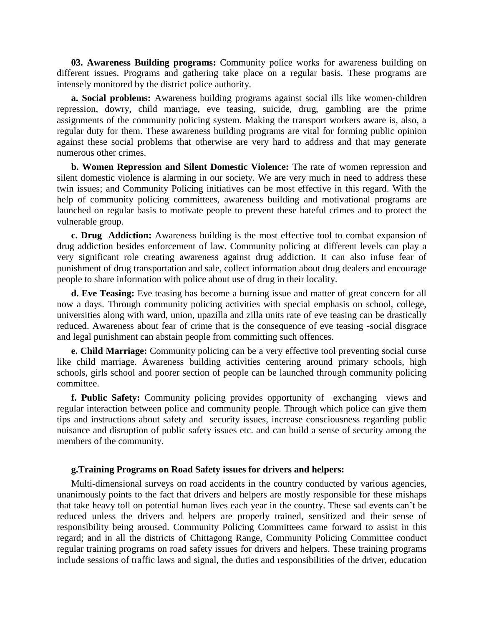**03. Awareness Building programs:** Community police works for awareness building on different issues. Programs and gathering take place on a regular basis. These programs are intensely monitored by the district police authority.

**a. Social problems:** Awareness building programs against social ills like women-children repression, dowry, child marriage, eve teasing, suicide, drug, gambling are the prime assignments of the community policing system. Making the transport workers aware is, also, a regular duty for them. These awareness building programs are vital for forming public opinion against these social problems that otherwise are very hard to address and that may generate numerous other crimes.

**b. Women Repression and Silent Domestic Violence:** The rate of women repression and silent domestic violence is alarming in our society. We are very much in need to address these twin issues; and Community Policing initiatives can be most effective in this regard. With the help of community policing committees, awareness building and motivational programs are launched on regular basis to motivate people to prevent these hateful crimes and to protect the vulnerable group.

**c. Drug Addiction:** Awareness building is the most effective tool to combat expansion of drug addiction besides enforcement of law. Community policing at different levels can play a very significant role creating awareness against drug addiction. It can also infuse fear of punishment of drug transportation and sale, collect information about drug dealers and encourage people to share information with police about use of drug in their locality.

**d. Eve Teasing:** Eve teasing has become a burning issue and matter of great concern for all now a days. Through community policing activities with special emphasis on school, college, universities along with ward, union, upazilla and zilla units rate of eve teasing can be drastically reduced. Awareness about fear of crime that is the consequence of eve teasing -social disgrace and legal punishment can abstain people from committing such offences.

**e. Child Marriage:** Community policing can be a very effective tool preventing social curse like child marriage. Awareness building activities centering around primary schools, high schools, girls school and poorer section of people can be launched through community policing committee.

**f. Public Safety:** Community policing provides opportunity of exchanging views and regular interaction between police and community people. Through which police can give them tips and instructions about safety and security issues, increase consciousness regarding public nuisance and disruption of public safety issues etc. and can build a sense of security among the members of the community.

### **g.Training Programs on Road Safety issues for drivers and helpers:**

Multi-dimensional surveys on road accidents in the country conducted by various agencies, unanimously points to the fact that drivers and helpers are mostly responsible for these mishaps that take heavy toll on potential human lives each year in the country. These sad events can"t be reduced unless the drivers and helpers are properly trained, sensitized and their sense of responsibility being aroused. Community Policing Committees came forward to assist in this regard; and in all the districts of Chittagong Range, Community Policing Committee conduct regular training programs on road safety issues for drivers and helpers. These training programs include sessions of traffic laws and signal, the duties and responsibilities of the driver, education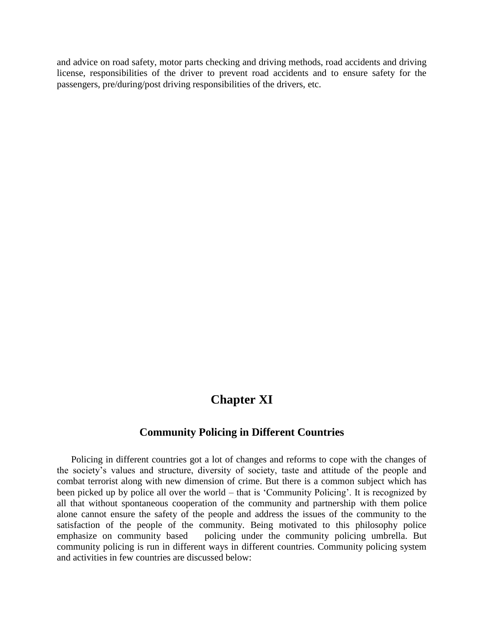and advice on road safety, motor parts checking and driving methods, road accidents and driving license, responsibilities of the driver to prevent road accidents and to ensure safety for the passengers, pre/during/post driving responsibilities of the drivers, etc.

# **Chapter XI**

# **Community Policing in Different Countries**

Policing in different countries got a lot of changes and reforms to cope with the changes of the society"s values and structure, diversity of society, taste and attitude of the people and combat terrorist along with new dimension of crime. But there is a common subject which has been picked up by police all over the world – that is "Community Policing". It is recognized by all that without spontaneous cooperation of the community and partnership with them police alone cannot ensure the safety of the people and address the issues of the community to the satisfaction of the people of the community. Being motivated to this philosophy police emphasize on community based policing under the community policing umbrella. But community policing is run in different ways in different countries. Community policing system and activities in few countries are discussed below: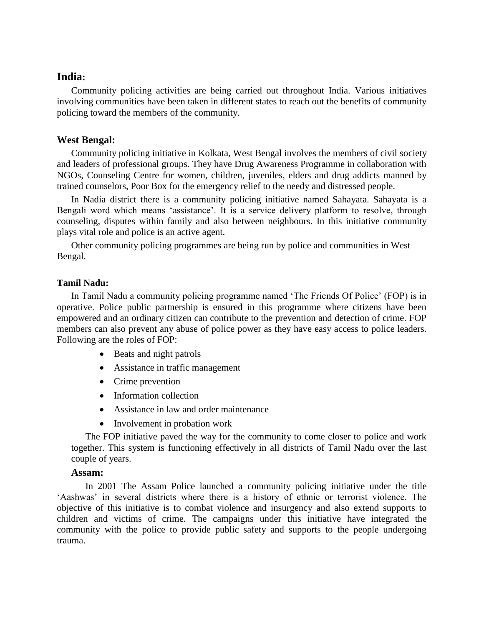# **India:**

Community policing activities are being carried out throughout India. Various initiatives involving communities have been taken in different states to reach out the benefits of community policing toward the members of the community.

# **West Bengal:**

Community policing initiative in Kolkata, West Bengal involves the members of civil society and leaders of professional groups. They have Drug Awareness Programme in collaboration with NGOs, Counseling Centre for women, children, juveniles, elders and drug addicts manned by trained counselors, Poor Box for the emergency relief to the needy and distressed people.

In Nadia district there is a community policing initiative named Sahayata. Sahayata is a Bengali word which means 'assistance'. It is a service delivery platform to resolve, through counseling, disputes within family and also between neighbours. In this initiative community plays vital role and police is an active agent.

Other community policing programmes are being run by police and communities in West Bengal.

# **Tamil Nadu:**

In Tamil Nadu a community policing programme named "The Friends Of Police" (FOP) is in operative. Police public partnership is ensured in this programme where citizens have been empowered and an ordinary citizen can contribute to the prevention and detection of crime. FOP members can also prevent any abuse of police power as they have easy access to police leaders. Following are the roles of FOP:

- Beats and night patrols
- Assistance in traffic management
- Crime prevention
- Information collection
- Assistance in law and order maintenance
- Involvement in probation work

The FOP initiative paved the way for the community to come closer to police and work together. This system is functioning effectively in all districts of Tamil Nadu over the last couple of years.

# **Assam:**

In 2001 The Assam Police launched a community policing initiative under the title "Aashwas" in several districts where there is a history of ethnic or terrorist violence. The objective of this initiative is to combat violence and insurgency and also extend supports to children and victims of crime. The campaigns under this initiative have integrated the community with the police to provide public safety and supports to the people undergoing trauma.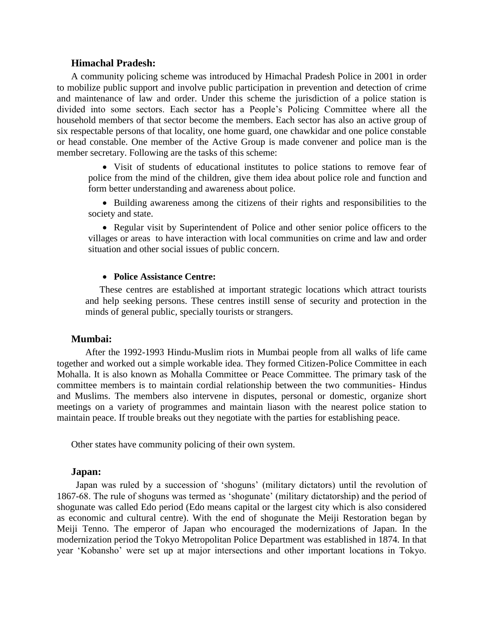# **Himachal Pradesh:**

A community policing scheme was introduced by Himachal Pradesh Police in 2001 in order to mobilize public support and involve public participation in prevention and detection of crime and maintenance of law and order. Under this scheme the jurisdiction of a police station is divided into some sectors. Each sector has a People"s Policing Committee where all the household members of that sector become the members. Each sector has also an active group of six respectable persons of that locality, one home guard, one chawkidar and one police constable or head constable. One member of the Active Group is made convener and police man is the member secretary. Following are the tasks of this scheme:

 Visit of students of educational institutes to police stations to remove fear of police from the mind of the children, give them idea about police role and function and form better understanding and awareness about police.

• Building awareness among the citizens of their rights and responsibilities to the society and state.

• Regular visit by Superintendent of Police and other senior police officers to the villages or areas to have interaction with local communities on crime and law and order situation and other social issues of public concern.

# **Police Assistance Centre:**

These centres are established at important strategic locations which attract tourists and help seeking persons. These centres instill sense of security and protection in the minds of general public, specially tourists or strangers.

# **Mumbai:**

After the 1992-1993 Hindu-Muslim riots in Mumbai people from all walks of life came together and worked out a simple workable idea. They formed Citizen-Police Committee in each Mohalla. It is also known as Mohalla Committee or Peace Committee. The primary task of the committee members is to maintain cordial relationship between the two communities- Hindus and Muslims. The members also intervene in disputes, personal or domestic, organize short meetings on a variety of programmes and maintain liason with the nearest police station to maintain peace. If trouble breaks out they negotiate with the parties for establishing peace.

Other states have community policing of their own system.

## **Japan:**

 Japan was ruled by a succession of "shoguns" (military dictators) until the revolution of 1867-68. The rule of shoguns was termed as "shogunate" (military dictatorship) and the period of shogunate was called Edo period (Edo means capital or the largest city which is also considered as economic and cultural centre). With the end of shogunate the Meiji Restoration began by Meiji Tenno. The emperor of Japan who encouraged the modernizations of Japan. In the modernization period the Tokyo Metropolitan Police Department was established in 1874. In that year "Kobansho" were set up at major intersections and other important locations in Tokyo.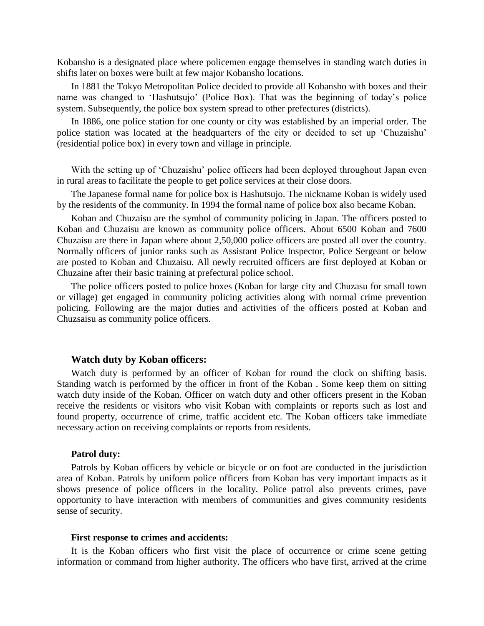Kobansho is a designated place where policemen engage themselves in standing watch duties in shifts later on boxes were built at few major Kobansho locations.

In 1881 the Tokyo Metropolitan Police decided to provide all Kobansho with boxes and their name was changed to "Hashutsujo" (Police Box). That was the beginning of today"s police system. Subsequently, the police box system spread to other prefectures (districts).

In 1886, one police station for one county or city was established by an imperial order. The police station was located at the headquarters of the city or decided to set up "Chuzaishu" (residential police box) in every town and village in principle.

With the setting up of 'Chuzaishu' police officers had been deployed throughout Japan even in rural areas to facilitate the people to get police services at their close doors.

The Japanese formal name for police box is Hashutsujo. The nickname Koban is widely used by the residents of the community. In 1994 the formal name of police box also became Koban.

Koban and Chuzaisu are the symbol of community policing in Japan. The officers posted to Koban and Chuzaisu are known as community police officers. About 6500 Koban and 7600 Chuzaisu are there in Japan where about 2,50,000 police officers are posted all over the country. Normally officers of junior ranks such as Assistant Police Inspector, Police Sergeant or below are posted to Koban and Chuzaisu. All newly recruited officers are first deployed at Koban or Chuzaine after their basic training at prefectural police school.

The police officers posted to police boxes (Koban for large city and Chuzasu for small town or village) get engaged in community policing activities along with normal crime prevention policing. Following are the major duties and activities of the officers posted at Koban and Chuzsaisu as community police officers.

#### **Watch duty by Koban officers:**

Watch duty is performed by an officer of Koban for round the clock on shifting basis. Standing watch is performed by the officer in front of the Koban . Some keep them on sitting watch duty inside of the Koban. Officer on watch duty and other officers present in the Koban receive the residents or visitors who visit Koban with complaints or reports such as lost and found property, occurrence of crime, traffic accident etc. The Koban officers take immediate necessary action on receiving complaints or reports from residents.

#### **Patrol duty:**

Patrols by Koban officers by vehicle or bicycle or on foot are conducted in the jurisdiction area of Koban. Patrols by uniform police officers from Koban has very important impacts as it shows presence of police officers in the locality. Police patrol also prevents crimes, pave opportunity to have interaction with members of communities and gives community residents sense of security.

#### **First response to crimes and accidents:**

It is the Koban officers who first visit the place of occurrence or crime scene getting information or command from higher authority. The officers who have first, arrived at the crime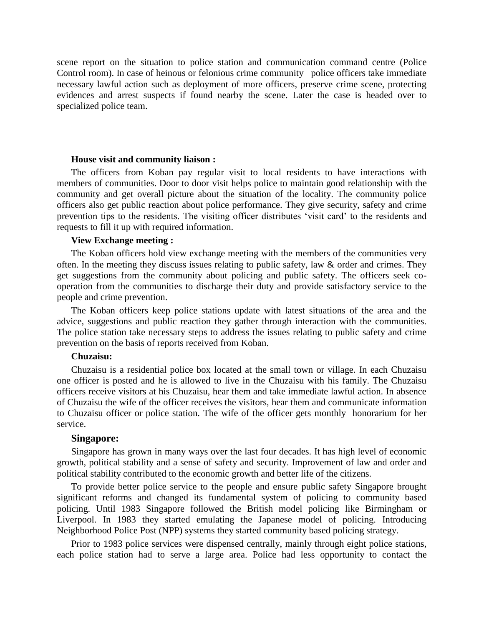scene report on the situation to police station and communication command centre (Police Control room). In case of heinous or felonious crime community police officers take immediate necessary lawful action such as deployment of more officers, preserve crime scene, protecting evidences and arrest suspects if found nearby the scene. Later the case is headed over to specialized police team.

#### **House visit and community liaison :**

The officers from Koban pay regular visit to local residents to have interactions with members of communities. Door to door visit helps police to maintain good relationship with the community and get overall picture about the situation of the locality. The community police officers also get public reaction about police performance. They give security, safety and crime prevention tips to the residents. The visiting officer distributes "visit card" to the residents and requests to fill it up with required information.

#### **View Exchange meeting :**

The Koban officers hold view exchange meeting with the members of the communities very often. In the meeting they discuss issues relating to public safety, law & order and crimes. They get suggestions from the community about policing and public safety. The officers seek cooperation from the communities to discharge their duty and provide satisfactory service to the people and crime prevention.

The Koban officers keep police stations update with latest situations of the area and the advice, suggestions and public reaction they gather through interaction with the communities. The police station take necessary steps to address the issues relating to public safety and crime prevention on the basis of reports received from Koban.

### **Chuzaisu:**

Chuzaisu is a residential police box located at the small town or village. In each Chuzaisu one officer is posted and he is allowed to live in the Chuzaisu with his family. The Chuzaisu officers receive visitors at his Chuzaisu, hear them and take immediate lawful action. In absence of Chuzaisu the wife of the officer receives the visitors, hear them and communicate information to Chuzaisu officer or police station. The wife of the officer gets monthly honorarium for her service.

#### **Singapore:**

Singapore has grown in many ways over the last four decades. It has high level of economic growth, political stability and a sense of safety and security. Improvement of law and order and political stability contributed to the economic growth and better life of the citizens.

To provide better police service to the people and ensure public safety Singapore brought significant reforms and changed its fundamental system of policing to community based policing. Until 1983 Singapore followed the British model policing like Birmingham or Liverpool. In 1983 they started emulating the Japanese model of policing. Introducing Neighborhood Police Post (NPP) systems they started community based policing strategy.

Prior to 1983 police services were dispensed centrally, mainly through eight police stations, each police station had to serve a large area. Police had less opportunity to contact the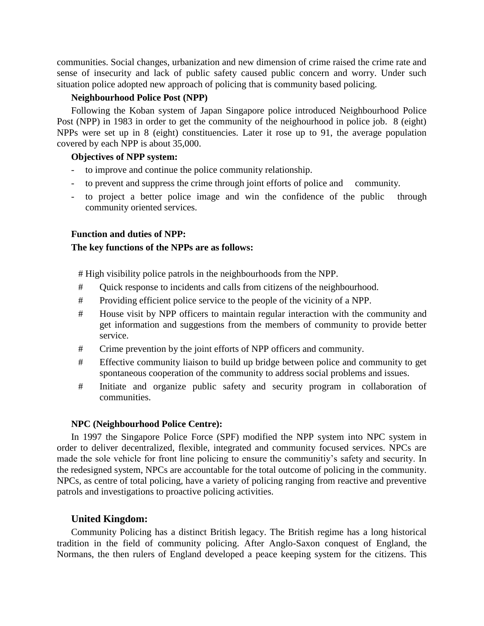communities. Social changes, urbanization and new dimension of crime raised the crime rate and sense of insecurity and lack of public safety caused public concern and worry. Under such situation police adopted new approach of policing that is community based policing.

# **Neighbourhood Police Post (NPP)**

Following the Koban system of Japan Singapore police introduced Neighbourhood Police Post (NPP) in 1983 in order to get the community of the neighourhood in police job. 8 (eight) NPPs were set up in 8 (eight) constituencies. Later it rose up to 91, the average population covered by each NPP is about 35,000.

# **Objectives of NPP system:**

- to improve and continue the police community relationship.
- to prevent and suppress the crime through joint efforts of police and community.
- to project a better police image and win the confidence of the public through community oriented services.

# **Function and duties of NPP:**

# **The key functions of the NPPs are as follows:**

# High visibility police patrols in the neighbourhoods from the NPP.

- # Quick response to incidents and calls from citizens of the neighbourhood.
- # Providing efficient police service to the people of the vicinity of a NPP.
- # House visit by NPP officers to maintain regular interaction with the community and get information and suggestions from the members of community to provide better service.
- # Crime prevention by the joint efforts of NPP officers and community.
- # Effective community liaison to build up bridge between police and community to get spontaneous cooperation of the community to address social problems and issues.
- # Initiate and organize public safety and security program in collaboration of communities.

### **NPC (Neighbourhood Police Centre):**

In 1997 the Singapore Police Force (SPF) modified the NPP system into NPC system in order to deliver decentralized, flexible, integrated and community focused services. NPCs are made the sole vehicle for front line policing to ensure the communitiy's safety and security. In the redesigned system, NPCs are accountable for the total outcome of policing in the community. NPCs, as centre of total policing, have a variety of policing ranging from reactive and preventive patrols and investigations to proactive policing activities.

# **United Kingdom:**

Community Policing has a distinct British legacy. The British regime has a long historical tradition in the field of community policing. After Anglo-Saxon conquest of England, the Normans, the then rulers of England developed a peace keeping system for the citizens. This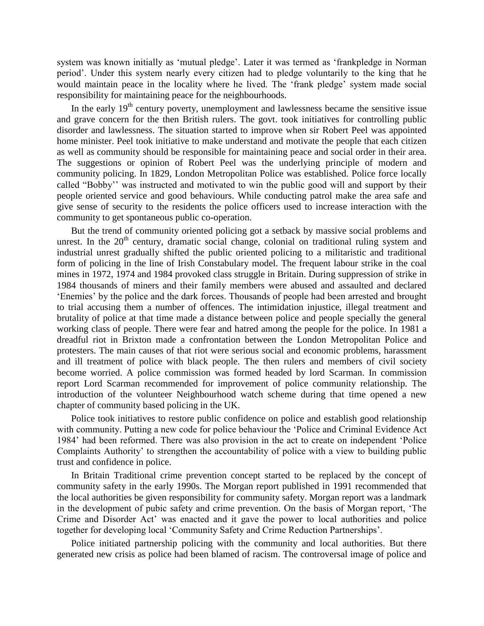system was known initially as "mutual pledge". Later it was termed as "frankpledge in Norman period". Under this system nearly every citizen had to pledge voluntarily to the king that he would maintain peace in the locality where he lived. The "frank pledge" system made social responsibility for maintaining peace for the neighbourhoods.

In the early  $19<sup>th</sup>$  century poverty, unemployment and lawlessness became the sensitive issue and grave concern for the then British rulers. The govt. took initiatives for controlling public disorder and lawlessness. The situation started to improve when sir Robert Peel was appointed home minister. Peel took initiative to make understand and motivate the people that each citizen as well as community should be responsible for maintaining peace and social order in their area. The suggestions or opinion of Robert Peel was the underlying principle of modern and community policing. In 1829, London Metropolitan Police was established. Police force locally called "Bobby"" was instructed and motivated to win the public good will and support by their people oriented service and good behaviours. While conducting patrol make the area safe and give sense of security to the residents the police officers used to increase interaction with the community to get spontaneous public co-operation.

But the trend of community oriented policing got a setback by massive social problems and unrest. In the  $20<sup>th</sup>$  century, dramatic social change, colonial on traditional ruling system and industrial unrest gradually shifted the public oriented policing to a militaristic and traditional form of policing in the line of Irish Constabulary model. The frequent labour strike in the coal mines in 1972, 1974 and 1984 provoked class struggle in Britain. During suppression of strike in 1984 thousands of miners and their family members were abused and assaulted and declared "Enemies" by the police and the dark forces. Thousands of people had been arrested and brought to trial accusing them a number of offences. The intimidation injustice, illegal treatment and brutality of police at that time made a distance between police and people specially the general working class of people. There were fear and hatred among the people for the police. In 1981 a dreadful riot in Brixton made a confrontation between the London Metropolitan Police and protesters. The main causes of that riot were serious social and economic problems, harassment and ill treatment of police with black people. The then rulers and members of civil society become worried. A police commission was formed headed by lord Scarman. In commission report Lord Scarman recommended for improvement of police community relationship. The introduction of the volunteer Neighbourhood watch scheme during that time opened a new chapter of community based policing in the UK.

Police took initiatives to restore public confidence on police and establish good relationship with community. Putting a new code for police behaviour the "Police and Criminal Evidence Act 1984" had been reformed. There was also provision in the act to create on independent "Police Complaints Authority" to strengthen the accountability of police with a view to building public trust and confidence in police.

In Britain Traditional crime prevention concept started to be replaced by the concept of community safety in the early 1990s. The Morgan report published in 1991 recommended that the local authorities be given responsibility for community safety. Morgan report was a landmark in the development of pubic safety and crime prevention. On the basis of Morgan report, "The Crime and Disorder Act" was enacted and it gave the power to local authorities and police together for developing local "Community Safety and Crime Reduction Partnerships".

Police initiated partnership policing with the community and local authorities. But there generated new crisis as police had been blamed of racism. The controversal image of police and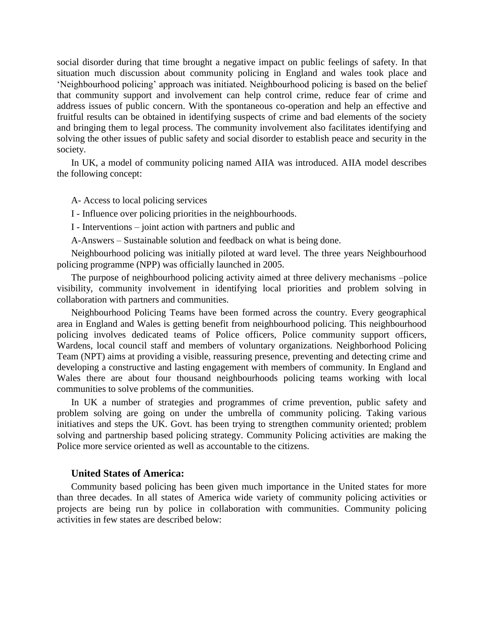social disorder during that time brought a negative impact on public feelings of safety. In that situation much discussion about community policing in England and wales took place and "Neighbourhood policing" approach was initiated. Neighbourhood policing is based on the belief that community support and involvement can help control crime, reduce fear of crime and address issues of public concern. With the spontaneous co-operation and help an effective and fruitful results can be obtained in identifying suspects of crime and bad elements of the society and bringing them to legal process. The community involvement also facilitates identifying and solving the other issues of public safety and social disorder to establish peace and security in the society.

In UK, a model of community policing named AIIA was introduced. AIIA model describes the following concept:

A- Access to local policing services

I - Influence over policing priorities in the neighbourhoods.

I - Interventions – joint action with partners and public and

A-Answers – Sustainable solution and feedback on what is being done.

Neighbourhood policing was initially piloted at ward level. The three years Neighbourhood policing programme (NPP) was officially launched in 2005.

The purpose of neighbourhood policing activity aimed at three delivery mechanisms –police visibility, community involvement in identifying local priorities and problem solving in collaboration with partners and communities.

Neighbourhood Policing Teams have been formed across the country. Every geographical area in England and Wales is getting benefit from neighbourhood policing. This neighbourhood policing involves dedicated teams of Police officers, Police community support officers, Wardens, local council staff and members of voluntary organizations. Neighborhood Policing Team (NPT) aims at providing a visible, reassuring presence, preventing and detecting crime and developing a constructive and lasting engagement with members of community. In England and Wales there are about four thousand neighbourhoods policing teams working with local communities to solve problems of the communities.

In UK a number of strategies and programmes of crime prevention, public safety and problem solving are going on under the umbrella of community policing. Taking various initiatives and steps the UK. Govt. has been trying to strengthen community oriented; problem solving and partnership based policing strategy. Community Policing activities are making the Police more service oriented as well as accountable to the citizens.

### **United States of America:**

Community based policing has been given much importance in the United states for more than three decades. In all states of America wide variety of community policing activities or projects are being run by police in collaboration with communities. Community policing activities in few states are described below: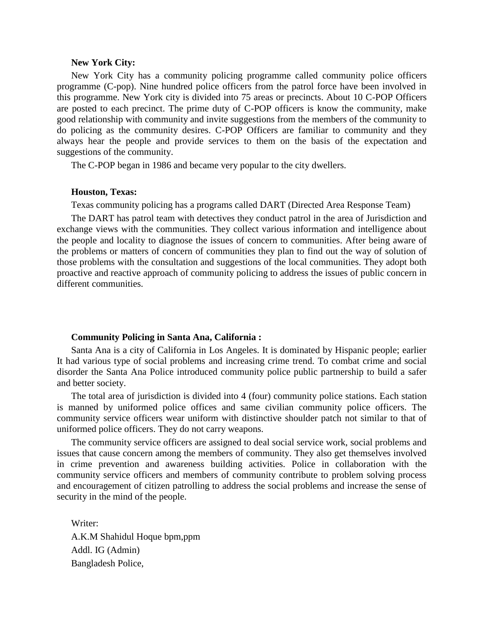#### **New York City:**

New York City has a community policing programme called community police officers programme (C-pop). Nine hundred police officers from the patrol force have been involved in this programme. New York city is divided into 75 areas or precincts. About 10 C-POP Officers are posted to each precinct. The prime duty of C-POP officers is know the community, make good relationship with community and invite suggestions from the members of the community to do policing as the community desires. C-POP Officers are familiar to community and they always hear the people and provide services to them on the basis of the expectation and suggestions of the community.

The C-POP began in 1986 and became very popular to the city dwellers.

### **Houston, Texas:**

Texas community policing has a programs called DART (Directed Area Response Team)

The DART has patrol team with detectives they conduct patrol in the area of Jurisdiction and exchange views with the communities. They collect various information and intelligence about the people and locality to diagnose the issues of concern to communities. After being aware of the problems or matters of concern of communities they plan to find out the way of solution of those problems with the consultation and suggestions of the local communities. They adopt both proactive and reactive approach of community policing to address the issues of public concern in different communities.

#### **Community Policing in Santa Ana, California :**

Santa Ana is a city of California in Los Angeles. It is dominated by Hispanic people; earlier It had various type of social problems and increasing crime trend. To combat crime and social disorder the Santa Ana Police introduced community police public partnership to build a safer and better society.

The total area of jurisdiction is divided into 4 (four) community police stations. Each station is manned by uniformed police offices and same civilian community police officers. The community service officers wear uniform with distinctive shoulder patch not similar to that of uniformed police officers. They do not carry weapons.

The community service officers are assigned to deal social service work, social problems and issues that cause concern among the members of community. They also get themselves involved in crime prevention and awareness building activities. Police in collaboration with the community service officers and members of community contribute to problem solving process and encouragement of citizen patrolling to address the social problems and increase the sense of security in the mind of the people.

Writer: A.K.M Shahidul Hoque bpm,ppm Addl. IG (Admin) Bangladesh Police,